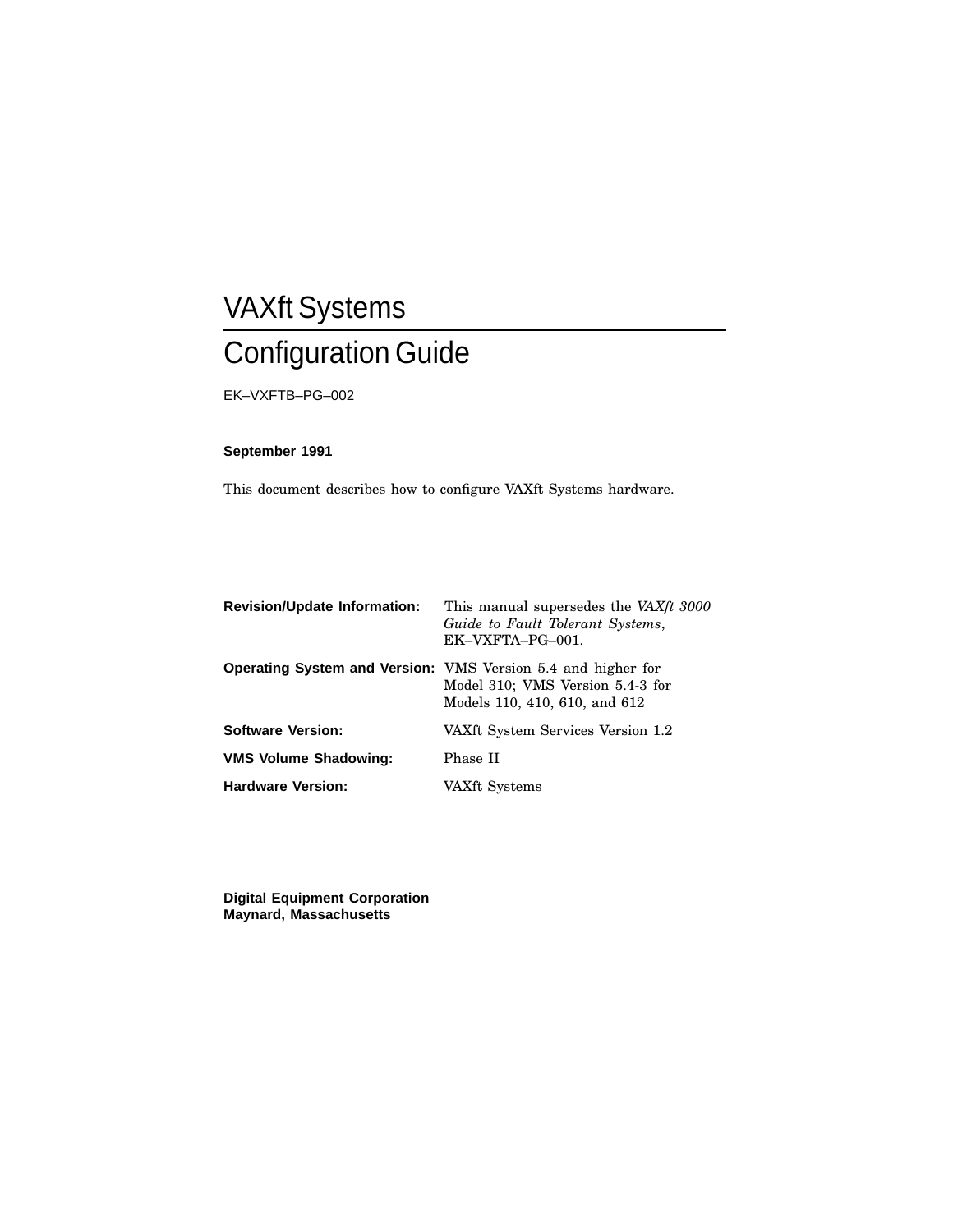## VAXft Systems Configuration Guide

EK–VXFTB–PG–002

### **September 1991**

This document describes how to configure VAXft Systems hardware.

| <b>Revision/Update Information:</b> | This manual supersedes the VAXft 3000<br>Guide to Fault Tolerant Systems,<br>EK-VXFTA-PG-001.                                            |
|-------------------------------------|------------------------------------------------------------------------------------------------------------------------------------------|
|                                     | <b>Operating System and Version:</b> VMS Version 5.4 and higher for<br>Model 310; VMS Version 5.4-3 for<br>Models 110, 410, 610, and 612 |
| <b>Software Version:</b>            | VAXft System Services Version 1.2                                                                                                        |
| <b>VMS Volume Shadowing:</b>        | Phase II                                                                                                                                 |
| <b>Hardware Version:</b>            | VAXft Systems                                                                                                                            |

**Digital Equipment Corporation Maynard, Massachusetts**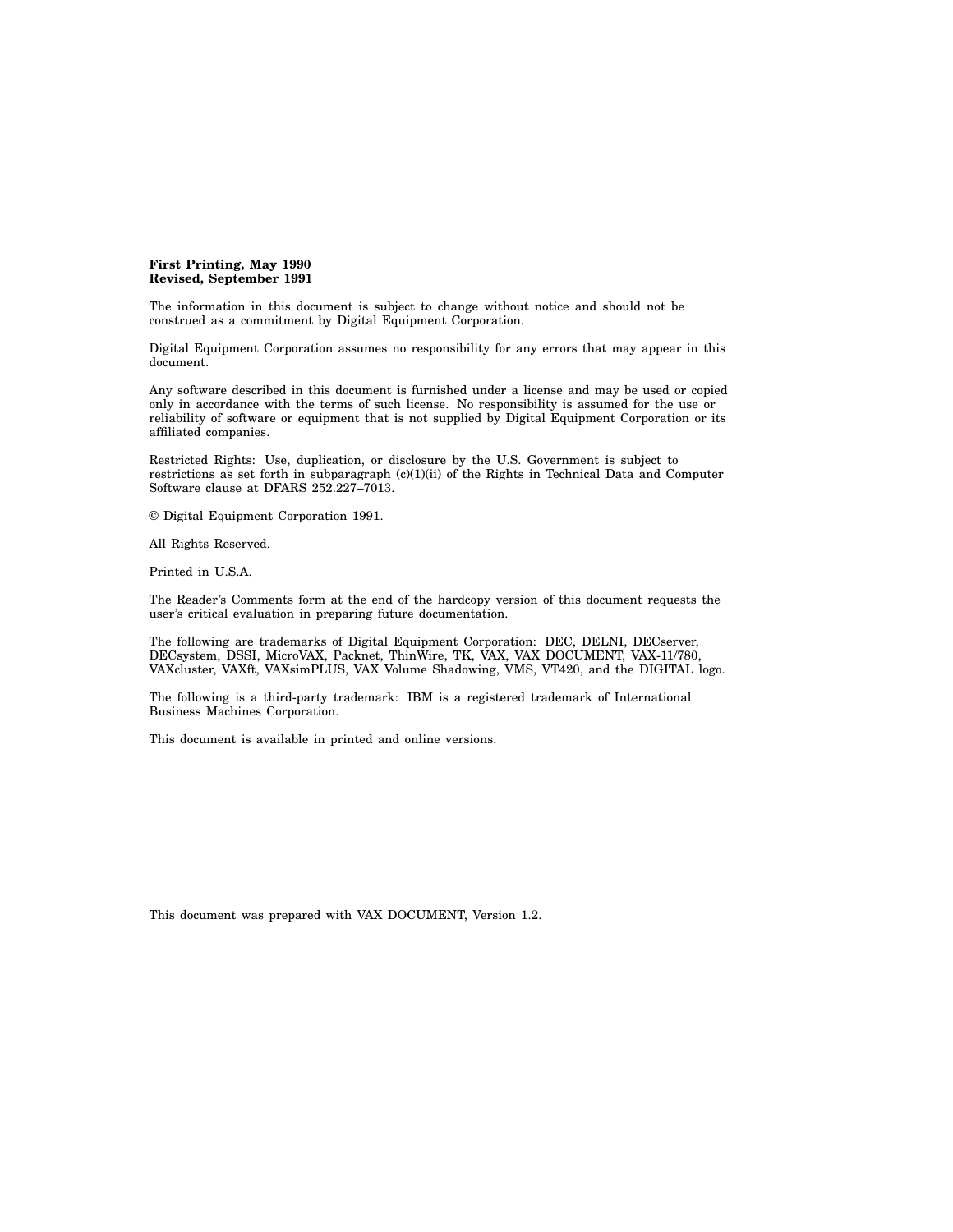#### **First Printing, May 1990 Revised, September 1991**

The information in this document is subject to change without notice and should not be construed as a commitment by Digital Equipment Corporation.

Digital Equipment Corporation assumes no responsibility for any errors that may appear in this document.

Any software described in this document is furnished under a license and may be used or copied only in accordance with the terms of such license. No responsibility is assumed for the use or reliability of software or equipment that is not supplied by Digital Equipment Corporation or its affiliated companies.

Restricted Rights: Use, duplication, or disclosure by the U.S. Government is subject to restrictions as set forth in subparagraph (c)(1)(ii) of the Rights in Technical Data and Computer Software clause at DFARS 252.227–7013.

© Digital Equipment Corporation 1991.

All Rights Reserved.

Printed in U.S.A.

The Reader's Comments form at the end of the hardcopy version of this document requests the user's critical evaluation in preparing future documentation.

The following are trademarks of Digital Equipment Corporation: DEC, DELNI, DECserver, DECsystem, DSSI, MicroVAX, Packnet, ThinWire, TK, VAX, VAX DOCUMENT, VAX-11/780, VAXcluster, VAXft, VAXsimPLUS, VAX Volume Shadowing, VMS, VT420, and the DIGITAL logo.

The following is a third-party trademark: IBM is a registered trademark of International Business Machines Corporation.

This document is available in printed and online versions.

This document was prepared with VAX DOCUMENT, Version 1.2.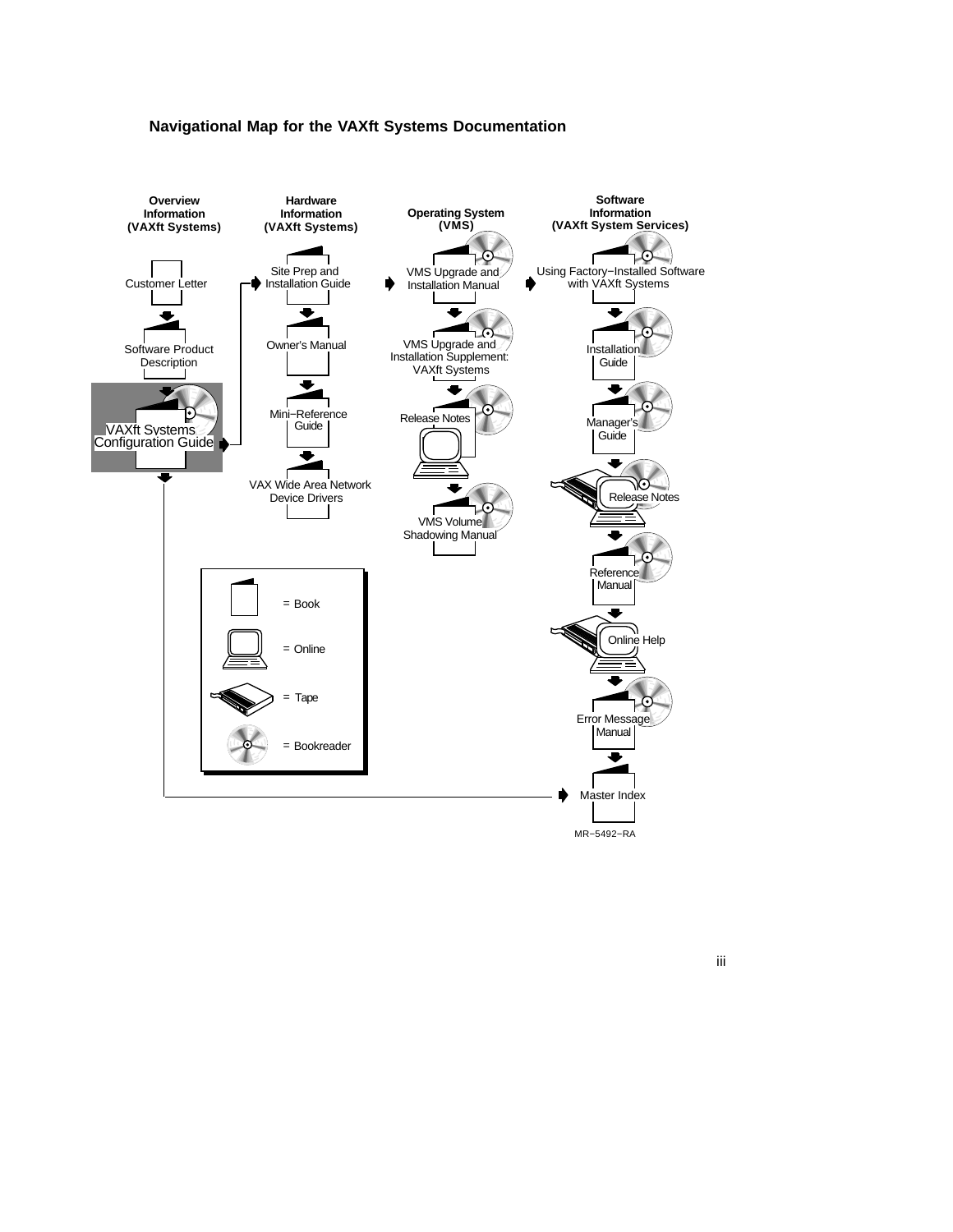



iii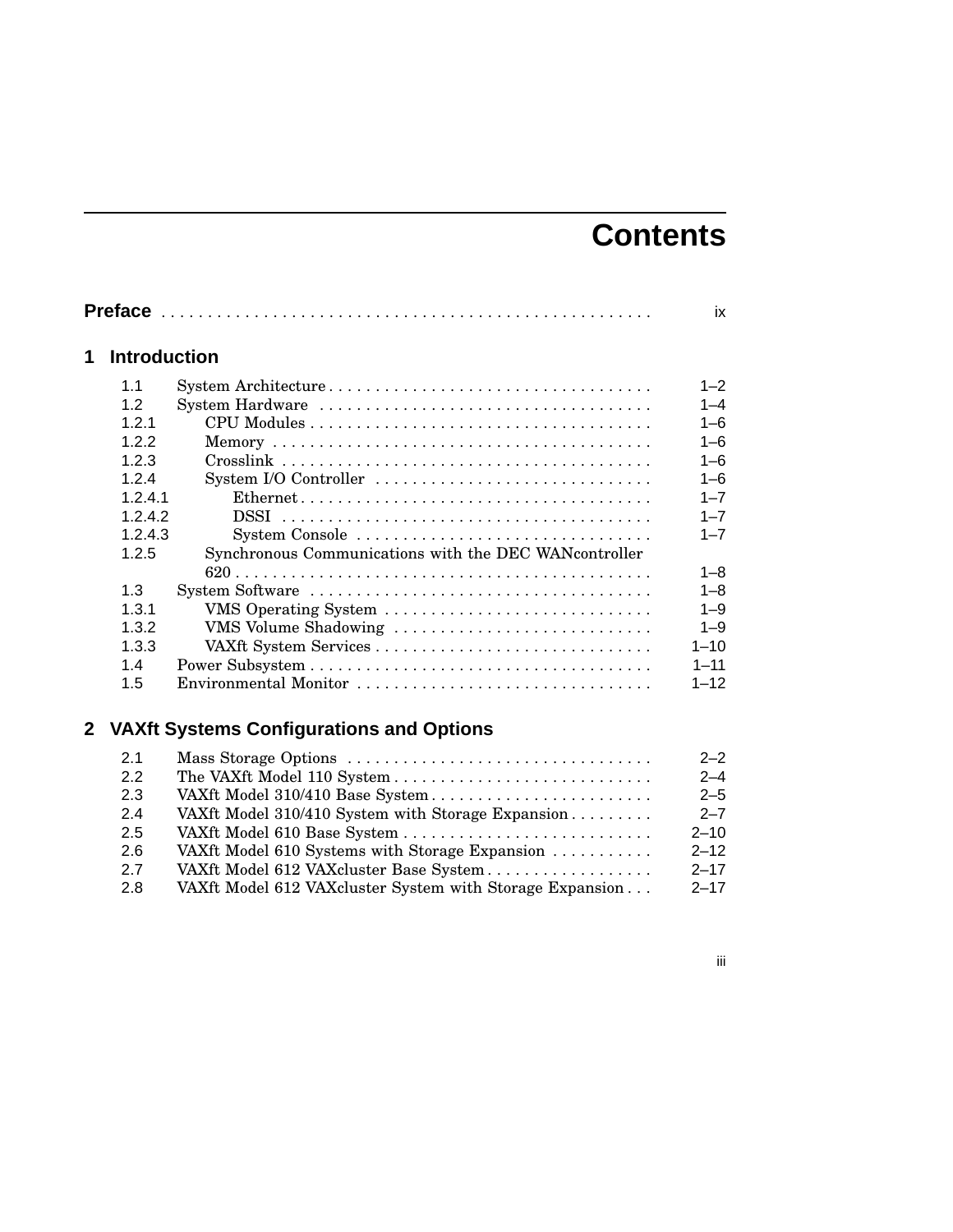## **Contents**

| <b>Introduction</b> |                                                        |
|---------------------|--------------------------------------------------------|
| 11                  |                                                        |
| 1.2                 |                                                        |
| 1.2.1               |                                                        |
| 1.2.2               |                                                        |
| 1.2.3               |                                                        |
| 1.2.4               | System I/O Controller                                  |
| 1.2.4.1             |                                                        |
| 1.2.4.2             | DSSI                                                   |
| 1.2.4.3             | System Console                                         |
| 1.2.5               | Synchronous Communications with the DEC WAN controller |
|                     |                                                        |
| 1.3                 |                                                        |
| 1.3.1               | VMS Operating System                                   |
| 1.3.2               | VMS Volume Shadowing                                   |
| 1.3.3               |                                                        |
| 1.4                 |                                                        |
| 1.5                 | Environmental Monitor                                  |

## **2 VAXft Systems Configurations and Options**

| 2.1 |                                                          | $2 - 2$  |
|-----|----------------------------------------------------------|----------|
| 2.2 |                                                          | $2 - 4$  |
| 2.3 | VAXft Model 310/410 Base System                          | $2 - 5$  |
| 2.4 | VAXft Model 310/410 System with Storage Expansion        | $2 - 7$  |
| 2.5 |                                                          | $2 - 10$ |
| 2.6 | VAXft Model 610 Systems with Storage Expansion           | $2 - 12$ |
| 2.7 | VAXft Model 612 VAXcluster Base System                   | $2 - 17$ |
| 2.8 | VAXft Model 612 VAXcluster System with Storage Expansion | $2 - 17$ |

## iii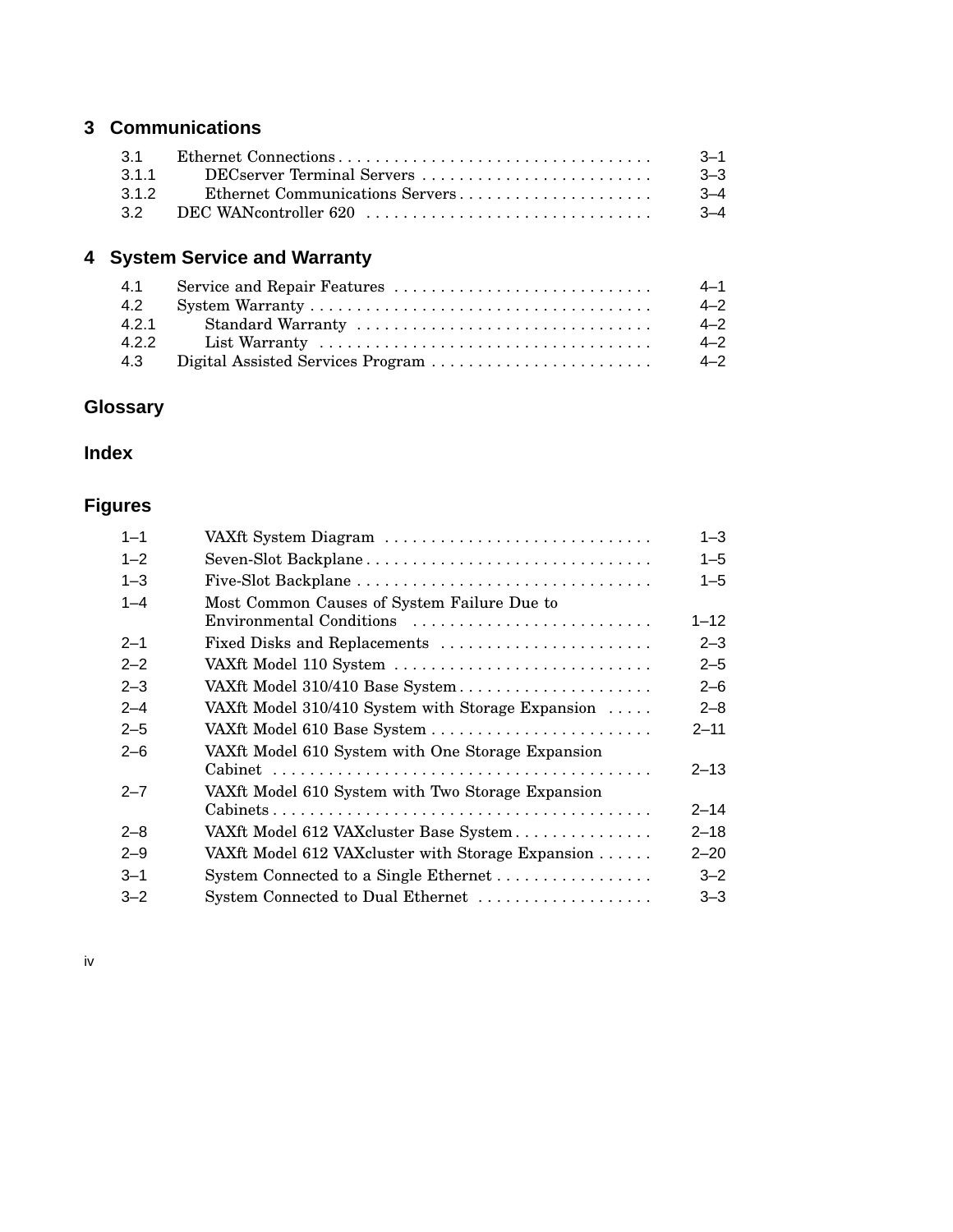## **3 Communications**

| 31              |                                 | $-3-1$ |
|-----------------|---------------------------------|--------|
| 311             | DECserver Terminal Servers      | -3–3   |
| 312             | Ethernet Communications Servers | $-3-4$ |
| 32 <sup>o</sup> | DEC WANcontroller 620           | $-3-4$ |

## **4 System Service and Warranty**

| 4.1   |                   | $4 - 1$ |
|-------|-------------------|---------|
| 4.2   |                   | $4 - 2$ |
| 4.2.1 | Standard Warranty | $4 - 2$ |
| 4.2.2 |                   | $4 - 2$ |
| 4.3   |                   | $4 - 2$ |

## **Glossary**

## **Index**

## **Figures**

| $1 - 1$ | VAXft System Diagram                              | $1 - 3$  |
|---------|---------------------------------------------------|----------|
| $1 - 2$ | Seven-Slot Backplane                              | $1 - 5$  |
| $1 - 3$ |                                                   | $1 - 5$  |
| $1 - 4$ | Most Common Causes of System Failure Due to       |          |
|         | Environmental Conditions                          | $1 - 12$ |
| $2 - 1$ | Fixed Disks and Replacements                      | $2 - 3$  |
| $2 - 2$ | VAXft Model 110 System                            | $2 - 5$  |
| $2 - 3$ | VAXft Model 310/410 Base System                   | $2 - 6$  |
| $2 - 4$ | VAXft Model 310/410 System with Storage Expansion | $2 - 8$  |
| $2 - 5$ | VAXft Model 610 Base System                       | $2 - 11$ |
| $2 - 6$ | VAXft Model 610 System with One Storage Expansion |          |
|         |                                                   | $2 - 13$ |
| $2 - 7$ | VAXft Model 610 System with Two Storage Expansion |          |
|         |                                                   | $2 - 14$ |
| $2 - 8$ | VAXft Model 612 VAXcluster Base System            | $2 - 18$ |
| $2 - 9$ | VAXft Model 612 VAXcluster with Storage Expansion | $2 - 20$ |
| $3 - 1$ |                                                   | $3 - 2$  |
| $3 - 2$ | System Connected to Dual Ethernet                 | $3 - 3$  |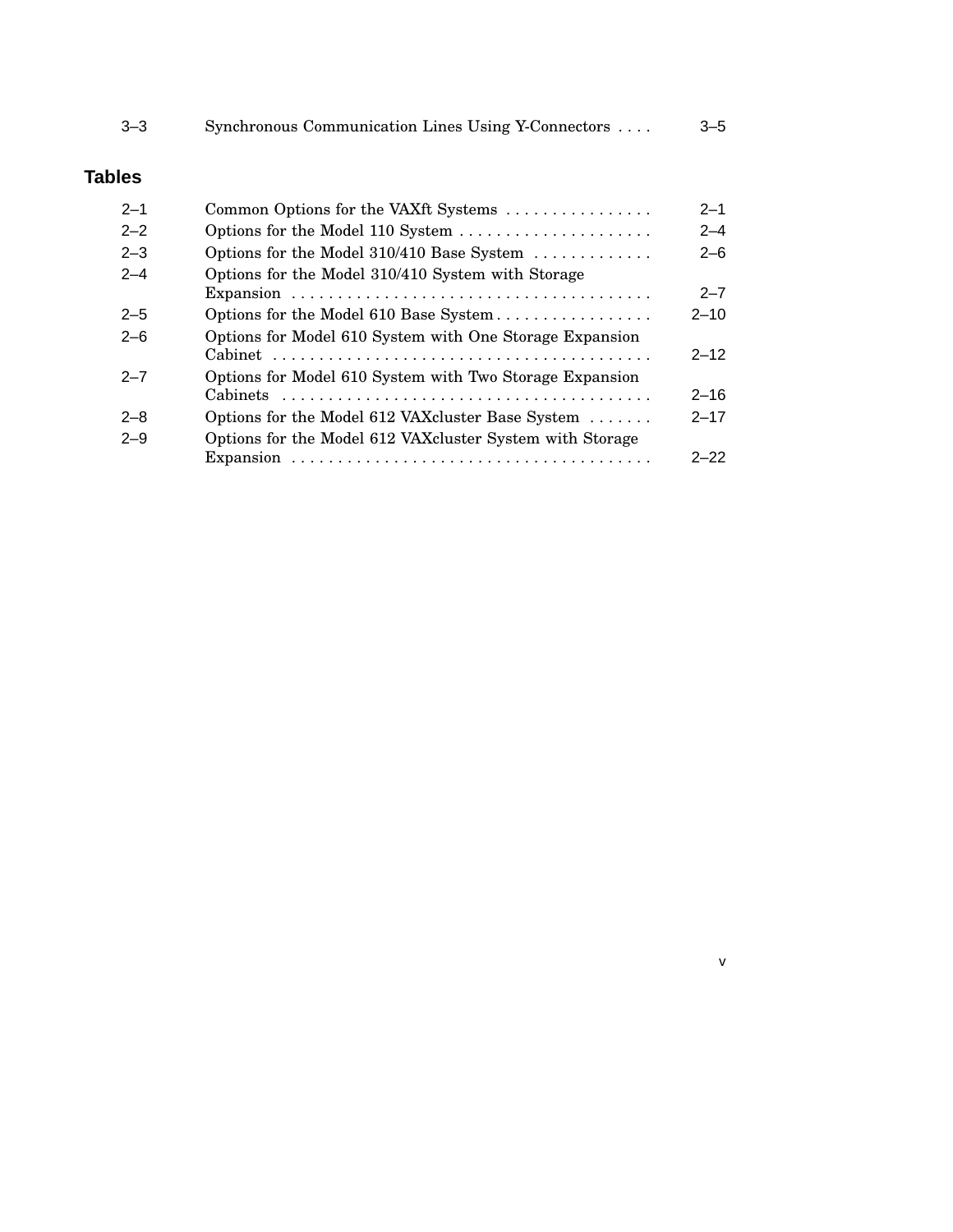| $3 - 3$       | Synchronous Communication Lines Using Y-Connectors        | $3 - 5$  |
|---------------|-----------------------------------------------------------|----------|
| <b>Tables</b> |                                                           |          |
| $2 - 1$       | Common Options for the VAXft Systems                      | $2 - 1$  |
| $2 - 2$       | Options for the Model 110 System                          | $2 - 4$  |
| $2 - 3$       | Options for the Model 310/410 Base System                 | $2 - 6$  |
| $2 - 4$       | Options for the Model 310/410 System with Storage         |          |
|               |                                                           | $2 - 7$  |
| $2 - 5$       | Options for the Model 610 Base System                     | $2 - 10$ |
| $2 - 6$       | Options for Model 610 System with One Storage Expansion   | $2 - 12$ |
| $2 - 7$       | Options for Model 610 System with Two Storage Expansion   |          |
|               |                                                           | $2 - 16$ |
| $2 - 8$       | Options for the Model 612 VAXcluster Base System          | $2 - 17$ |
| $2 - 9$       | Options for the Model 612 VAX cluster System with Storage |          |
|               |                                                           | $2 - 22$ |

v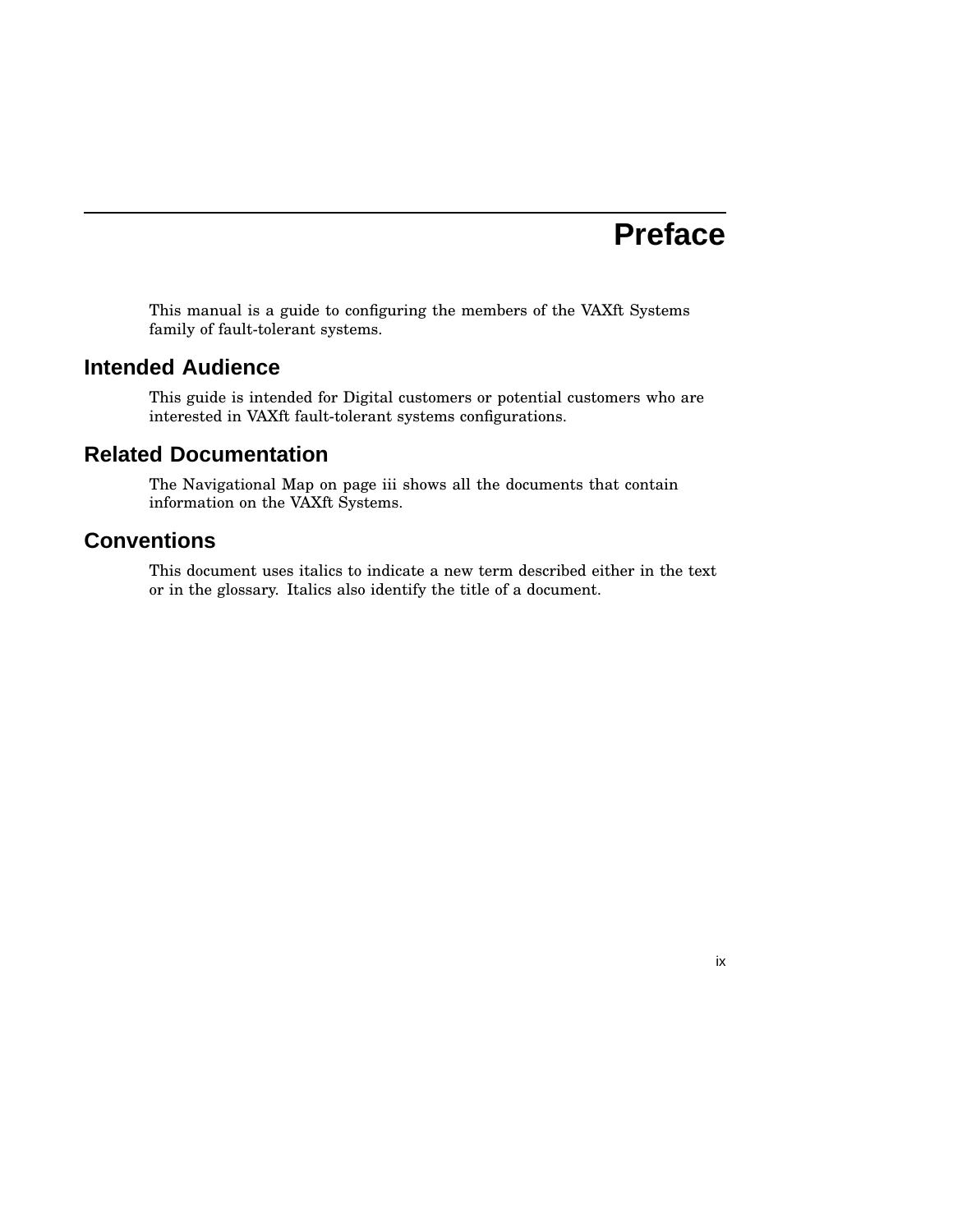## **Preface**

This manual is a guide to configuring the members of the VAXft Systems family of fault-tolerant systems.

### **Intended Audience**

This guide is intended for Digital customers or potential customers who are interested in VAXft fault-tolerant systems configurations.

### **Related Documentation**

The Navigational Map on page iii shows all the documents that contain information on the VAXft Systems.

## **Conventions**

This document uses italics to indicate a new term described either in the text or in the glossary. Italics also identify the title of a document.

ix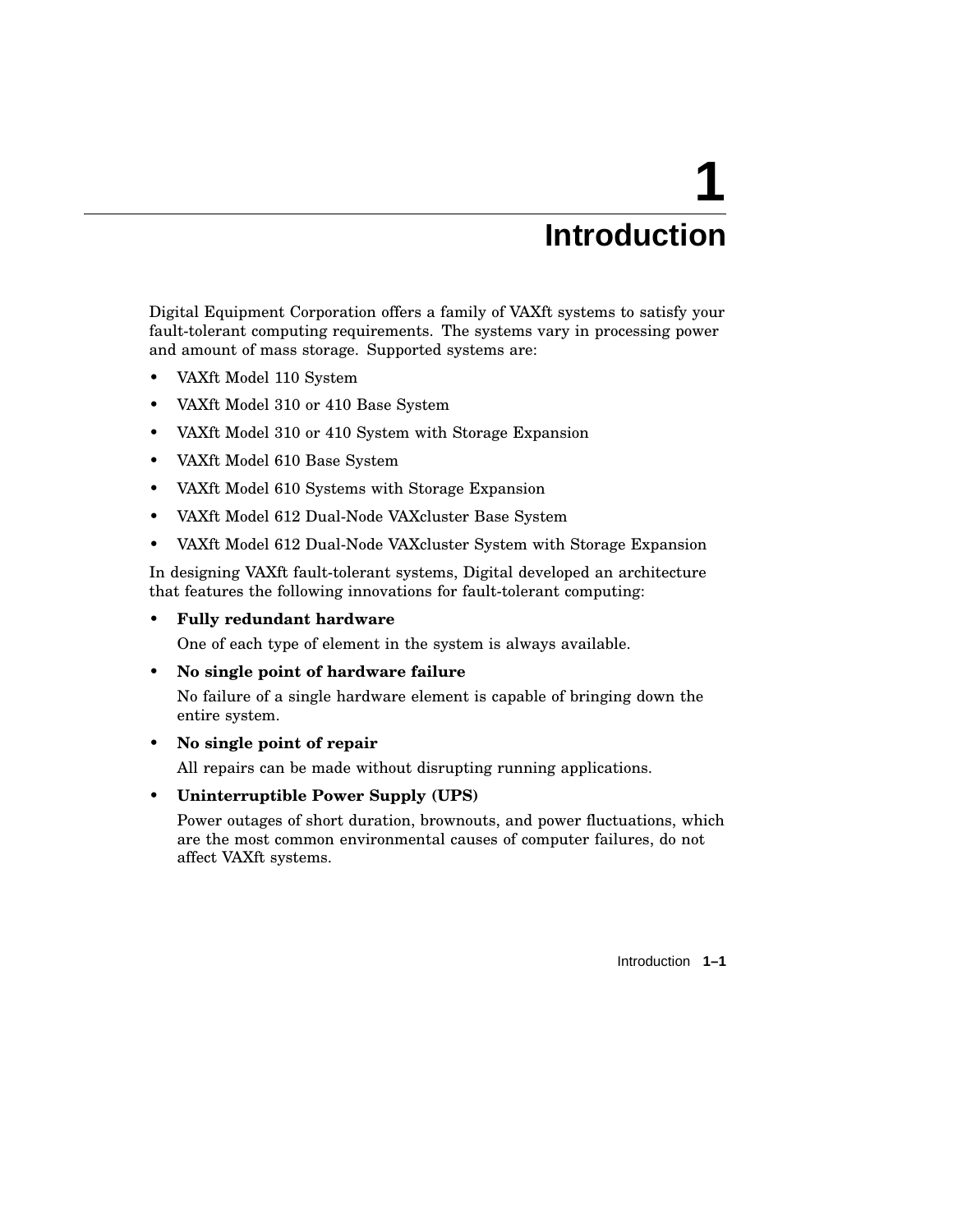## **Introduction**

**1**

Digital Equipment Corporation offers a family of VAXft systems to satisfy your fault-tolerant computing requirements. The systems vary in processing power and amount of mass storage. Supported systems are:

- VAXft Model 110 System
- VAXft Model 310 or 410 Base System
- VAXft Model 310 or 410 System with Storage Expansion
- VAXft Model 610 Base System
- VAXft Model 610 Systems with Storage Expansion
- VAXft Model 612 Dual-Node VAXcluster Base System
- VAXft Model 612 Dual-Node VAXcluster System with Storage Expansion

In designing VAXft fault-tolerant systems, Digital developed an architecture that features the following innovations for fault-tolerant computing:

### • **Fully redundant hardware**

One of each type of element in the system is always available.

• **No single point of hardware failure**

No failure of a single hardware element is capable of bringing down the entire system.

• **No single point of repair**

All repairs can be made without disrupting running applications.

• **Uninterruptible Power Supply (UPS)**

Power outages of short duration, brownouts, and power fluctuations, which are the most common environmental causes of computer failures, do not affect VAXft systems.

Introduction **1–1**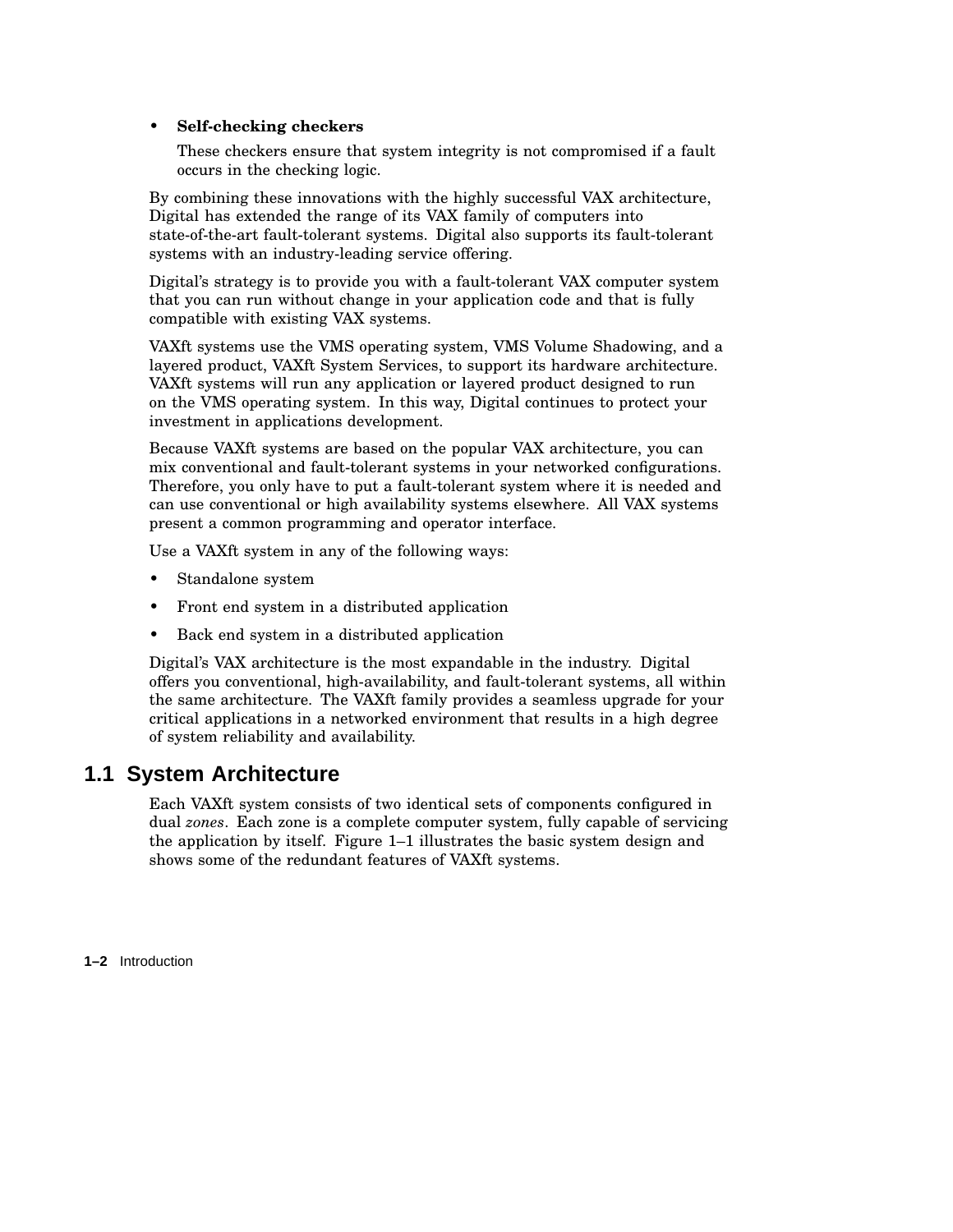### • **Self-checking checkers**

These checkers ensure that system integrity is not compromised if a fault occurs in the checking logic.

By combining these innovations with the highly successful VAX architecture, Digital has extended the range of its VAX family of computers into state-of-the-art fault-tolerant systems. Digital also supports its fault-tolerant systems with an industry-leading service offering.

Digital's strategy is to provide you with a fault-tolerant VAX computer system that you can run without change in your application code and that is fully compatible with existing VAX systems.

VAXft systems use the VMS operating system, VMS Volume Shadowing, and a layered product, VAXft System Services, to support its hardware architecture. VAXft systems will run any application or layered product designed to run on the VMS operating system. In this way, Digital continues to protect your investment in applications development.

Because VAXft systems are based on the popular VAX architecture, you can mix conventional and fault-tolerant systems in your networked configurations. Therefore, you only have to put a fault-tolerant system where it is needed and can use conventional or high availability systems elsewhere. All VAX systems present a common programming and operator interface.

Use a VAXft system in any of the following ways:

- Standalone system
- Front end system in a distributed application
- Back end system in a distributed application

Digital's VAX architecture is the most expandable in the industry. Digital offers you conventional, high-availability, and fault-tolerant systems, all within the same architecture. The VAXft family provides a seamless upgrade for your critical applications in a networked environment that results in a high degree of system reliability and availability.

## **1.1 System Architecture**

Each VAXft system consists of two identical sets of components configured in dual *zones*. Each zone is a complete computer system, fully capable of servicing the application by itself. Figure 1–1 illustrates the basic system design and shows some of the redundant features of VAXft systems.

**1–2** Introduction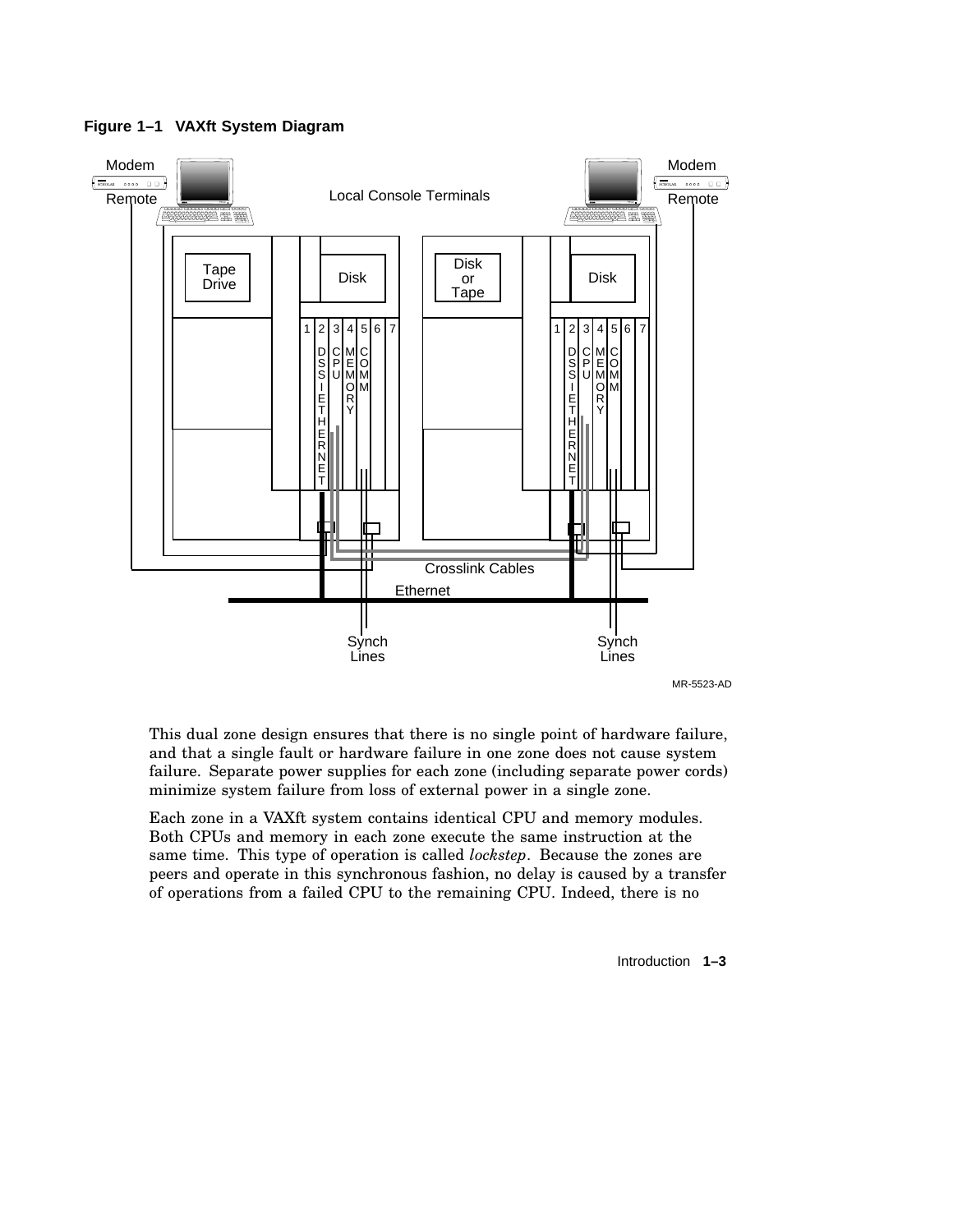

**Figure 1–1 VAXft System Diagram**

This dual zone design ensures that there is no single point of hardware failure, and that a single fault or hardware failure in one zone does not cause system failure. Separate power supplies for each zone (including separate power cords) minimize system failure from loss of external power in a single zone.

Each zone in a VAXft system contains identical CPU and memory modules. Both CPUs and memory in each zone execute the same instruction at the same time. This type of operation is called *lockstep*. Because the zones are peers and operate in this synchronous fashion, no delay is caused by a transfer of operations from a failed CPU to the remaining CPU. Indeed, there is no

Introduction **1–3**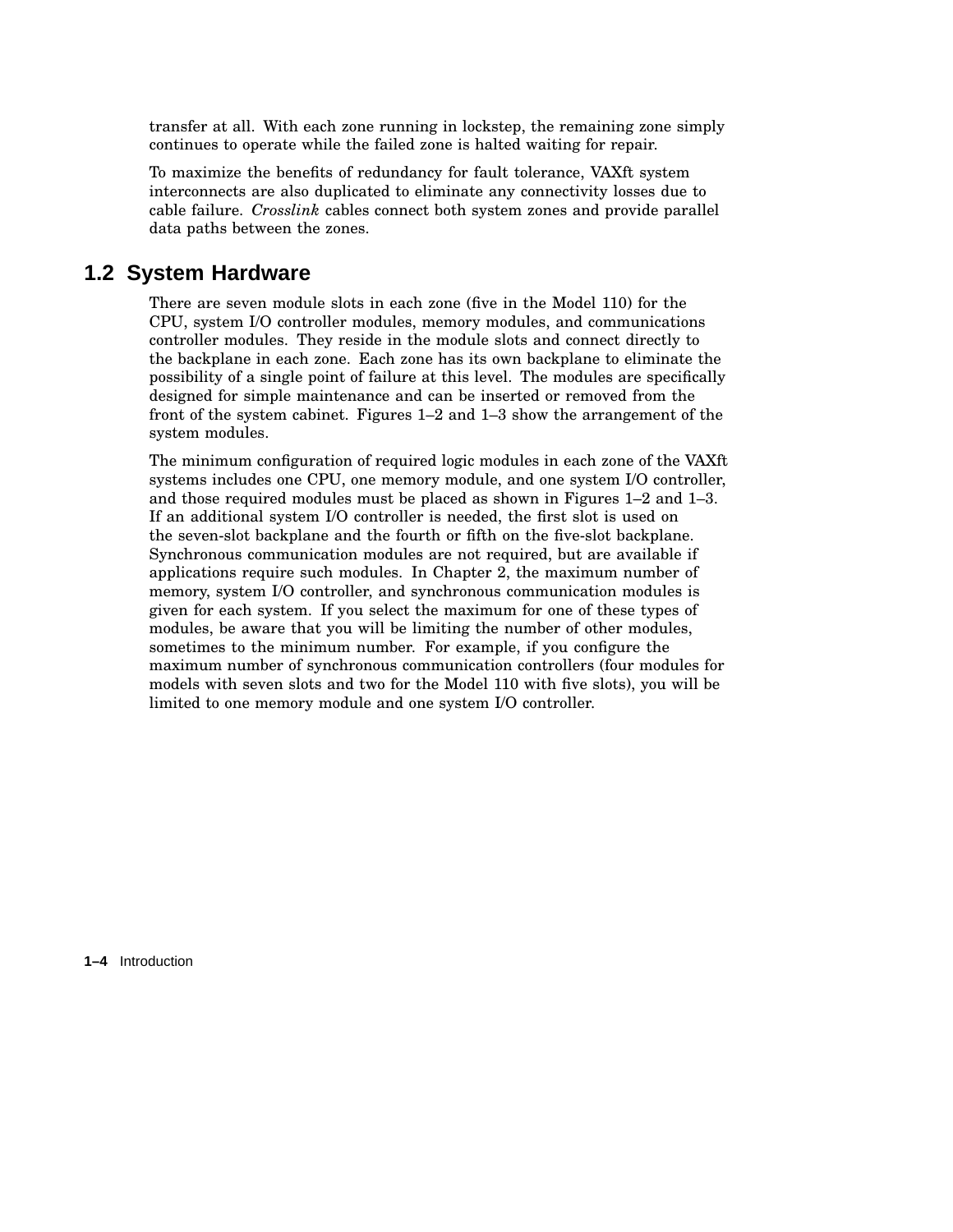transfer at all. With each zone running in lockstep, the remaining zone simply continues to operate while the failed zone is halted waiting for repair.

To maximize the benefits of redundancy for fault tolerance, VAXft system interconnects are also duplicated to eliminate any connectivity losses due to cable failure. *Crosslink* cables connect both system zones and provide parallel data paths between the zones.

### **1.2 System Hardware**

There are seven module slots in each zone (five in the Model 110) for the CPU, system I/O controller modules, memory modules, and communications controller modules. They reside in the module slots and connect directly to the backplane in each zone. Each zone has its own backplane to eliminate the possibility of a single point of failure at this level. The modules are specifically designed for simple maintenance and can be inserted or removed from the front of the system cabinet. Figures 1–2 and 1–3 show the arrangement of the system modules.

The minimum configuration of required logic modules in each zone of the VAXft systems includes one CPU, one memory module, and one system I/O controller, and those required modules must be placed as shown in Figures 1–2 and 1–3. If an additional system I/O controller is needed, the first slot is used on the seven-slot backplane and the fourth or fifth on the five-slot backplane. Synchronous communication modules are not required, but are available if applications require such modules. In Chapter 2, the maximum number of memory, system I/O controller, and synchronous communication modules is given for each system. If you select the maximum for one of these types of modules, be aware that you will be limiting the number of other modules, sometimes to the minimum number. For example, if you configure the maximum number of synchronous communication controllers (four modules for models with seven slots and two for the Model 110 with five slots), you will be limited to one memory module and one system I/O controller.

**1–4** Introduction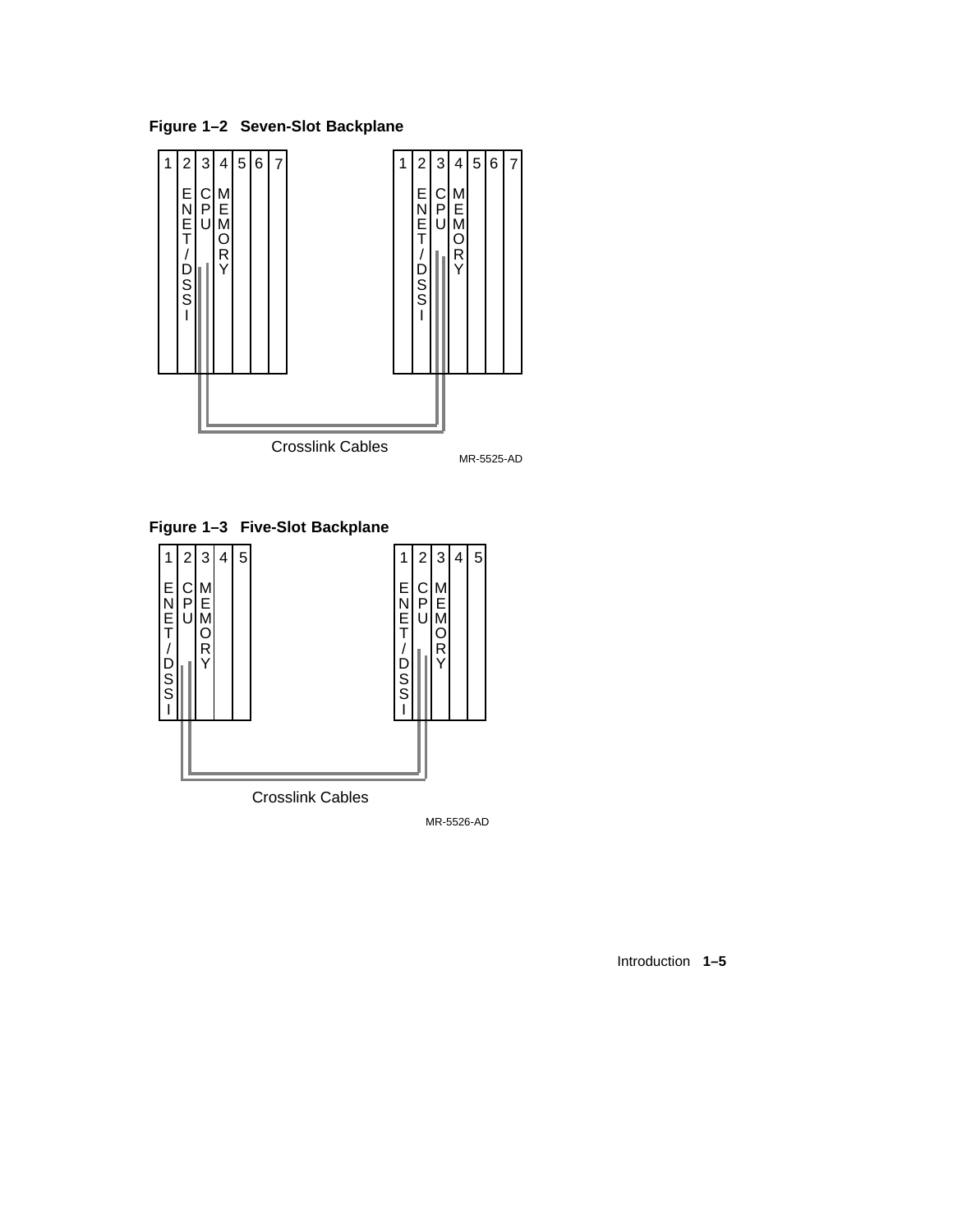**Figure 1–2 Seven-Slot Backplane**



**Figure 1–3 Five-Slot Backplane**



MR-5526-AD

Introduction **1–5**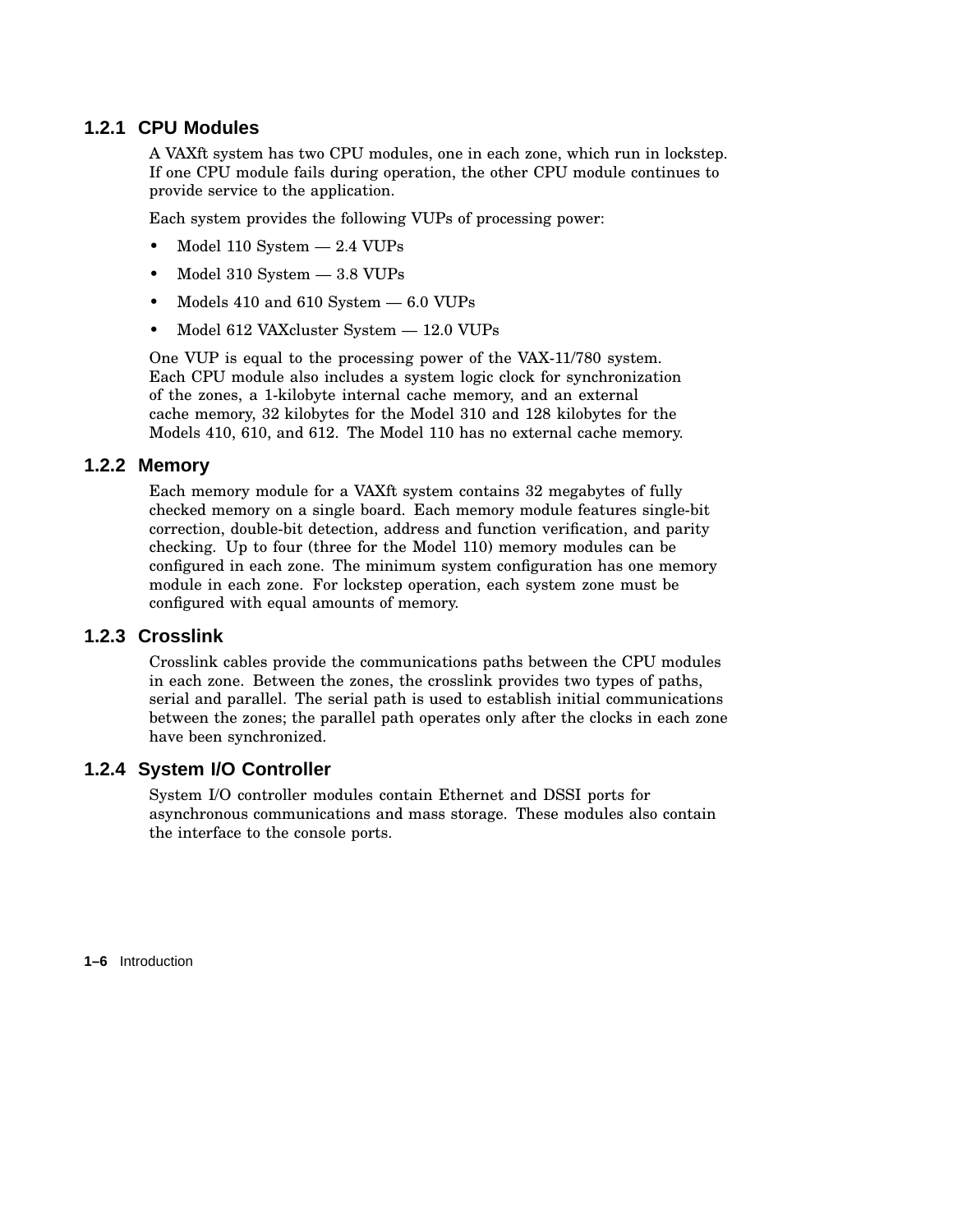### **1.2.1 CPU Modules**

A VAXft system has two CPU modules, one in each zone, which run in lockstep. If one CPU module fails during operation, the other CPU module continues to provide service to the application.

Each system provides the following VUPs of processing power:

- Model 110 System 2.4 VUPs
- Model 310 System  $-$  3.8 VUPs
- Models  $410$  and  $610$  System  $-6.0$  VUPs
- Model 612 VAXcluster System 12.0 VUPs

One VUP is equal to the processing power of the VAX-11/780 system. Each CPU module also includes a system logic clock for synchronization of the zones, a 1-kilobyte internal cache memory, and an external cache memory, 32 kilobytes for the Model 310 and 128 kilobytes for the Models 410, 610, and 612. The Model 110 has no external cache memory.

### **1.2.2 Memory**

Each memory module for a VAXft system contains 32 megabytes of fully checked memory on a single board. Each memory module features single-bit correction, double-bit detection, address and function verification, and parity checking. Up to four (three for the Model 110) memory modules can be configured in each zone. The minimum system configuration has one memory module in each zone. For lockstep operation, each system zone must be configured with equal amounts of memory.

### **1.2.3 Crosslink**

Crosslink cables provide the communications paths between the CPU modules in each zone. Between the zones, the crosslink provides two types of paths, serial and parallel. The serial path is used to establish initial communications between the zones; the parallel path operates only after the clocks in each zone have been synchronized.

### **1.2.4 System I/O Controller**

System I/O controller modules contain Ethernet and DSSI ports for asynchronous communications and mass storage. These modules also contain the interface to the console ports.

**1–6** Introduction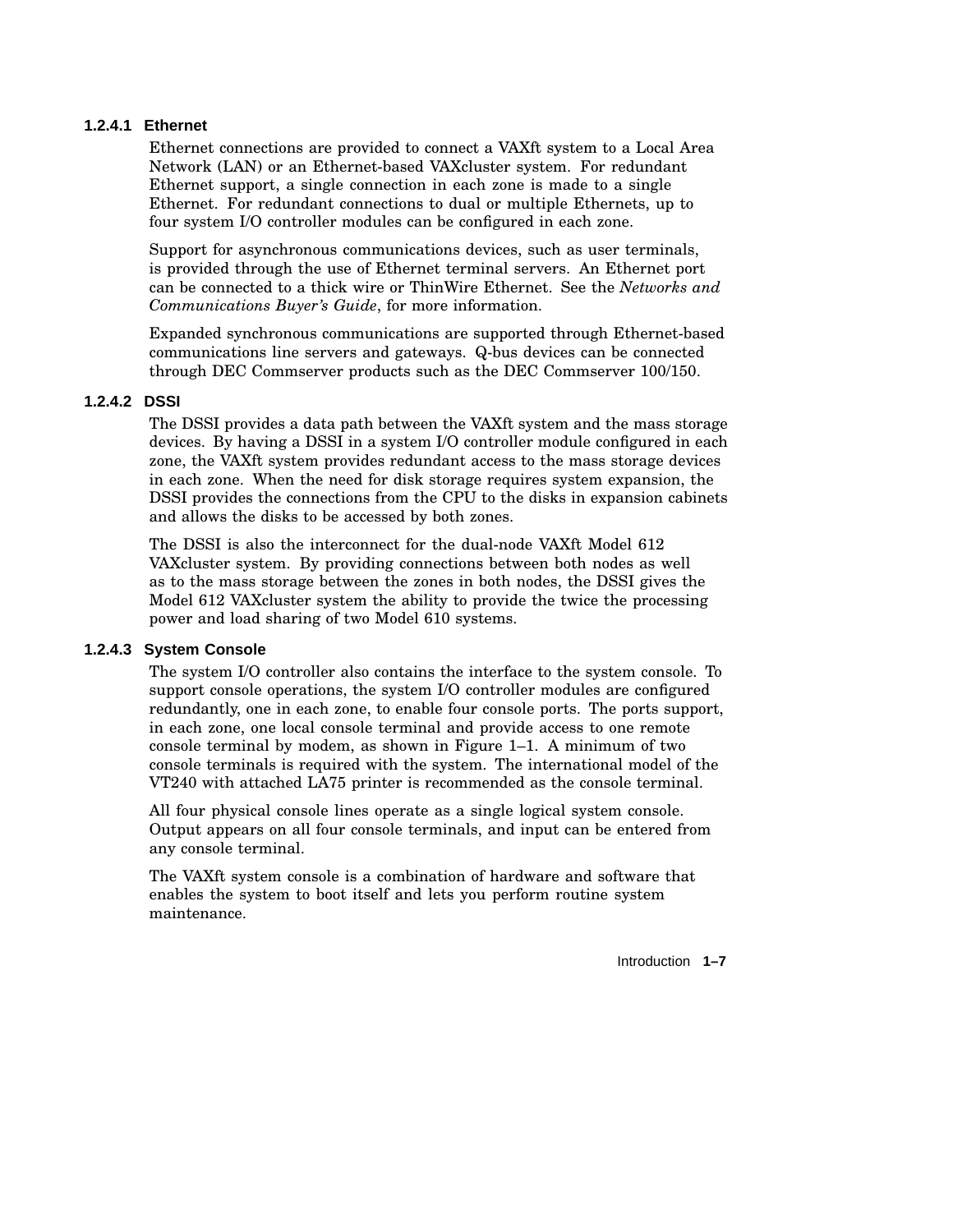### **1.2.4.1 Ethernet**

Ethernet connections are provided to connect a VAXft system to a Local Area Network (LAN) or an Ethernet-based VAXcluster system. For redundant Ethernet support, a single connection in each zone is made to a single Ethernet. For redundant connections to dual or multiple Ethernets, up to four system I/O controller modules can be configured in each zone.

Support for asynchronous communications devices, such as user terminals, is provided through the use of Ethernet terminal servers. An Ethernet port can be connected to a thick wire or ThinWire Ethernet. See the *Networks and Communications Buyer's Guide*, for more information.

Expanded synchronous communications are supported through Ethernet-based communications line servers and gateways. Q-bus devices can be connected through DEC Commserver products such as the DEC Commserver 100/150.

### **1.2.4.2 DSSI**

The DSSI provides a data path between the VAXft system and the mass storage devices. By having a DSSI in a system I/O controller module configured in each zone, the VAXft system provides redundant access to the mass storage devices in each zone. When the need for disk storage requires system expansion, the DSSI provides the connections from the CPU to the disks in expansion cabinets and allows the disks to be accessed by both zones.

The DSSI is also the interconnect for the dual-node VAXft Model 612 VAXcluster system. By providing connections between both nodes as well as to the mass storage between the zones in both nodes, the DSSI gives the Model 612 VAXcluster system the ability to provide the twice the processing power and load sharing of two Model 610 systems.

### **1.2.4.3 System Console**

The system I/O controller also contains the interface to the system console. To support console operations, the system I/O controller modules are configured redundantly, one in each zone, to enable four console ports. The ports support, in each zone, one local console terminal and provide access to one remote console terminal by modem, as shown in Figure 1–1. A minimum of two console terminals is required with the system. The international model of the VT240 with attached LA75 printer is recommended as the console terminal.

All four physical console lines operate as a single logical system console. Output appears on all four console terminals, and input can be entered from any console terminal.

The VAXft system console is a combination of hardware and software that enables the system to boot itself and lets you perform routine system maintenance.

Introduction **1–7**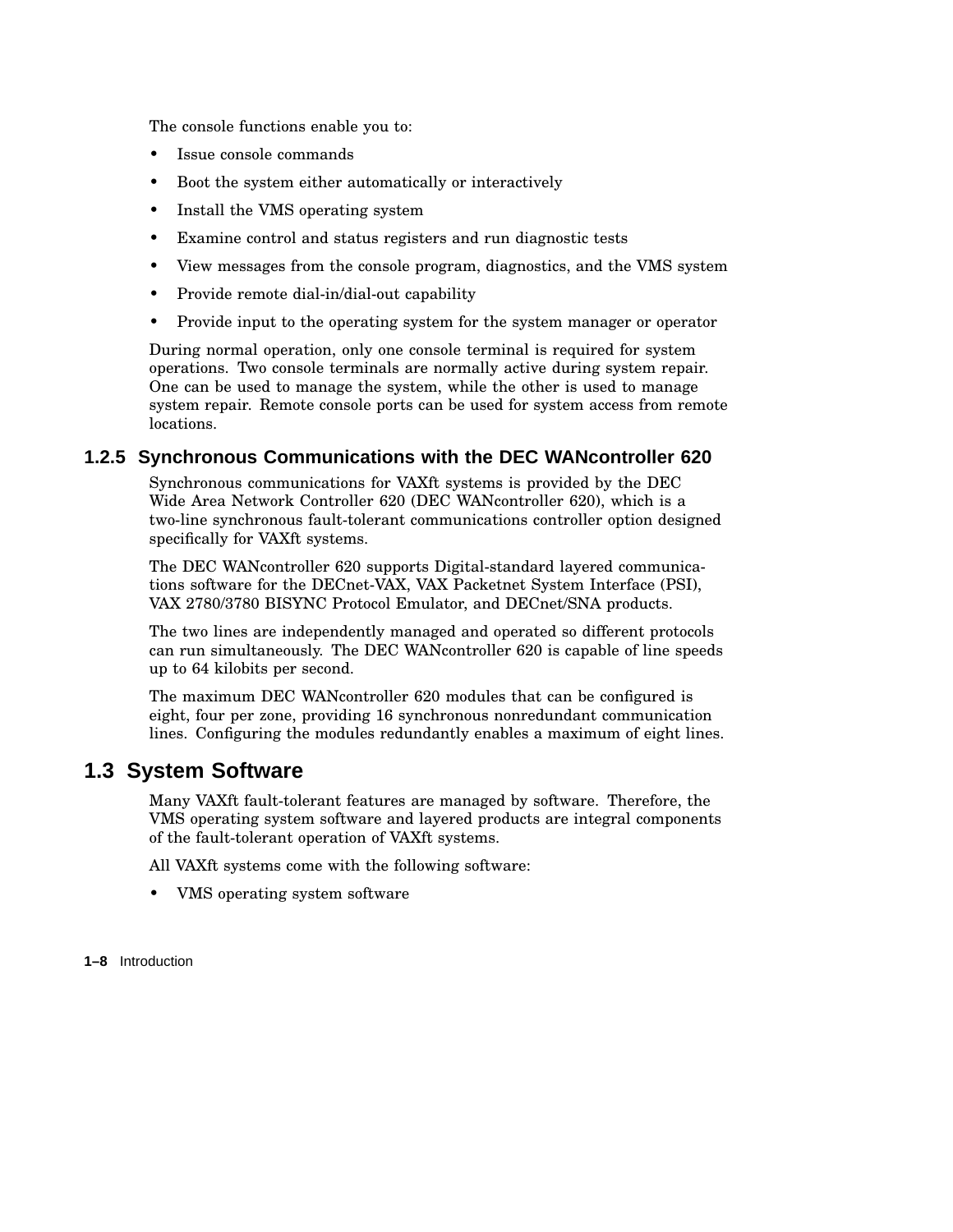The console functions enable you to:

- Issue console commands
- Boot the system either automatically or interactively
- Install the VMS operating system
- Examine control and status registers and run diagnostic tests
- View messages from the console program, diagnostics, and the VMS system
- Provide remote dial-in/dial-out capability
- Provide input to the operating system for the system manager or operator

During normal operation, only one console terminal is required for system operations. Two console terminals are normally active during system repair. One can be used to manage the system, while the other is used to manage system repair. Remote console ports can be used for system access from remote locations.

### **1.2.5 Synchronous Communications with the DEC WANcontroller 620**

Synchronous communications for VAXft systems is provided by the DEC Wide Area Network Controller 620 (DEC WANcontroller 620), which is a two-line synchronous fault-tolerant communications controller option designed specifically for VAXft systems.

The DEC WANcontroller 620 supports Digital-standard layered communications software for the DECnet-VAX, VAX Packetnet System Interface (PSI), VAX 2780/3780 BISYNC Protocol Emulator, and DECnet/SNA products.

The two lines are independently managed and operated so different protocols can run simultaneously. The DEC WANcontroller 620 is capable of line speeds up to 64 kilobits per second.

The maximum DEC WANcontroller 620 modules that can be configured is eight, four per zone, providing 16 synchronous nonredundant communication lines. Configuring the modules redundantly enables a maximum of eight lines.

### **1.3 System Software**

Many VAXft fault-tolerant features are managed by software. Therefore, the VMS operating system software and layered products are integral components of the fault-tolerant operation of VAXft systems.

All VAXft systems come with the following software:

• VMS operating system software

**1–8** Introduction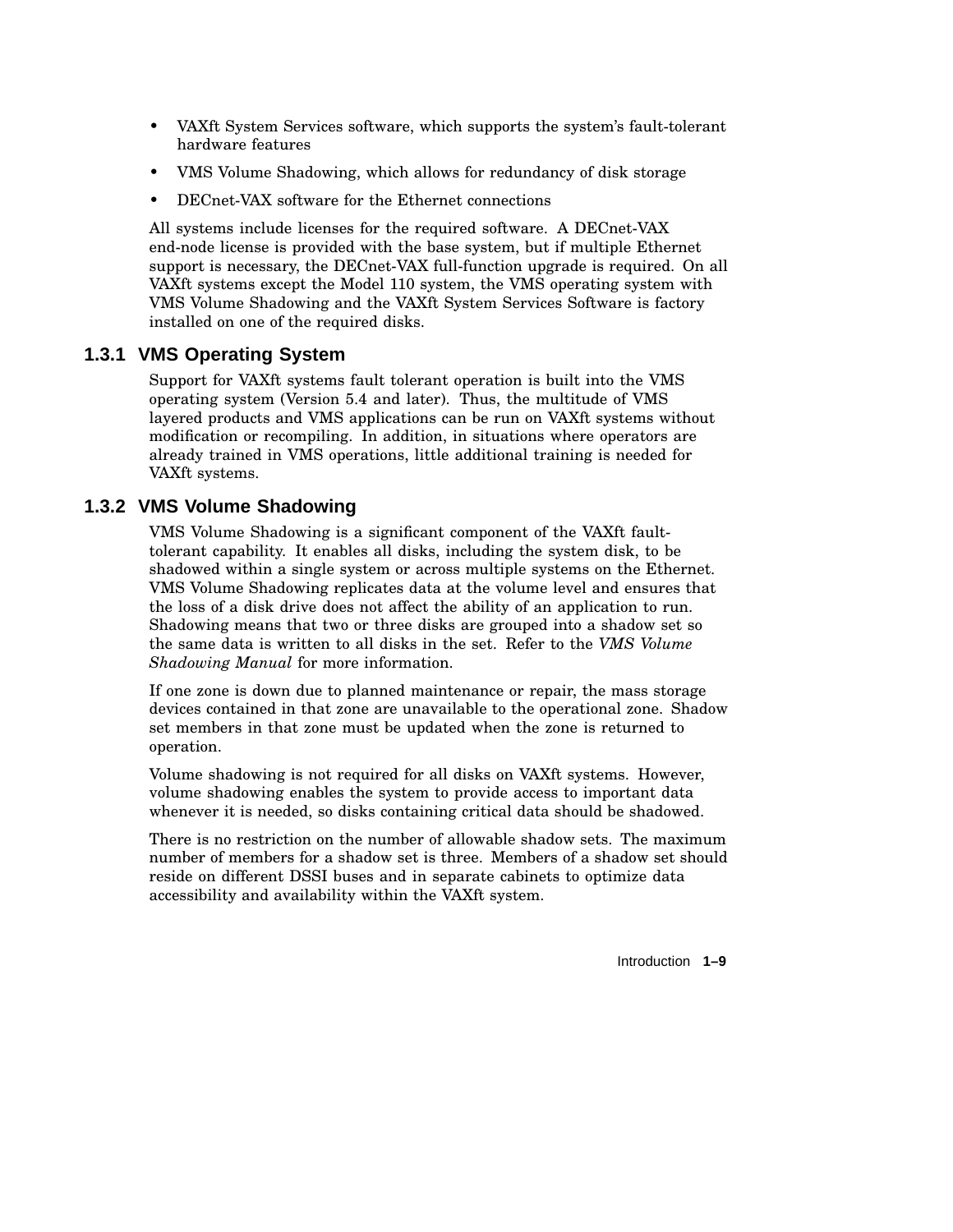- VAXft System Services software, which supports the system's fault-tolerant hardware features
- VMS Volume Shadowing, which allows for redundancy of disk storage
- DECnet-VAX software for the Ethernet connections

All systems include licenses for the required software. A DECnet-VAX end-node license is provided with the base system, but if multiple Ethernet support is necessary, the DECnet-VAX full-function upgrade is required. On all VAXft systems except the Model 110 system, the VMS operating system with VMS Volume Shadowing and the VAXft System Services Software is factory installed on one of the required disks.

### **1.3.1 VMS Operating System**

Support for VAXft systems fault tolerant operation is built into the VMS operating system (Version 5.4 and later). Thus, the multitude of VMS layered products and VMS applications can be run on VAXft systems without modification or recompiling. In addition, in situations where operators are already trained in VMS operations, little additional training is needed for VAXft systems.

### **1.3.2 VMS Volume Shadowing**

VMS Volume Shadowing is a significant component of the VAXft faulttolerant capability. It enables all disks, including the system disk, to be shadowed within a single system or across multiple systems on the Ethernet. VMS Volume Shadowing replicates data at the volume level and ensures that the loss of a disk drive does not affect the ability of an application to run. Shadowing means that two or three disks are grouped into a shadow set so the same data is written to all disks in the set. Refer to the *VMS Volume Shadowing Manual* for more information.

If one zone is down due to planned maintenance or repair, the mass storage devices contained in that zone are unavailable to the operational zone. Shadow set members in that zone must be updated when the zone is returned to operation.

Volume shadowing is not required for all disks on VAXft systems. However, volume shadowing enables the system to provide access to important data whenever it is needed, so disks containing critical data should be shadowed.

There is no restriction on the number of allowable shadow sets. The maximum number of members for a shadow set is three. Members of a shadow set should reside on different DSSI buses and in separate cabinets to optimize data accessibility and availability within the VAXft system.

Introduction **1–9**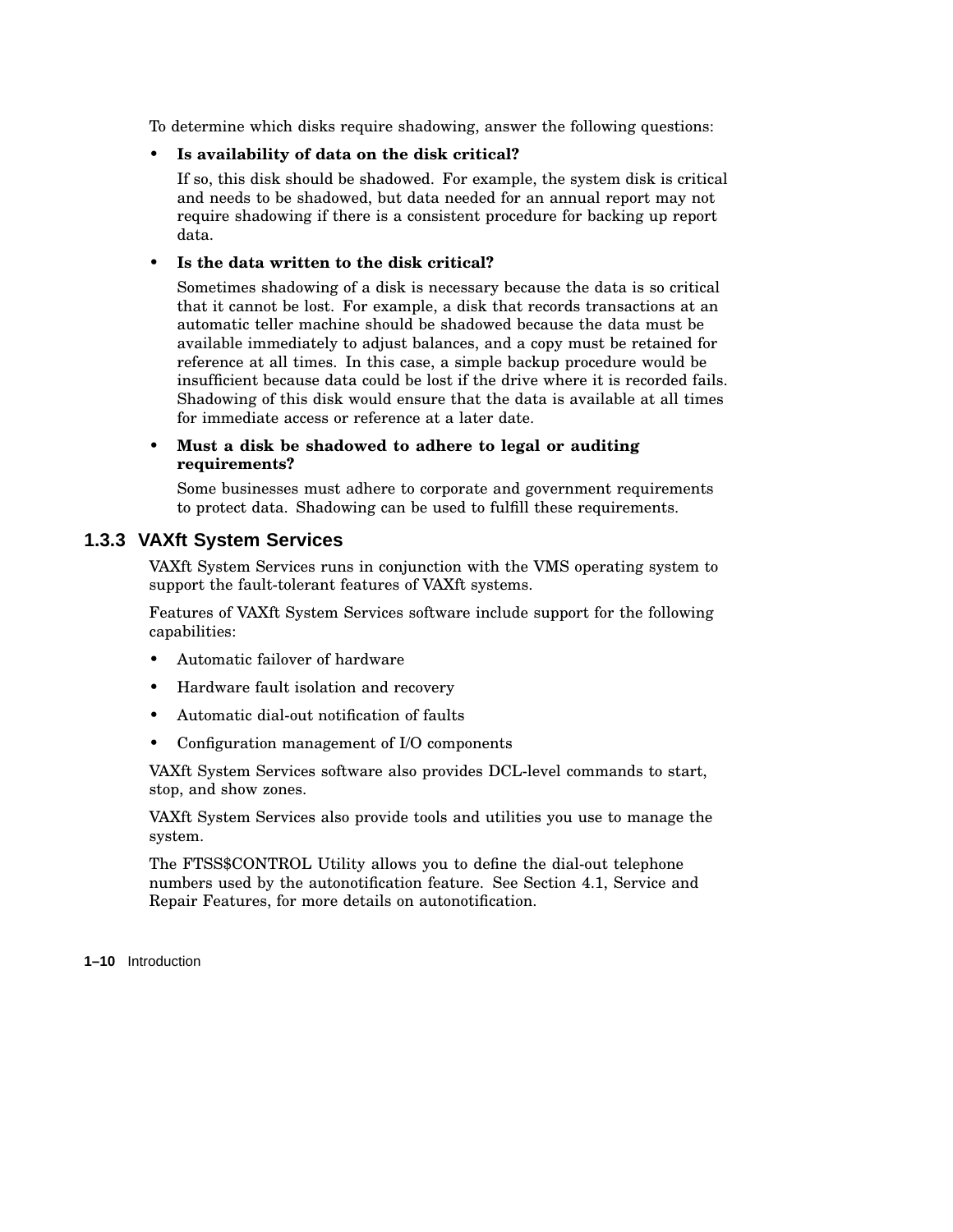To determine which disks require shadowing, answer the following questions:

### • **Is availability of data on the disk critical?**

If so, this disk should be shadowed. For example, the system disk is critical and needs to be shadowed, but data needed for an annual report may not require shadowing if there is a consistent procedure for backing up report data.

### • **Is the data written to the disk critical?**

Sometimes shadowing of a disk is necessary because the data is so critical that it cannot be lost. For example, a disk that records transactions at an automatic teller machine should be shadowed because the data must be available immediately to adjust balances, and a copy must be retained for reference at all times. In this case, a simple backup procedure would be insufficient because data could be lost if the drive where it is recorded fails. Shadowing of this disk would ensure that the data is available at all times for immediate access or reference at a later date.

### • **Must a disk be shadowed to adhere to legal or auditing requirements?**

Some businesses must adhere to corporate and government requirements to protect data. Shadowing can be used to fulfill these requirements.

### **1.3.3 VAXft System Services**

VAXft System Services runs in conjunction with the VMS operating system to support the fault-tolerant features of VAXft systems.

Features of VAXft System Services software include support for the following capabilities:

- Automatic failover of hardware
- Hardware fault isolation and recovery
- Automatic dial-out notification of faults
- Configuration management of I/O components

VAXft System Services software also provides DCL-level commands to start, stop, and show zones.

VAXft System Services also provide tools and utilities you use to manage the system.

The FTSS\$CONTROL Utility allows you to define the dial-out telephone numbers used by the autonotification feature. See Section 4.1, Service and Repair Features, for more details on autonotification.

**1–10** Introduction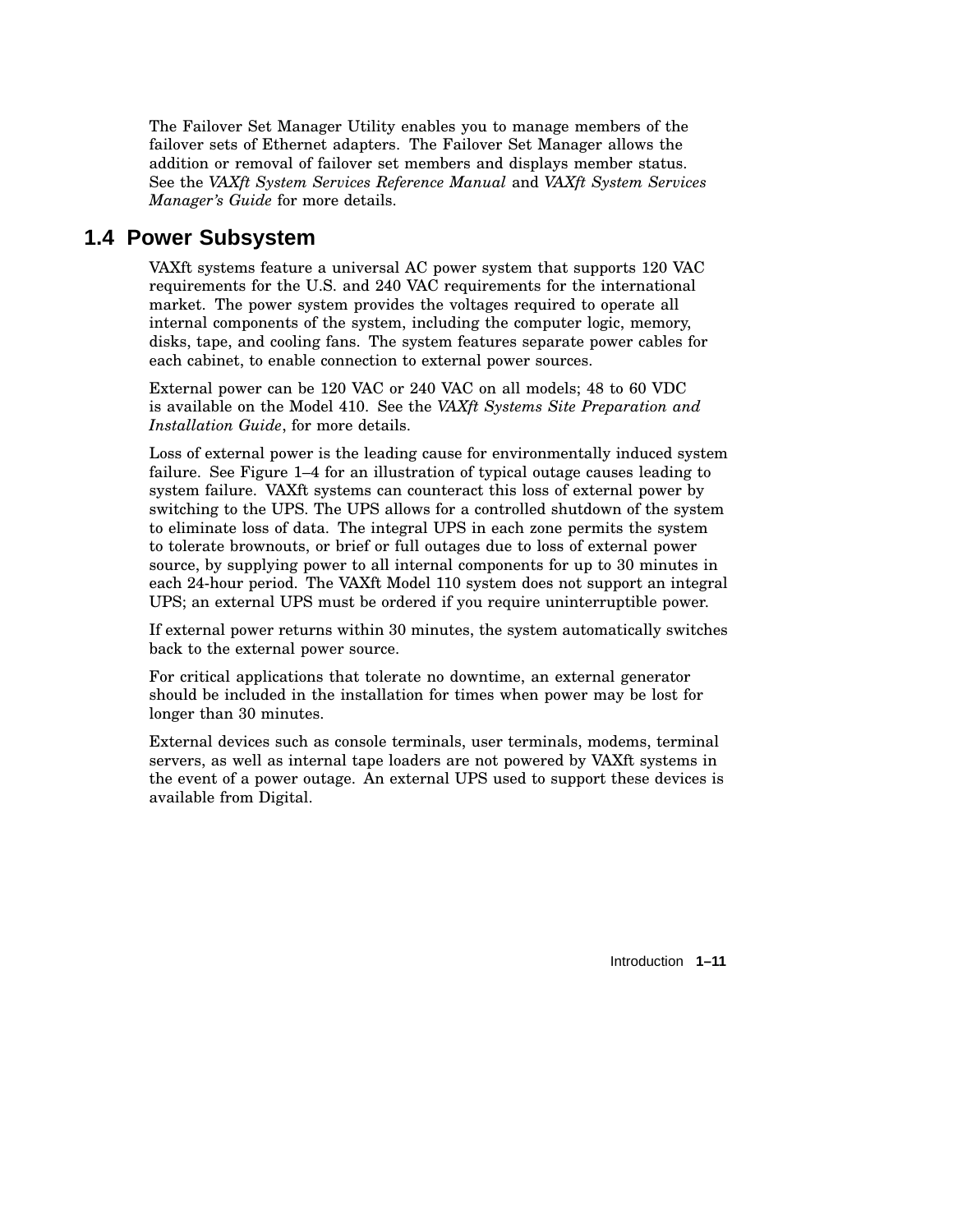The Failover Set Manager Utility enables you to manage members of the failover sets of Ethernet adapters. The Failover Set Manager allows the addition or removal of failover set members and displays member status. See the *VAXft System Services Reference Manual* and *VAXft System Services Manager's Guide* for more details.

### **1.4 Power Subsystem**

VAXft systems feature a universal AC power system that supports 120 VAC requirements for the U.S. and 240 VAC requirements for the international market. The power system provides the voltages required to operate all internal components of the system, including the computer logic, memory, disks, tape, and cooling fans. The system features separate power cables for each cabinet, to enable connection to external power sources.

External power can be 120 VAC or 240 VAC on all models; 48 to 60 VDC is available on the Model 410. See the *VAXft Systems Site Preparation and Installation Guide*, for more details.

Loss of external power is the leading cause for environmentally induced system failure. See Figure 1–4 for an illustration of typical outage causes leading to system failure. VAXft systems can counteract this loss of external power by switching to the UPS. The UPS allows for a controlled shutdown of the system to eliminate loss of data. The integral UPS in each zone permits the system to tolerate brownouts, or brief or full outages due to loss of external power source, by supplying power to all internal components for up to 30 minutes in each 24-hour period. The VAXft Model 110 system does not support an integral UPS; an external UPS must be ordered if you require uninterruptible power.

If external power returns within 30 minutes, the system automatically switches back to the external power source.

For critical applications that tolerate no downtime, an external generator should be included in the installation for times when power may be lost for longer than 30 minutes.

External devices such as console terminals, user terminals, modems, terminal servers, as well as internal tape loaders are not powered by VAXft systems in the event of a power outage. An external UPS used to support these devices is available from Digital.

Introduction **1–11**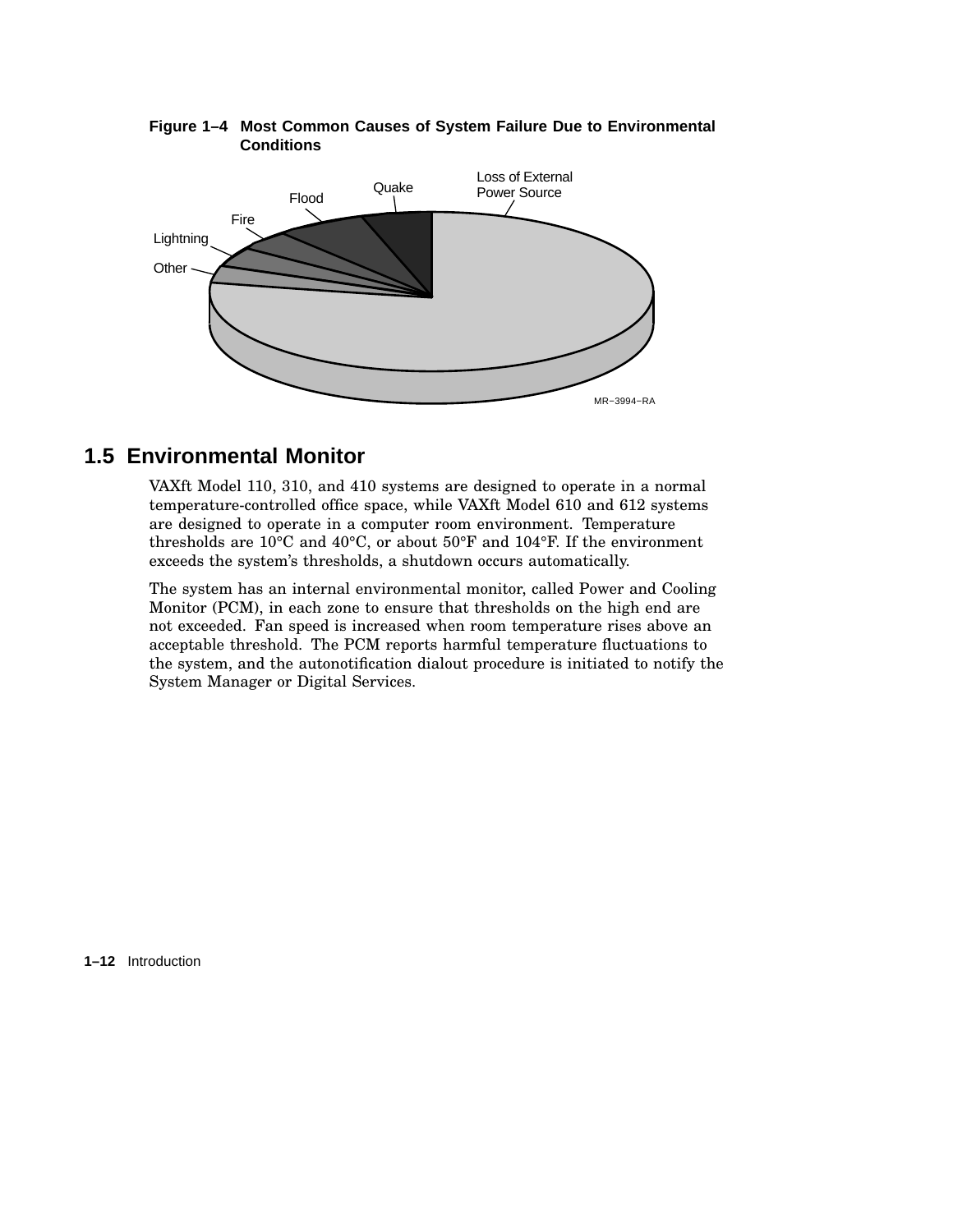

### **Figure 1–4 Most Common Causes of System Failure Due to Environmental Conditions**

## **1.5 Environmental Monitor**

VAXft Model 110, 310, and 410 systems are designed to operate in a normal temperature-controlled office space, while VAXft Model 610 and 612 systems are designed to operate in a computer room environment. Temperature thresholds are 10°C and 40°C, or about 50°F and 104°F. If the environment exceeds the system's thresholds, a shutdown occurs automatically.

The system has an internal environmental monitor, called Power and Cooling Monitor (PCM), in each zone to ensure that thresholds on the high end are not exceeded. Fan speed is increased when room temperature rises above an acceptable threshold. The PCM reports harmful temperature fluctuations to the system, and the autonotification dialout procedure is initiated to notify the System Manager or Digital Services.

**1–12** Introduction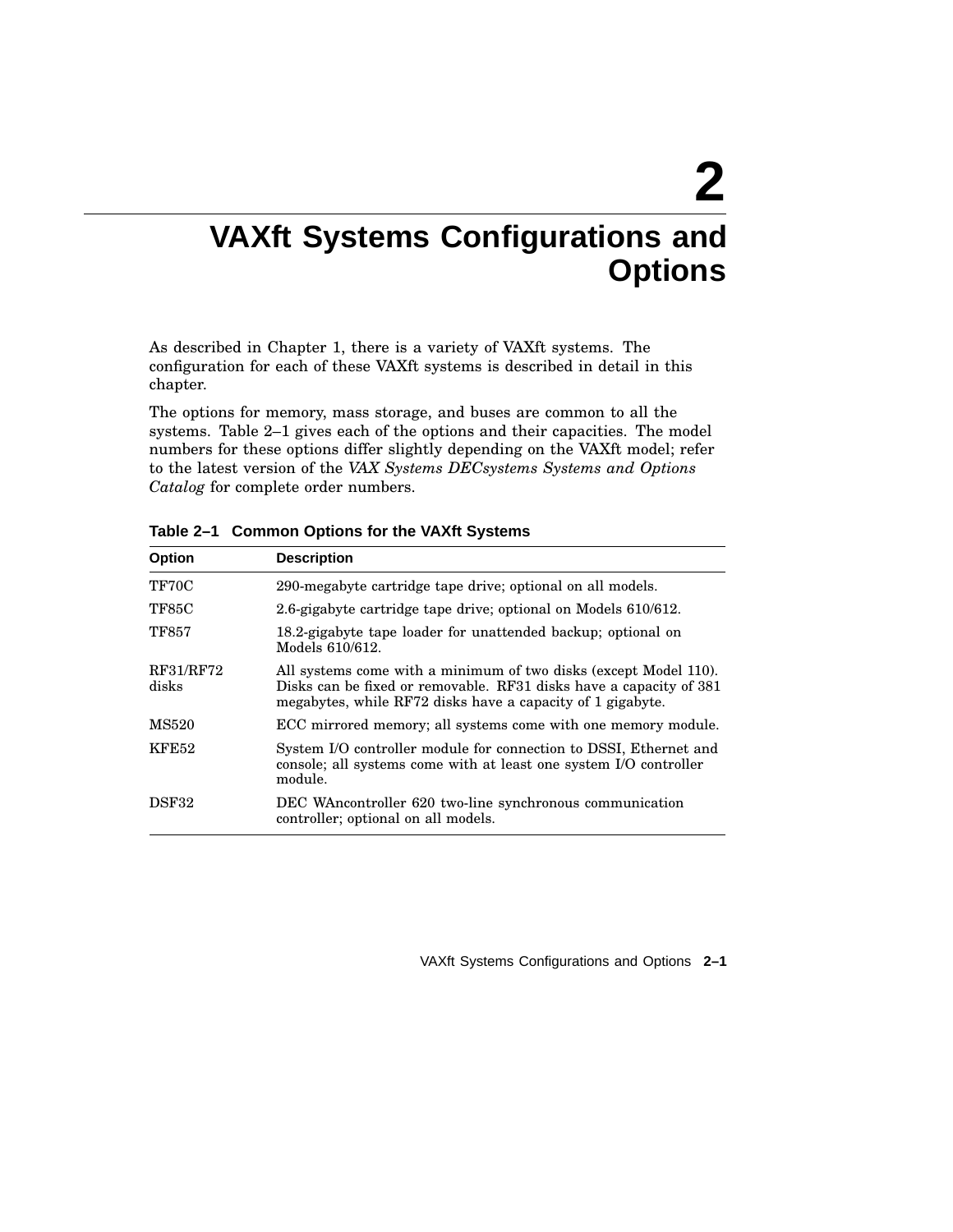# **2**

## **VAXft Systems Configurations and Options**

As described in Chapter 1, there is a variety of VAXft systems. The configuration for each of these VAXft systems is described in detail in this chapter.

The options for memory, mass storage, and buses are common to all the systems. Table 2–1 gives each of the options and their capacities. The model numbers for these options differ slightly depending on the VAXft model; refer to the latest version of the *VAX Systems DECsystems Systems and Options Catalog* for complete order numbers.

| <b>Option</b>      | <b>Description</b>                                                                                                                                                                                   |
|--------------------|------------------------------------------------------------------------------------------------------------------------------------------------------------------------------------------------------|
| TF70C              | 290-megabyte cartridge tape drive; optional on all models.                                                                                                                                           |
| <b>TF85C</b>       | 2.6-gigabyte cartridge tape drive; optional on Models 610/612.                                                                                                                                       |
| <b>TF857</b>       | 18.2-gigabyte tape loader for unattended backup; optional on<br>Models 610/612.                                                                                                                      |
| RF31/RF72<br>disks | All systems come with a minimum of two disks (except Model 110).<br>Disks can be fixed or removable. RF31 disks have a capacity of 381<br>megabytes, while RF72 disks have a capacity of 1 gigabyte. |
| MS520              | ECC mirrored memory; all systems come with one memory module.                                                                                                                                        |
| <b>KFE52</b>       | System I/O controller module for connection to DSSI, Ethernet and<br>console; all systems come with at least one system I/O controller<br>module.                                                    |
| DSF32              | DEC WAncontroller 620 two-line synchronous communication<br>controller; optional on all models.                                                                                                      |

**Table 2–1 Common Options for the VAXft Systems**

VAXft Systems Configurations and Options **2–1**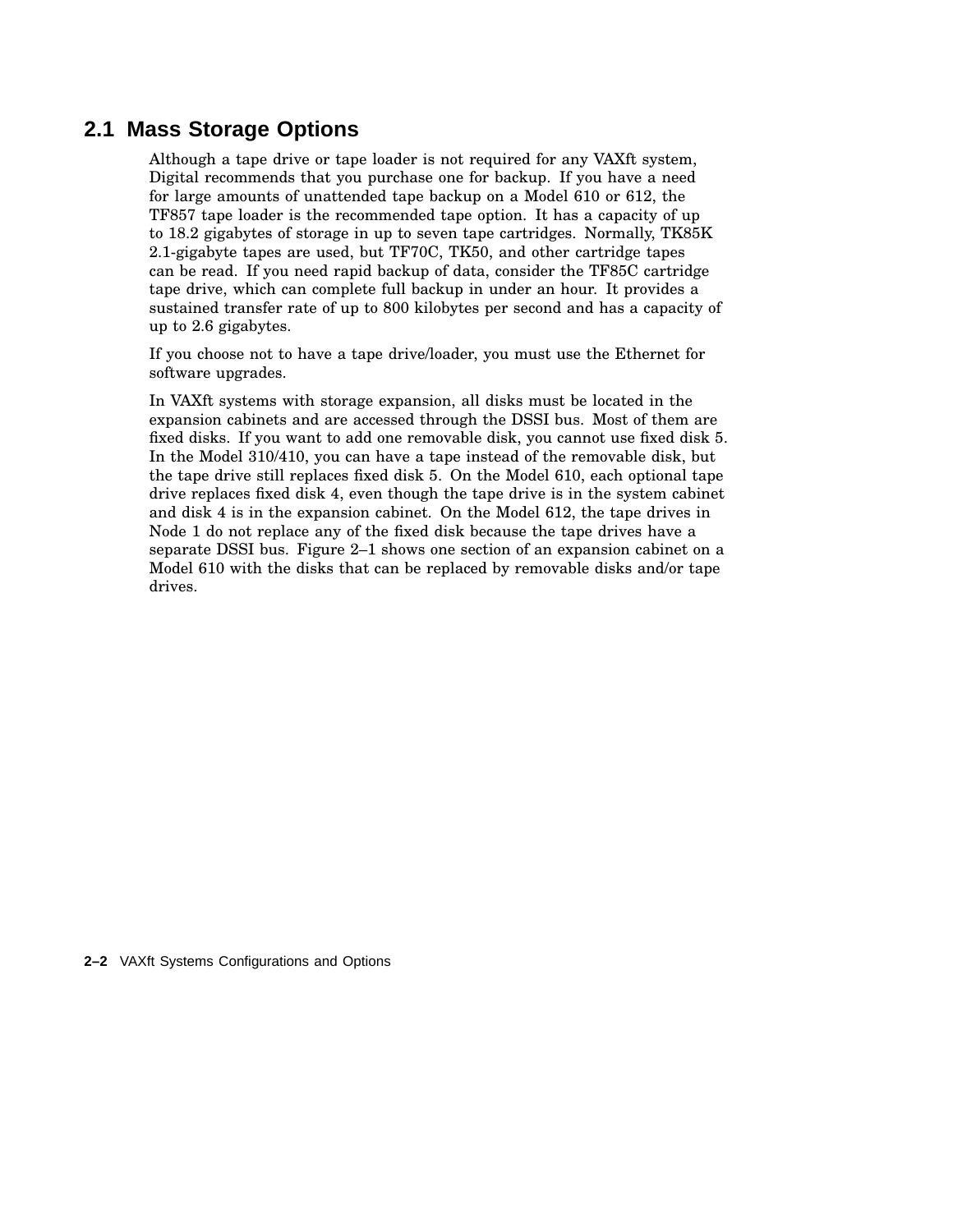## **2.1 Mass Storage Options**

Although a tape drive or tape loader is not required for any VAXft system, Digital recommends that you purchase one for backup. If you have a need for large amounts of unattended tape backup on a Model 610 or 612, the TF857 tape loader is the recommended tape option. It has a capacity of up to 18.2 gigabytes of storage in up to seven tape cartridges. Normally, TK85K 2.1-gigabyte tapes are used, but TF70C, TK50, and other cartridge tapes can be read. If you need rapid backup of data, consider the TF85C cartridge tape drive, which can complete full backup in under an hour. It provides a sustained transfer rate of up to 800 kilobytes per second and has a capacity of up to 2.6 gigabytes.

If you choose not to have a tape drive/loader, you must use the Ethernet for software upgrades.

In VAXft systems with storage expansion, all disks must be located in the expansion cabinets and are accessed through the DSSI bus. Most of them are fixed disks. If you want to add one removable disk, you cannot use fixed disk 5. In the Model 310/410, you can have a tape instead of the removable disk, but the tape drive still replaces fixed disk 5. On the Model 610, each optional tape drive replaces fixed disk 4, even though the tape drive is in the system cabinet and disk 4 is in the expansion cabinet. On the Model 612, the tape drives in Node 1 do not replace any of the fixed disk because the tape drives have a separate DSSI bus. Figure 2–1 shows one section of an expansion cabinet on a Model 610 with the disks that can be replaced by removable disks and/or tape drives.

**2–2** VAXft Systems Configurations and Options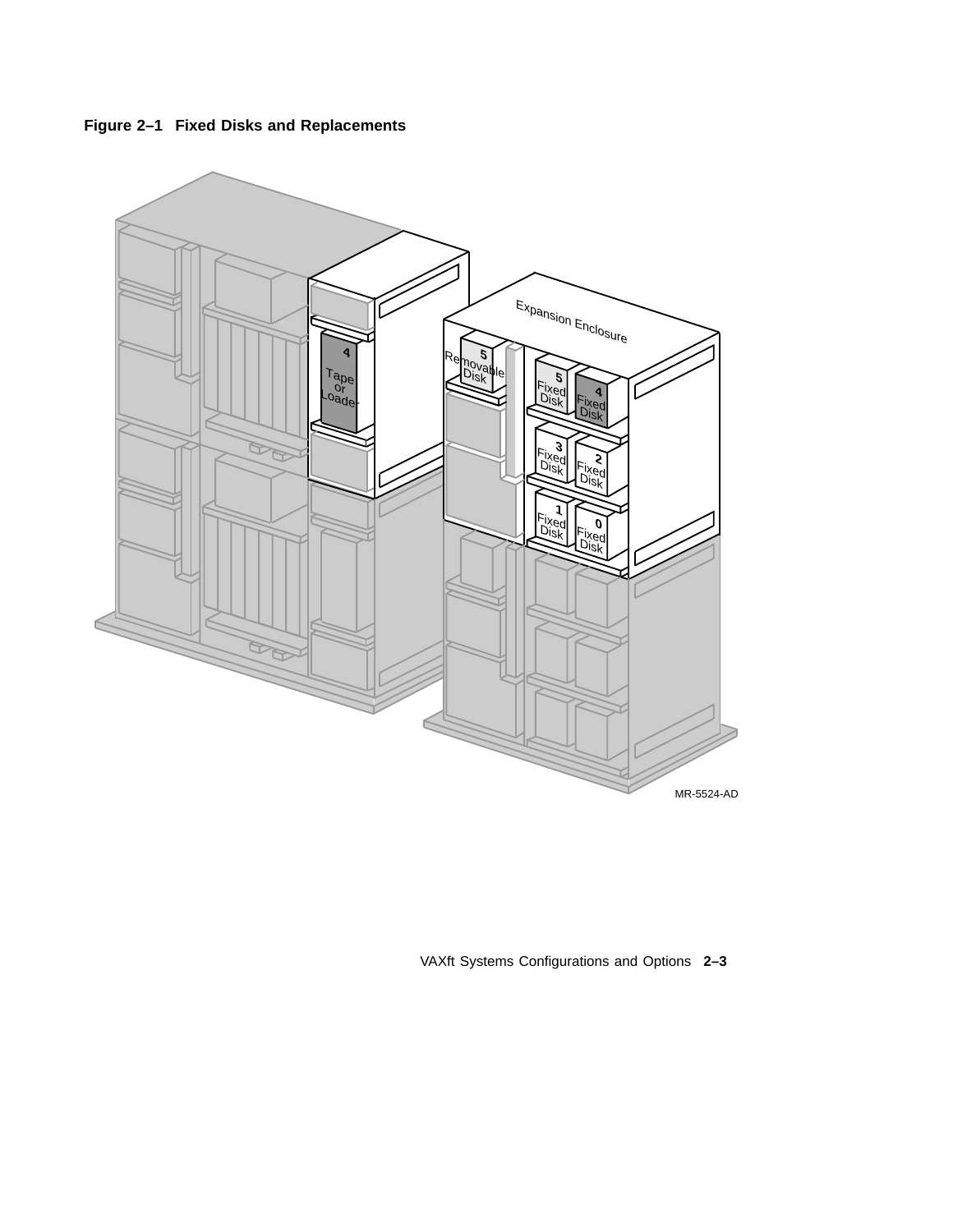



VAXft Systems Configurations and Options **2–3**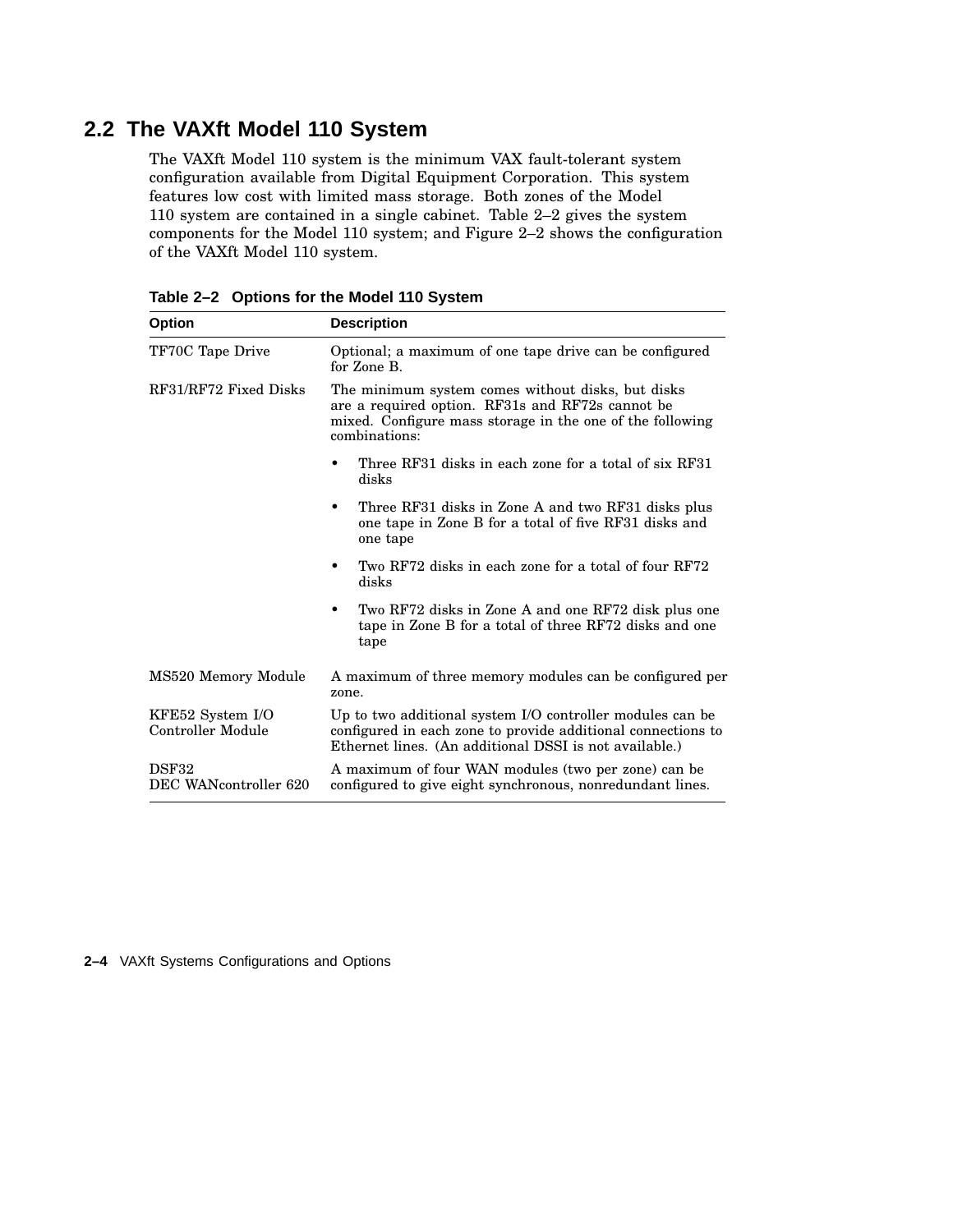## **2.2 The VAXft Model 110 System**

The VAXft Model 110 system is the minimum VAX fault-tolerant system configuration available from Digital Equipment Corporation. This system features low cost with limited mass storage. Both zones of the Model 110 system are contained in a single cabinet. Table 2–2 gives the system components for the Model 110 system; and Figure 2–2 shows the configuration of the VAXft Model 110 system.

| <b>Option</b>                         | <b>Description</b>                                                                                                                                                                  |
|---------------------------------------|-------------------------------------------------------------------------------------------------------------------------------------------------------------------------------------|
| TF70C Tape Drive                      | Optional; a maximum of one tape drive can be configured<br>for Zone B.                                                                                                              |
| RF31/RF72 Fixed Disks                 | The minimum system comes without disks, but disks<br>are a required option. RF31s and RF72s cannot be<br>mixed. Configure mass storage in the one of the following<br>combinations: |
|                                       | Three RF31 disks in each zone for a total of six RF31<br>٠<br>disks                                                                                                                 |
|                                       | Three RF31 disks in Zone A and two RF31 disks plus<br>one tape in Zone B for a total of five RF31 disks and<br>one tape                                                             |
|                                       | Two RF72 disks in each zone for a total of four RF72<br>٠<br>disks                                                                                                                  |
|                                       | Two RF72 disks in Zone A and one RF72 disk plus one<br>tape in Zone B for a total of three RF72 disks and one<br>tape                                                               |
| MS520 Memory Module                   | A maximum of three memory modules can be configured per<br>zone.                                                                                                                    |
| KFE52 System I/O<br>Controller Module | Up to two additional system I/O controller modules can be<br>configured in each zone to provide additional connections to<br>Ethernet lines. (An additional DSSI is not available.) |
| DSF32<br>DEC WANcontroller 620        | A maximum of four WAN modules (two per zone) can be<br>configured to give eight synchronous, nonredundant lines.                                                                    |

**Table 2–2 Options for the Model 110 System**

**2–4** VAXft Systems Configurations and Options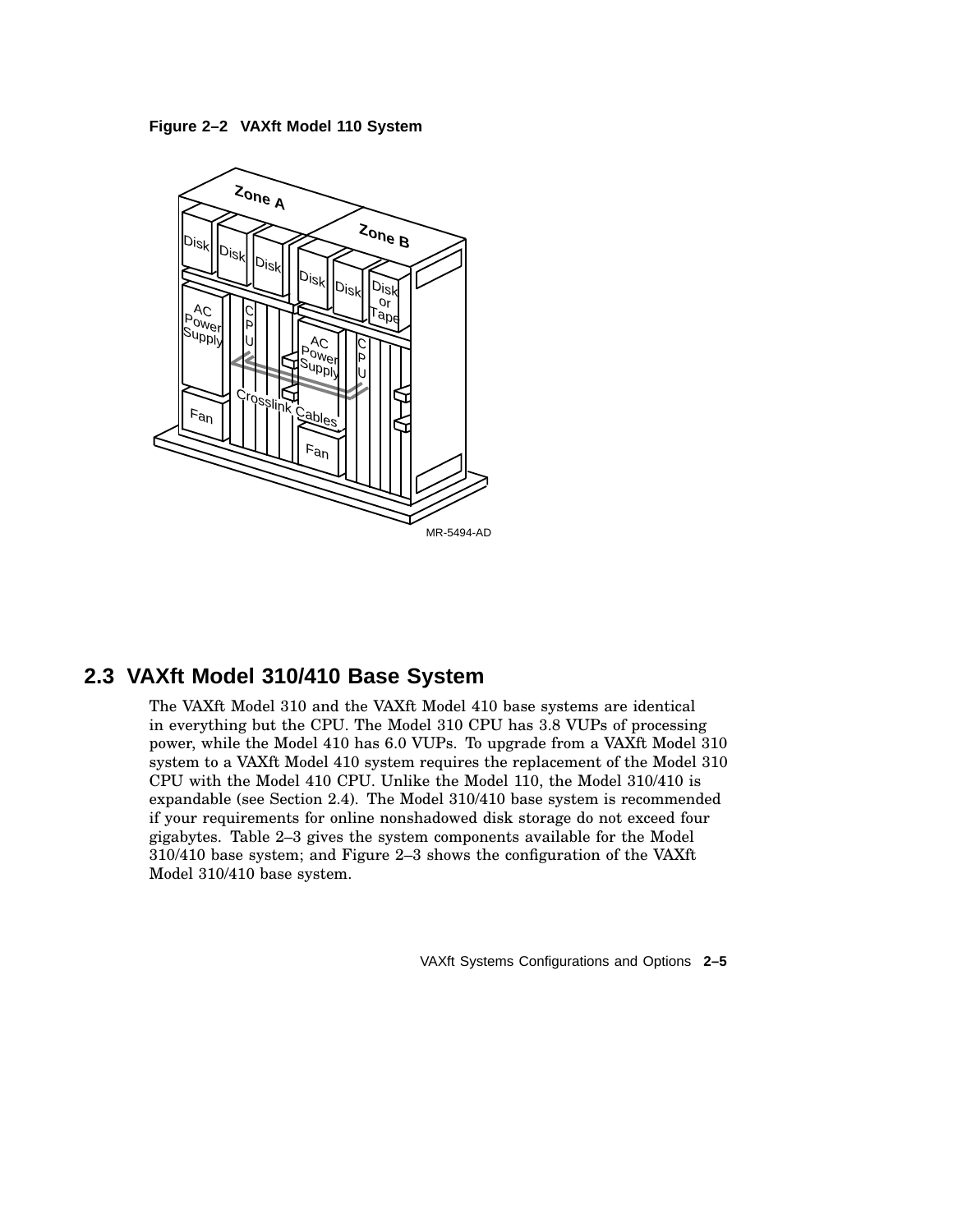



## **2.3 VAXft Model 310/410 Base System**

The VAXft Model 310 and the VAXft Model 410 base systems are identical in everything but the CPU. The Model 310 CPU has 3.8 VUPs of processing power, while the Model 410 has 6.0 VUPs. To upgrade from a VAXft Model 310 system to a VAXft Model 410 system requires the replacement of the Model 310 CPU with the Model 410 CPU. Unlike the Model 110, the Model 310/410 is expandable (see Section 2.4). The Model 310/410 base system is recommended if your requirements for online nonshadowed disk storage do not exceed four gigabytes. Table 2–3 gives the system components available for the Model 310/410 base system; and Figure 2–3 shows the configuration of the VAXft Model 310/410 base system.

VAXft Systems Configurations and Options **2–5**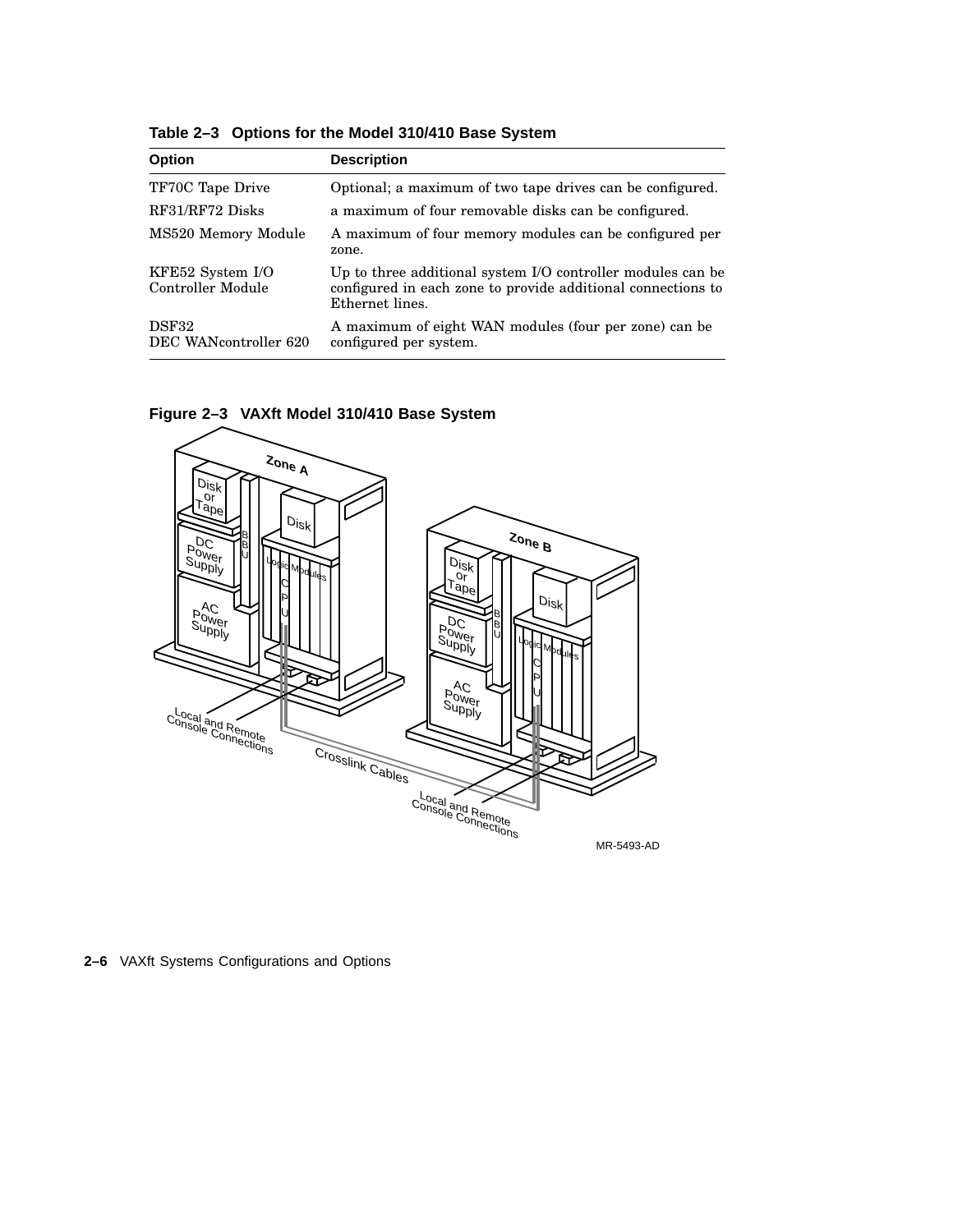| <b>Option</b>                         | <b>Description</b>                                                                                                                             |
|---------------------------------------|------------------------------------------------------------------------------------------------------------------------------------------------|
| TF70C Tape Drive                      | Optional; a maximum of two tape drives can be configured.                                                                                      |
| RF31/RF72 Disks                       | a maximum of four removable disks can be configured.                                                                                           |
| MS520 Memory Module                   | A maximum of four memory modules can be configured per<br>zone.                                                                                |
| KFE52 System I/O<br>Controller Module | Up to three additional system I/O controller modules can be<br>configured in each zone to provide additional connections to<br>Ethernet lines. |
| DSF32<br>DEC WANcontroller 620        | A maximum of eight WAN modules (four per zone) can be<br>configured per system.                                                                |







**2–6** VAXft Systems Configurations and Options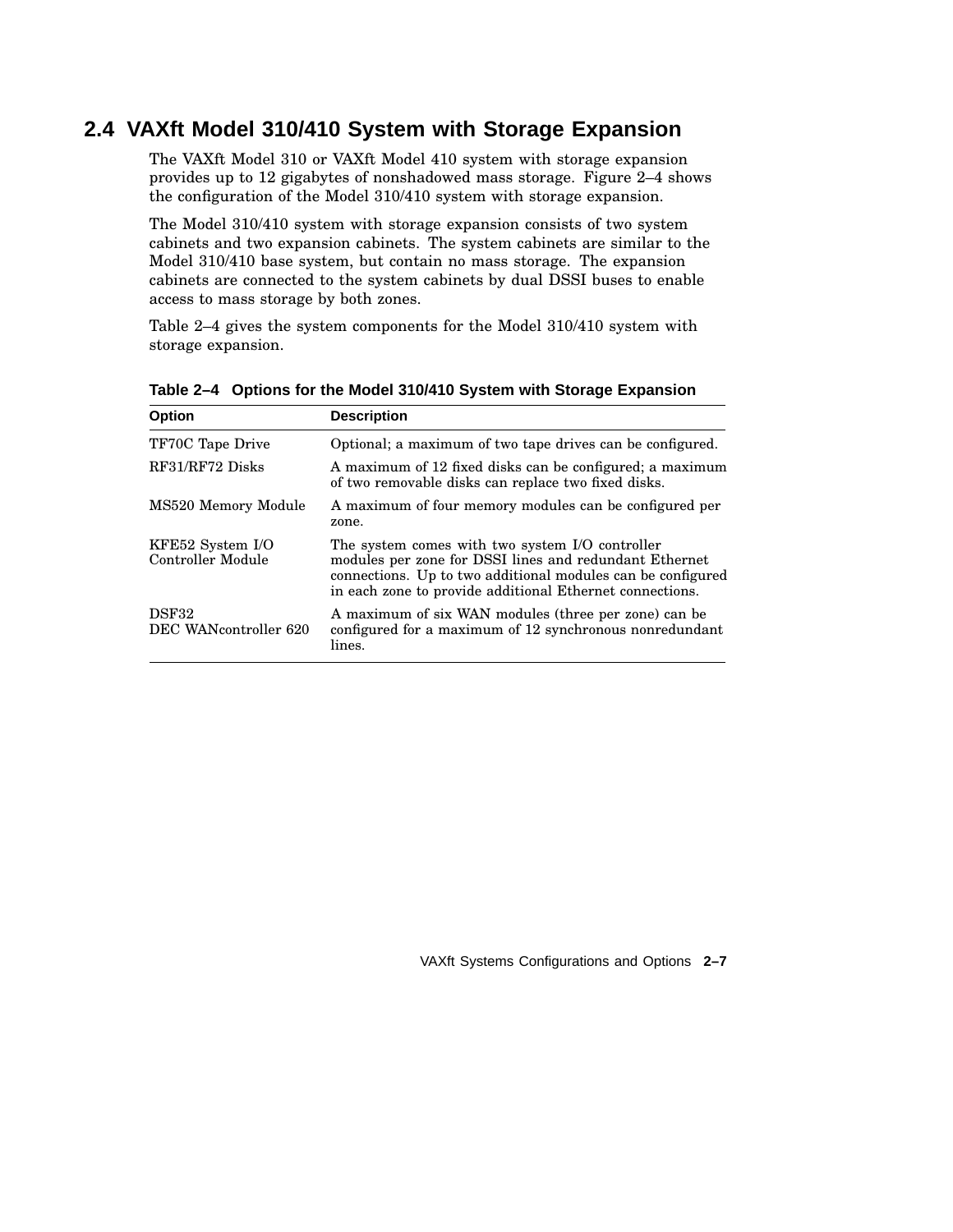## **2.4 VAXft Model 310/410 System with Storage Expansion**

The VAXft Model 310 or VAXft Model 410 system with storage expansion provides up to 12 gigabytes of nonshadowed mass storage. Figure 2–4 shows the configuration of the Model 310/410 system with storage expansion.

The Model 310/410 system with storage expansion consists of two system cabinets and two expansion cabinets. The system cabinets are similar to the Model 310/410 base system, but contain no mass storage. The expansion cabinets are connected to the system cabinets by dual DSSI buses to enable access to mass storage by both zones.

Table 2–4 gives the system components for the Model 310/410 system with storage expansion.

| <b>Option</b>                         | <b>Description</b>                                                                                                                                                                                                                   |
|---------------------------------------|--------------------------------------------------------------------------------------------------------------------------------------------------------------------------------------------------------------------------------------|
| TF70C Tape Drive                      | Optional; a maximum of two tape drives can be configured.                                                                                                                                                                            |
| RF31/RF72 Disks                       | A maximum of 12 fixed disks can be configured; a maximum<br>of two removable disks can replace two fixed disks.                                                                                                                      |
| MS520 Memory Module                   | A maximum of four memory modules can be configured per<br>zone.                                                                                                                                                                      |
| KFE52 System I/O<br>Controller Module | The system comes with two system I/O controller<br>modules per zone for DSSI lines and redundant Ethernet<br>connections. Up to two additional modules can be configured<br>in each zone to provide additional Ethernet connections. |
| DSF32<br>DEC WANcontroller 620        | A maximum of six WAN modules (three per zone) can be<br>configured for a maximum of 12 synchronous nonredundant<br>lines.                                                                                                            |

**Table 2–4 Options for the Model 310/410 System with Storage Expansion**

VAXft Systems Configurations and Options **2–7**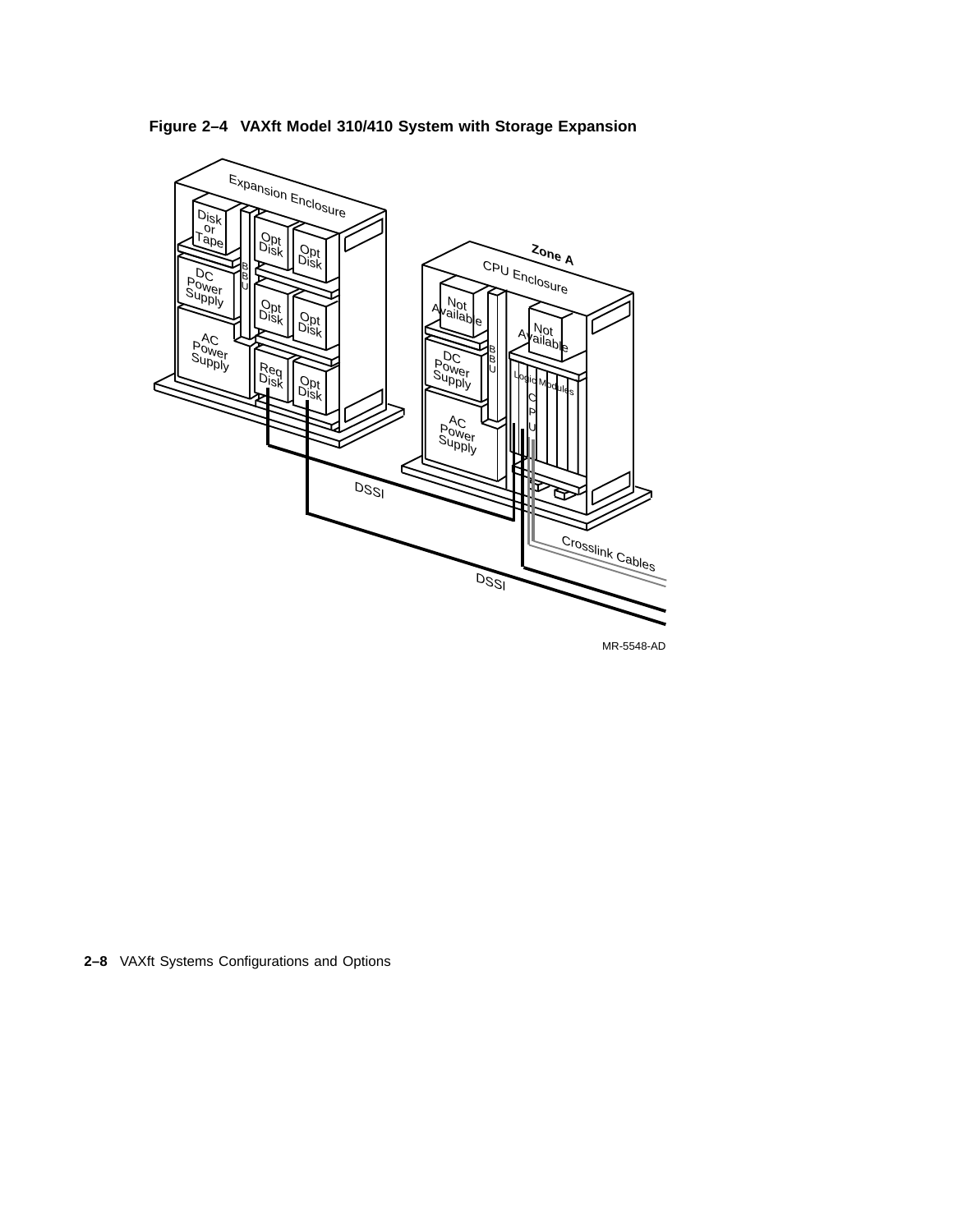**Figure 2–4 VAXft Model 310/410 System with Storage Expansion**



MR-5548-AD

**2–8** VAXft Systems Configurations and Options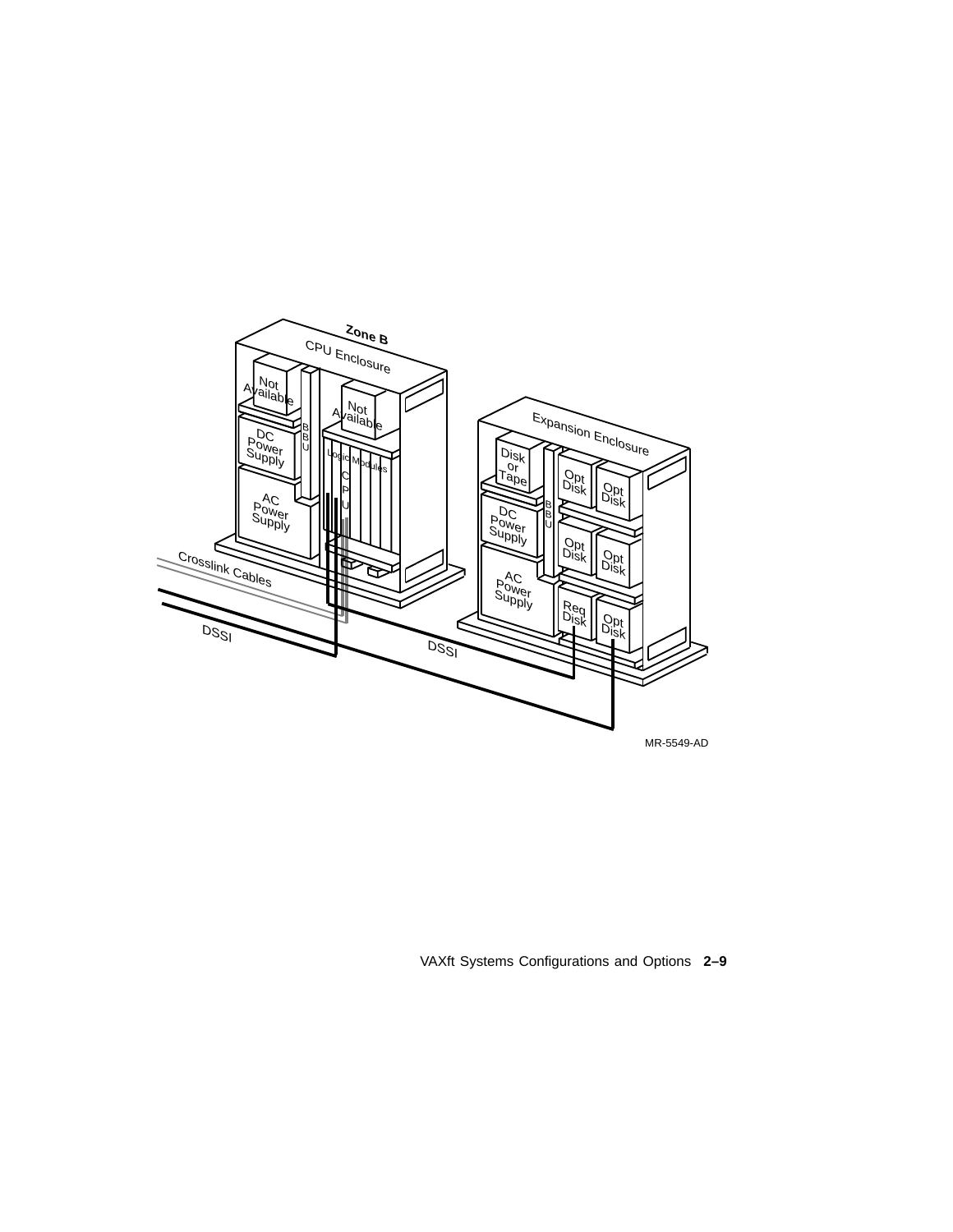

VAXft Systems Configurations and Options **2–9**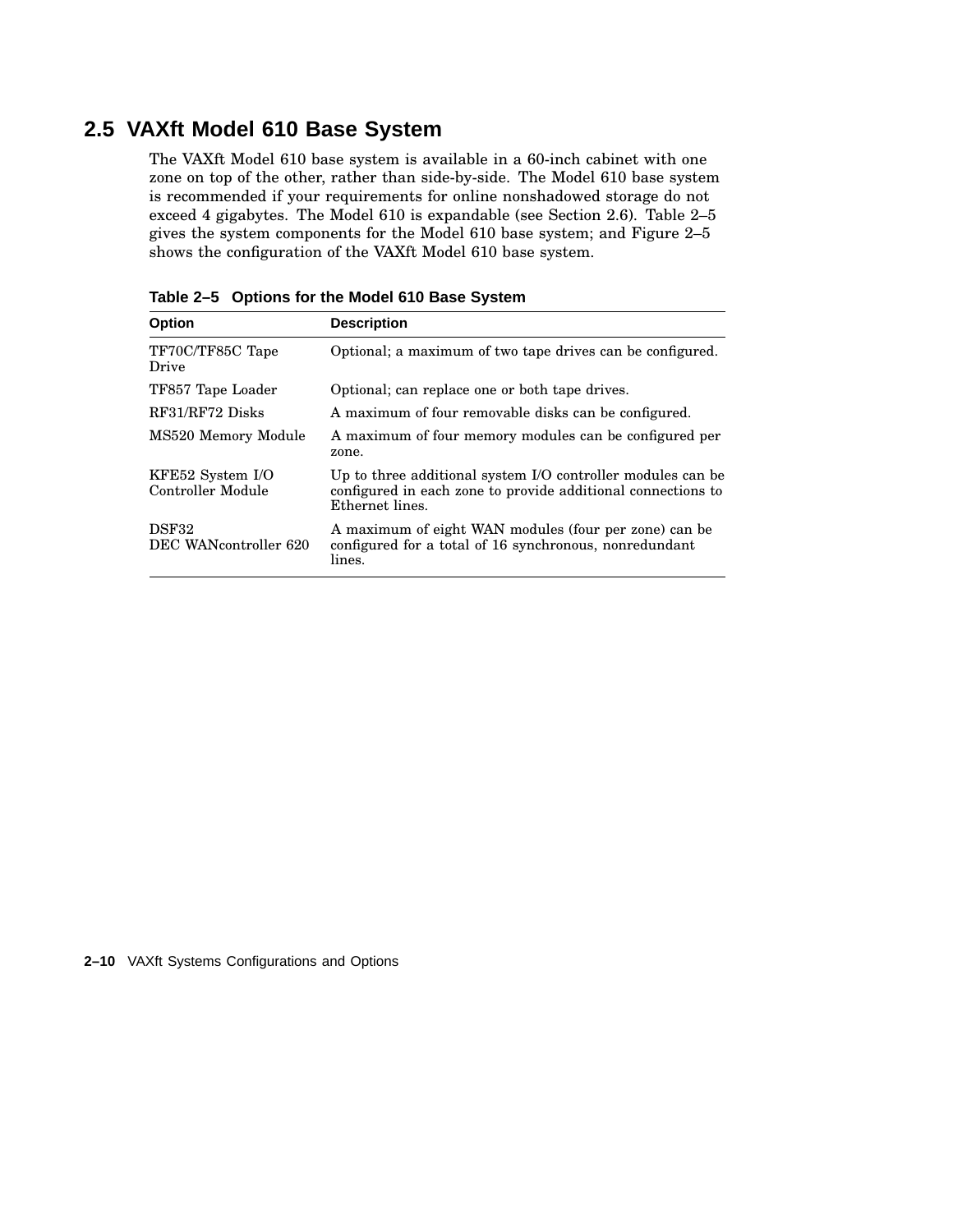## **2.5 VAXft Model 610 Base System**

The VAXft Model 610 base system is available in a 60-inch cabinet with one zone on top of the other, rather than side-by-side. The Model 610 base system is recommended if your requirements for online nonshadowed storage do not exceed 4 gigabytes. The Model 610 is expandable (see Section 2.6). Table 2–5 gives the system components for the Model 610 base system; and Figure 2–5 shows the configuration of the VAXft Model 610 base system.

| <b>Option</b>                         | <b>Description</b>                                                                                                                             |
|---------------------------------------|------------------------------------------------------------------------------------------------------------------------------------------------|
| TF70C/TF85C Tape<br>Drive             | Optional; a maximum of two tape drives can be configured.                                                                                      |
| TF857 Tape Loader                     | Optional; can replace one or both tape drives.                                                                                                 |
| RF31/RF72 Disks                       | A maximum of four removable disks can be configured.                                                                                           |
| MS520 Memory Module                   | A maximum of four memory modules can be configured per<br>zone.                                                                                |
| KFE52 System I/O<br>Controller Module | Up to three additional system I/O controller modules can be<br>configured in each zone to provide additional connections to<br>Ethernet lines. |
| DSF32<br>DEC WANcontroller 620        | A maximum of eight WAN modules (four per zone) can be<br>configured for a total of 16 synchronous, nonredundant<br>lines.                      |

**Table 2–5 Options for the Model 610 Base System**

**2–10** VAXft Systems Configurations and Options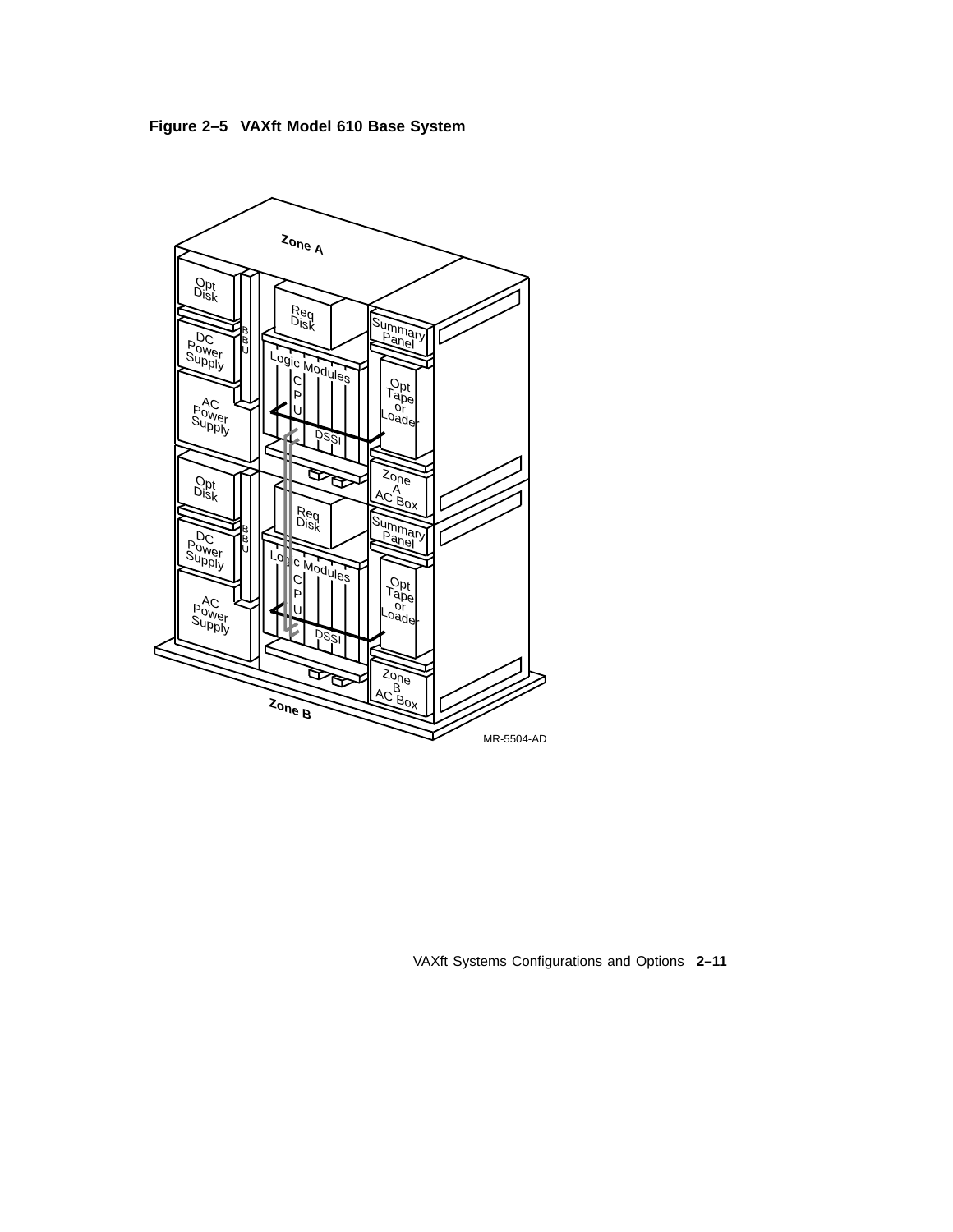**Figure 2–5 VAXft Model 610 Base System**



VAXft Systems Configurations and Options **2–11**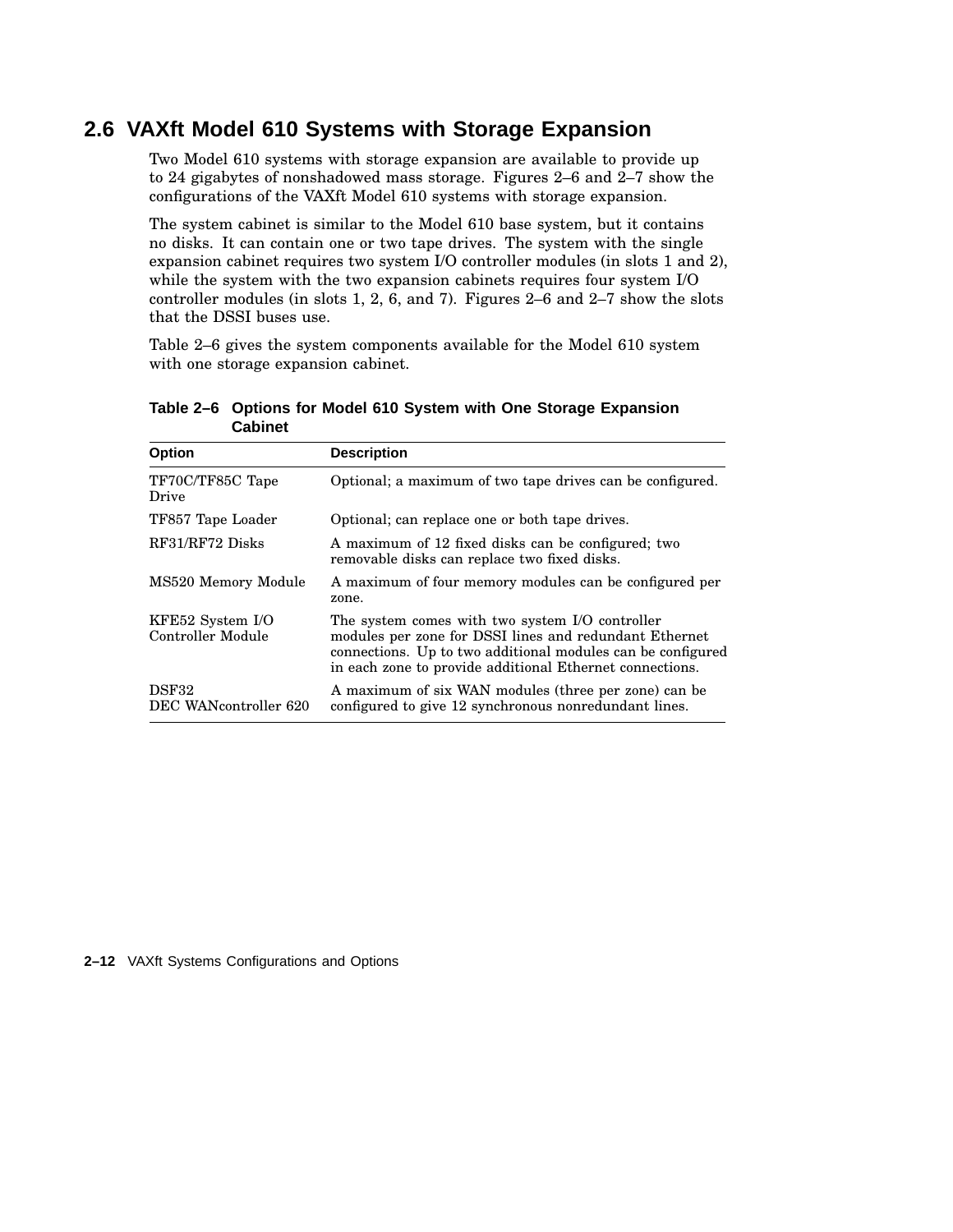## **2.6 VAXft Model 610 Systems with Storage Expansion**

Two Model 610 systems with storage expansion are available to provide up to 24 gigabytes of nonshadowed mass storage. Figures 2–6 and 2–7 show the configurations of the VAXft Model 610 systems with storage expansion.

The system cabinet is similar to the Model 610 base system, but it contains no disks. It can contain one or two tape drives. The system with the single expansion cabinet requires two system I/O controller modules (in slots 1 and 2), while the system with the two expansion cabinets requires four system I/O controller modules (in slots 1, 2, 6, and 7). Figures 2–6 and 2–7 show the slots that the DSSI buses use.

Table 2–6 gives the system components available for the Model 610 system with one storage expansion cabinet.

| <b>Option</b>                         | <b>Description</b>                                                                                                                                                                                                                   |
|---------------------------------------|--------------------------------------------------------------------------------------------------------------------------------------------------------------------------------------------------------------------------------------|
| TF70C/TF85C Tape<br>Drive             | Optional; a maximum of two tape drives can be configured.                                                                                                                                                                            |
| TF857 Tape Loader                     | Optional; can replace one or both tape drives.                                                                                                                                                                                       |
| RF31/RF72 Disks                       | A maximum of 12 fixed disks can be configured; two<br>removable disks can replace two fixed disks.                                                                                                                                   |
| MS520 Memory Module                   | A maximum of four memory modules can be configured per<br>zone.                                                                                                                                                                      |
| KFE52 System I/O<br>Controller Module | The system comes with two system I/O controller<br>modules per zone for DSSI lines and redundant Ethernet<br>connections. Up to two additional modules can be configured<br>in each zone to provide additional Ethernet connections. |
| <b>DSF32</b><br>DEC WANcontroller 620 | A maximum of six WAN modules (three per zone) can be<br>configured to give 12 synchronous nonredundant lines.                                                                                                                        |

**Table 2–6 Options for Model 610 System with One Storage Expansion Cabinet**

**2–12** VAXft Systems Configurations and Options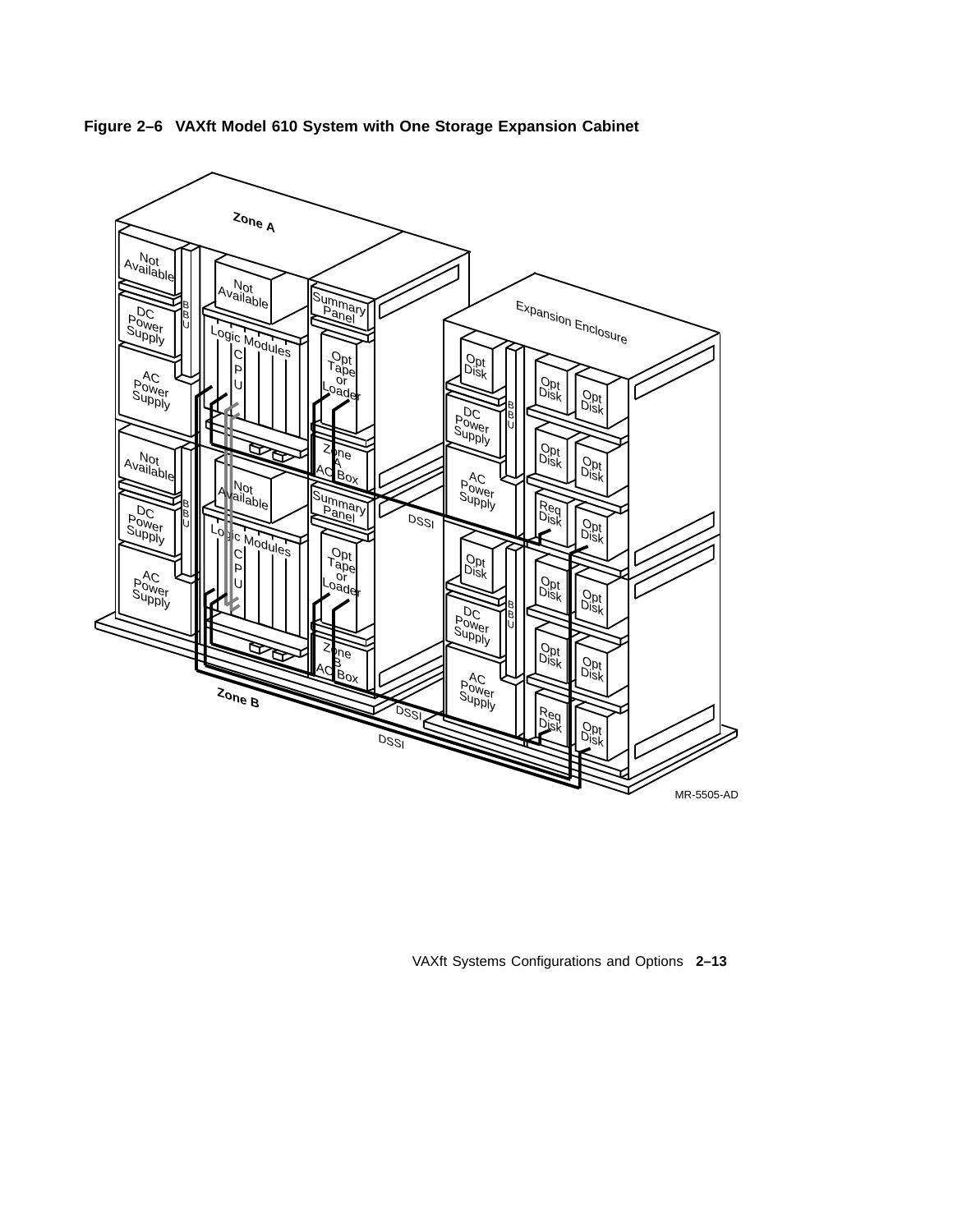



VAXft Systems Configurations and Options **2–13**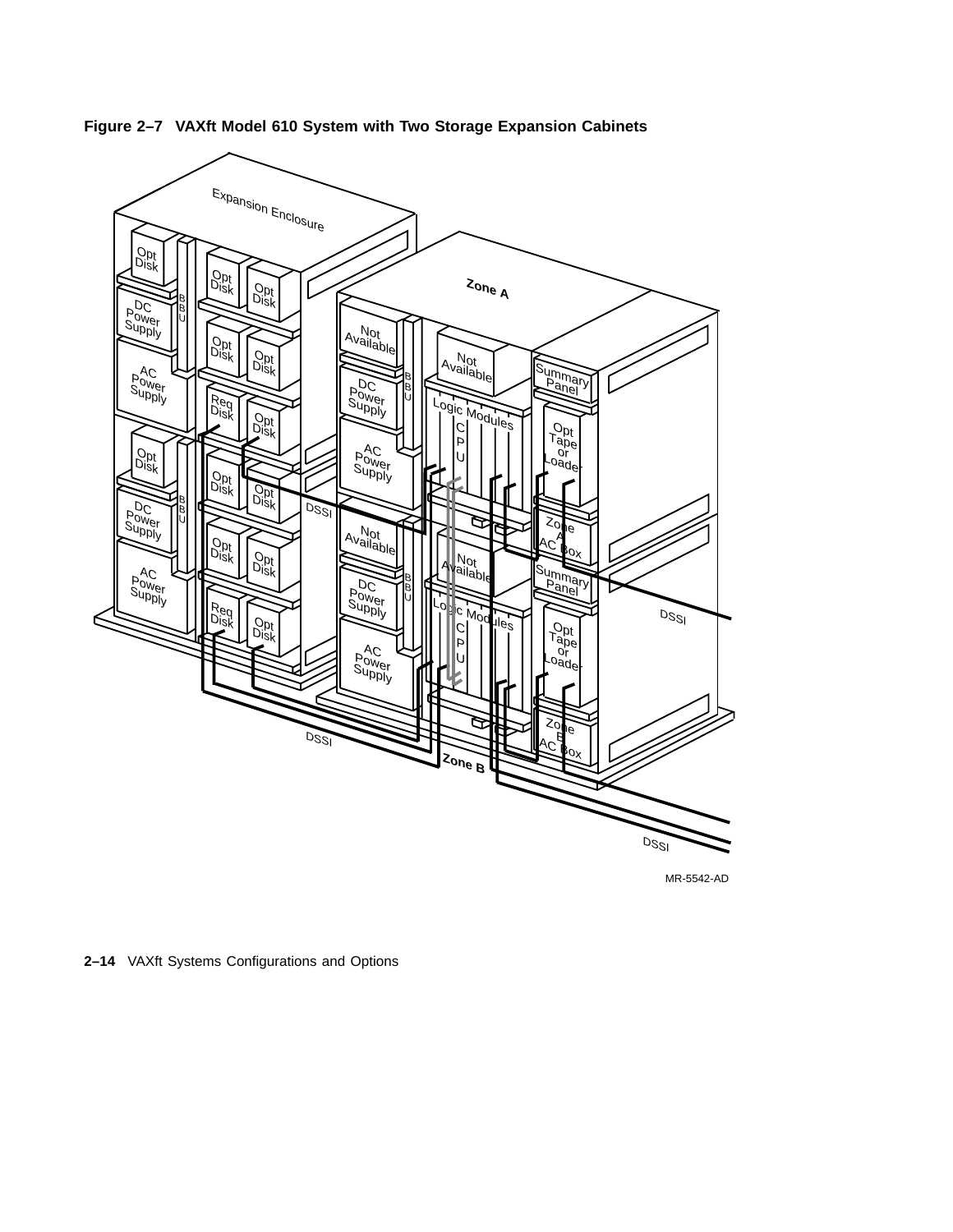

**Figure 2–7 VAXft Model 610 System with Two Storage Expansion Cabinets**

MR-5542-AD

**2–14** VAXft Systems Configurations and Options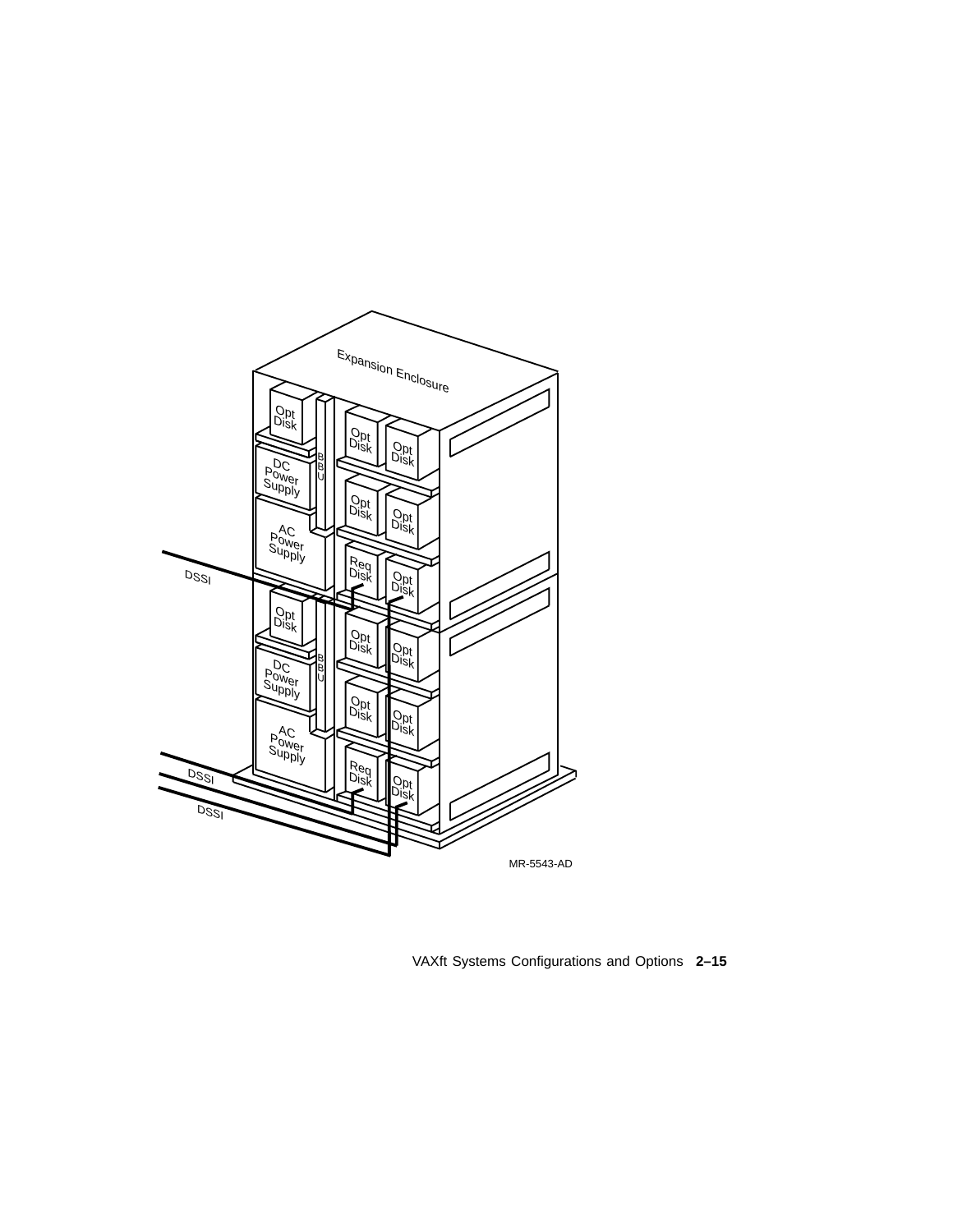

VAXft Systems Configurations and Options **2–15**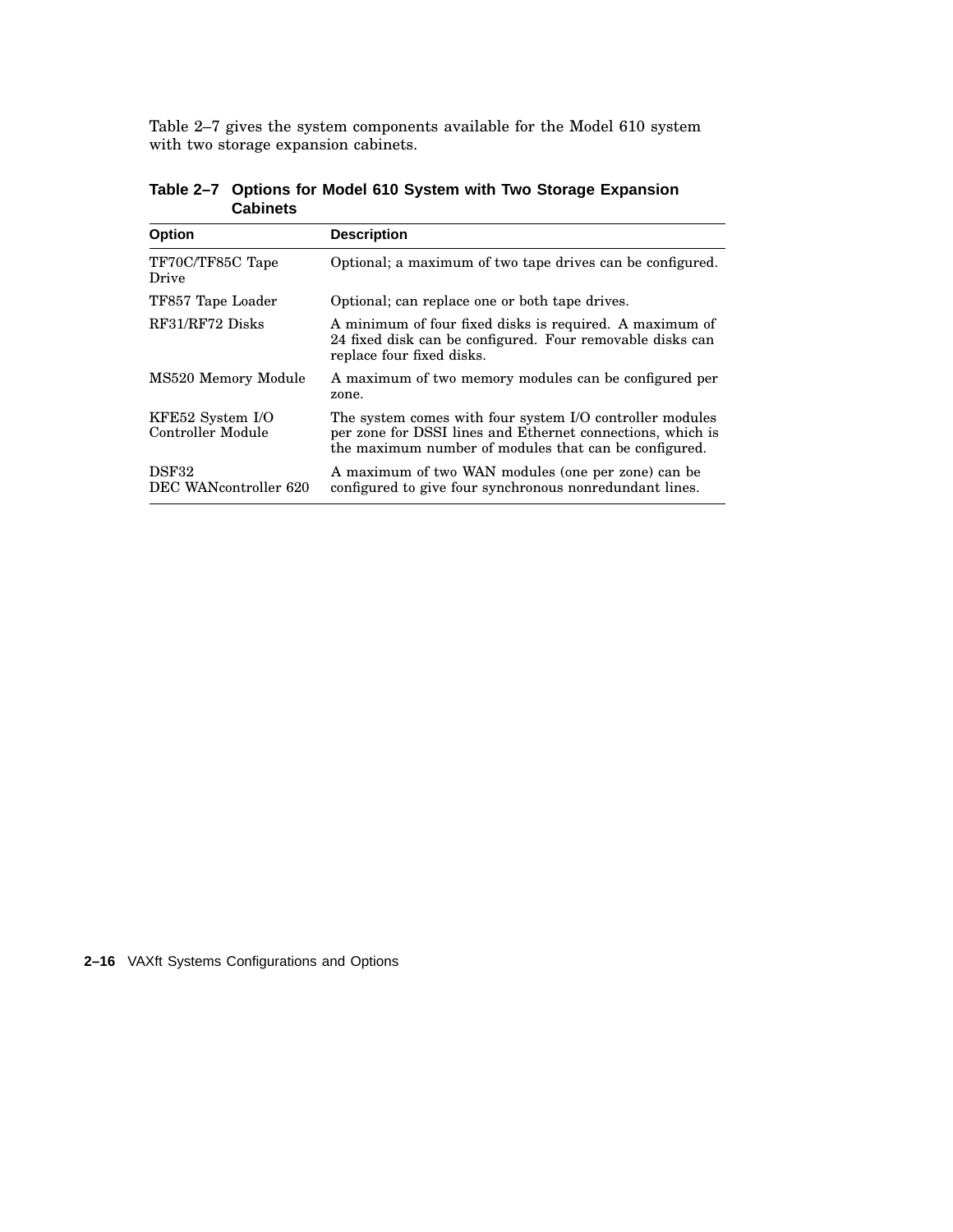Table 2–7 gives the system components available for the Model 610 system with two storage expansion cabinets.

| <b>Option</b>                         | <b>Description</b>                                                                                                                                                              |
|---------------------------------------|---------------------------------------------------------------------------------------------------------------------------------------------------------------------------------|
| TF70C/TF85C Tape<br>Drive             | Optional; a maximum of two tape drives can be configured.                                                                                                                       |
| TF857 Tape Loader                     | Optional; can replace one or both tape drives.                                                                                                                                  |
| RF31/RF72 Disks                       | A minimum of four fixed disks is required. A maximum of<br>24 fixed disk can be configured. Four removable disks can<br>replace four fixed disks.                               |
| MS520 Memory Module                   | A maximum of two memory modules can be configured per<br>zone.                                                                                                                  |
| KFE52 System I/O<br>Controller Module | The system comes with four system I/O controller modules<br>per zone for DSSI lines and Ethernet connections, which is<br>the maximum number of modules that can be configured. |
| DSF32<br>DEC WANcontroller 620        | A maximum of two WAN modules (one per zone) can be<br>configured to give four synchronous nonredundant lines.                                                                   |

**Table 2–7 Options for Model 610 System with Two Storage Expansion Cabinets**

**2–16** VAXft Systems Configurations and Options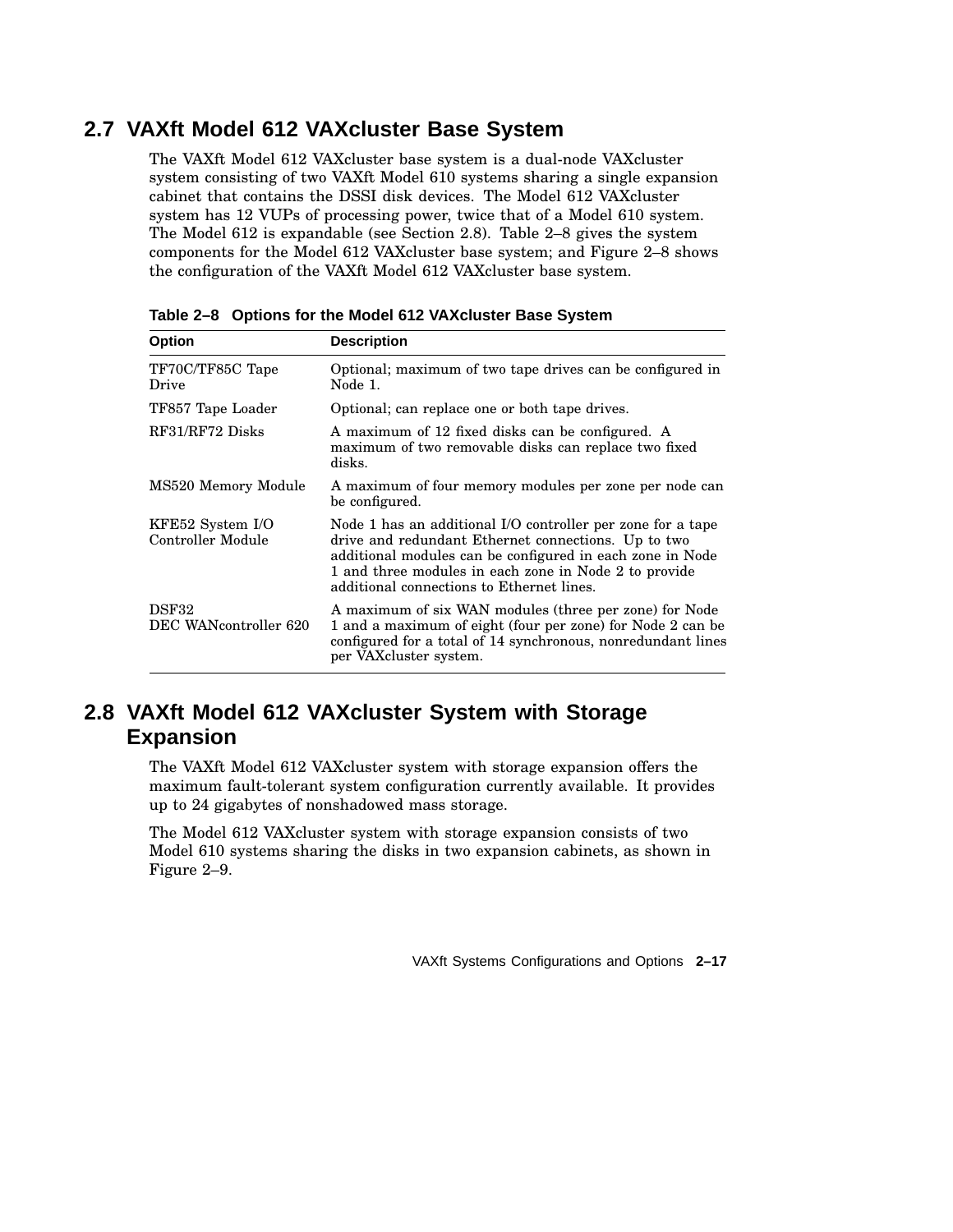## **2.7 VAXft Model 612 VAXcluster Base System**

The VAXft Model 612 VAXcluster base system is a dual-node VAXcluster system consisting of two VAXft Model 610 systems sharing a single expansion cabinet that contains the DSSI disk devices. The Model 612 VAXcluster system has 12 VUPs of processing power, twice that of a Model 610 system. The Model 612 is expandable (see Section 2.8). Table 2–8 gives the system components for the Model 612 VAXcluster base system; and Figure 2–8 shows the configuration of the VAXft Model 612 VAXcluster base system.

| <b>Option</b>                         | <b>Description</b>                                                                                                                                                                                                                                                                    |
|---------------------------------------|---------------------------------------------------------------------------------------------------------------------------------------------------------------------------------------------------------------------------------------------------------------------------------------|
| TF70C/TF85C Tape<br>Drive             | Optional; maximum of two tape drives can be configured in<br>Node 1.                                                                                                                                                                                                                  |
| TF857 Tape Loader                     | Optional; can replace one or both tape drives.                                                                                                                                                                                                                                        |
| RF31/RF72 Disks                       | A maximum of 12 fixed disks can be configured. A<br>maximum of two removable disks can replace two fixed<br>disks.                                                                                                                                                                    |
| MS520 Memory Module                   | A maximum of four memory modules per zone per node can<br>be configured.                                                                                                                                                                                                              |
| KFE52 System I/O<br>Controller Module | Node 1 has an additional I/O controller per zone for a tape<br>drive and redundant Ethernet connections. Up to two<br>additional modules can be configured in each zone in Node<br>1 and three modules in each zone in Node 2 to provide<br>additional connections to Ethernet lines. |
| DSF32<br>DEC WANcontroller 620        | A maximum of six WAN modules (three per zone) for Node<br>1 and a maximum of eight (four per zone) for Node 2 can be<br>configured for a total of 14 synchronous, nonredundant lines<br>per VAXcluster system.                                                                        |

**Table 2–8 Options for the Model 612 VAXcluster Base System**

## **2.8 VAXft Model 612 VAXcluster System with Storage Expansion**

The VAXft Model 612 VAXcluster system with storage expansion offers the maximum fault-tolerant system configuration currently available. It provides up to 24 gigabytes of nonshadowed mass storage.

The Model 612 VAXcluster system with storage expansion consists of two Model 610 systems sharing the disks in two expansion cabinets, as shown in Figure 2–9.

VAXft Systems Configurations and Options **2–17**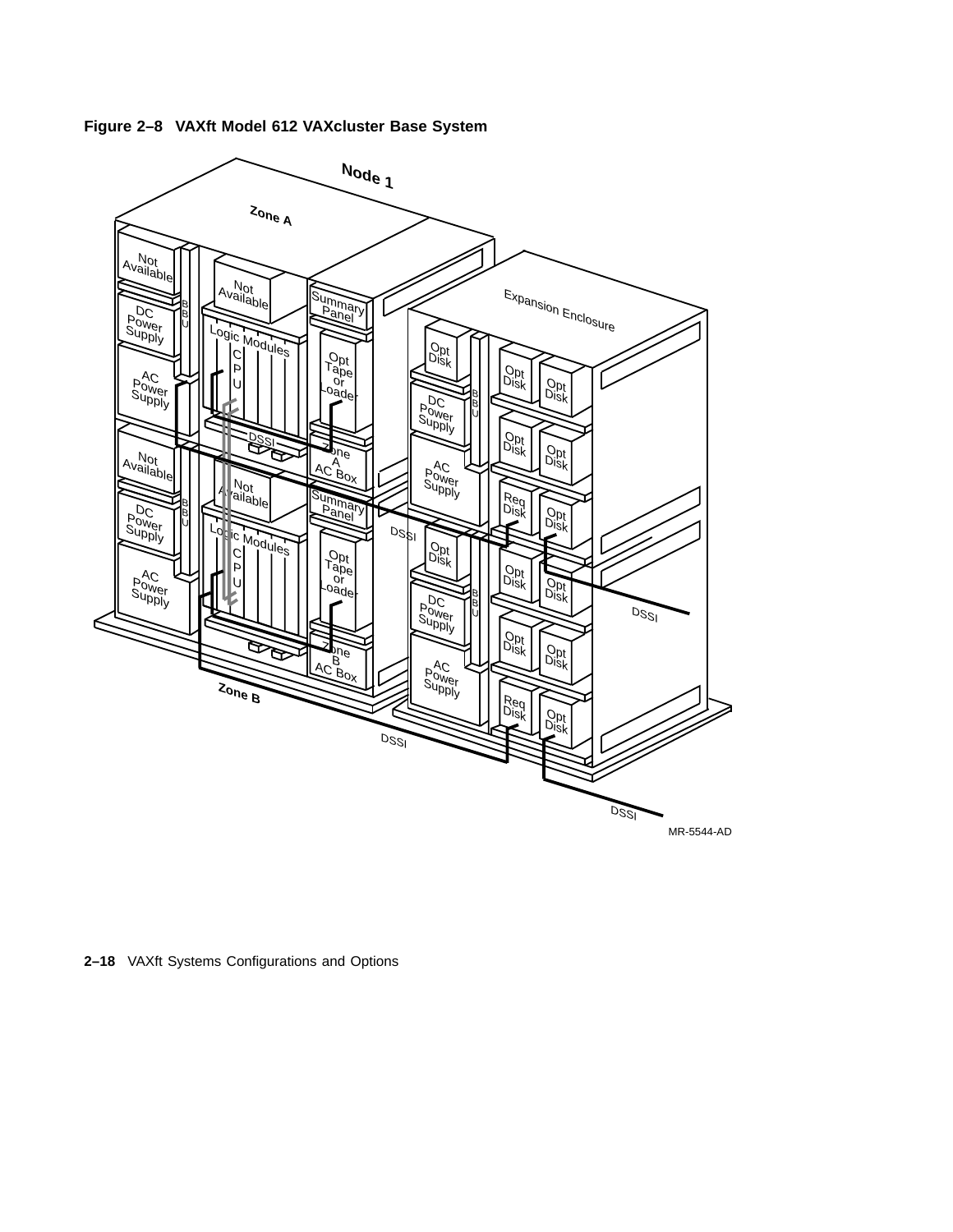

**Figure 2–8 VAXft Model 612 VAXcluster Base System**

**2–18** VAXft Systems Configurations and Options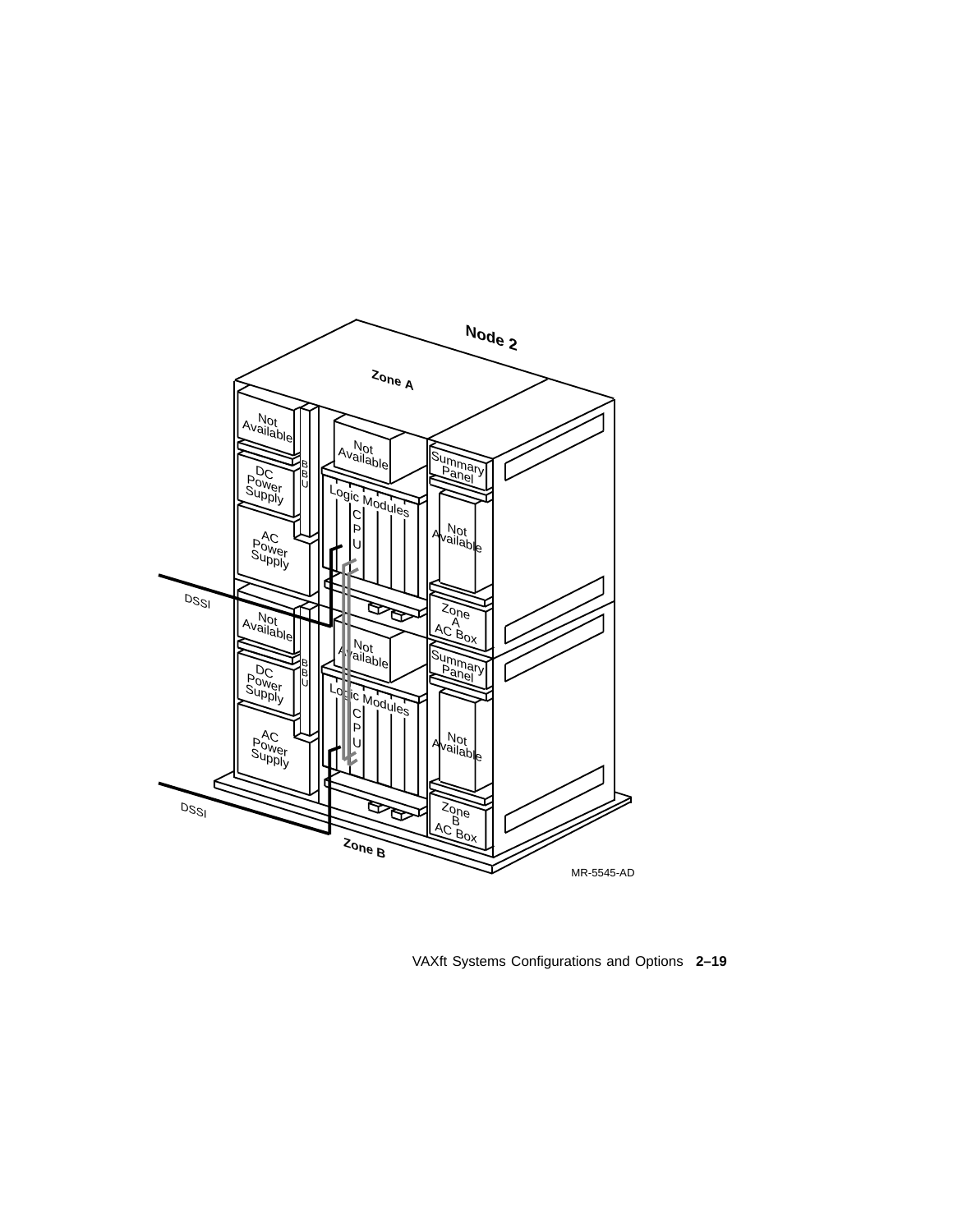

VAXft Systems Configurations and Options **2–19**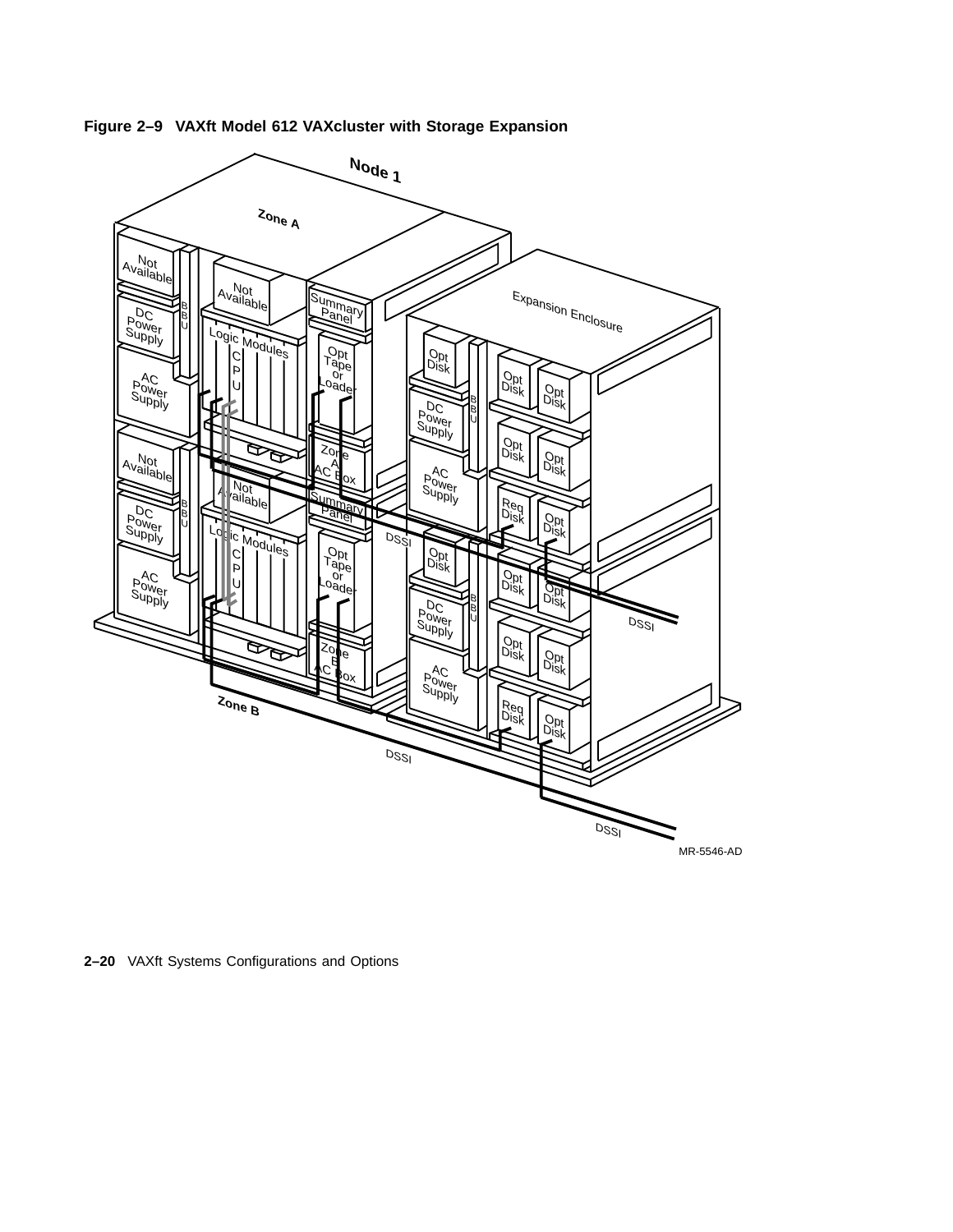

**Figure 2–9 VAXft Model 612 VAXcluster with Storage Expansion**

**2–20** VAXft Systems Configurations and Options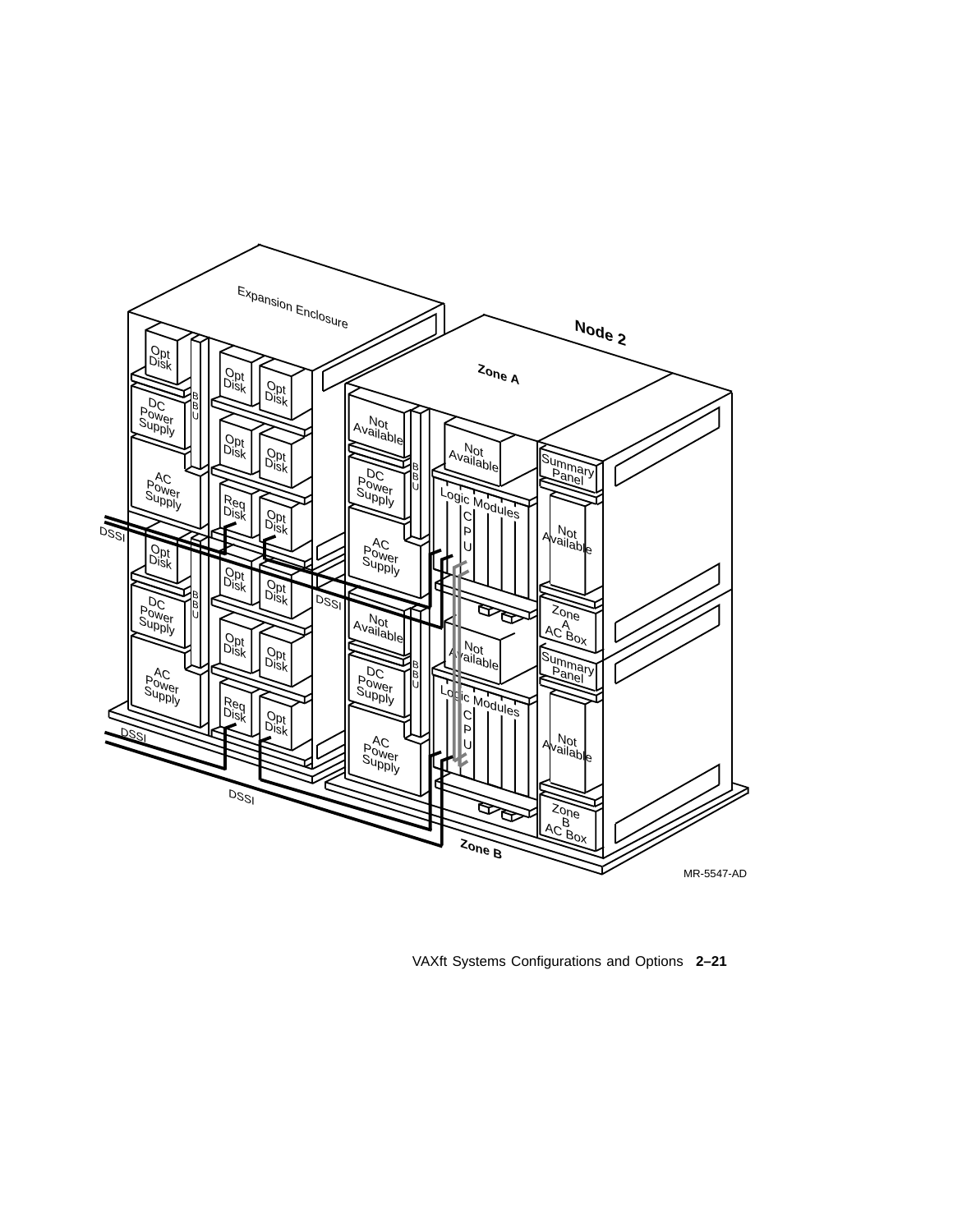

VAXft Systems Configurations and Options **2–21**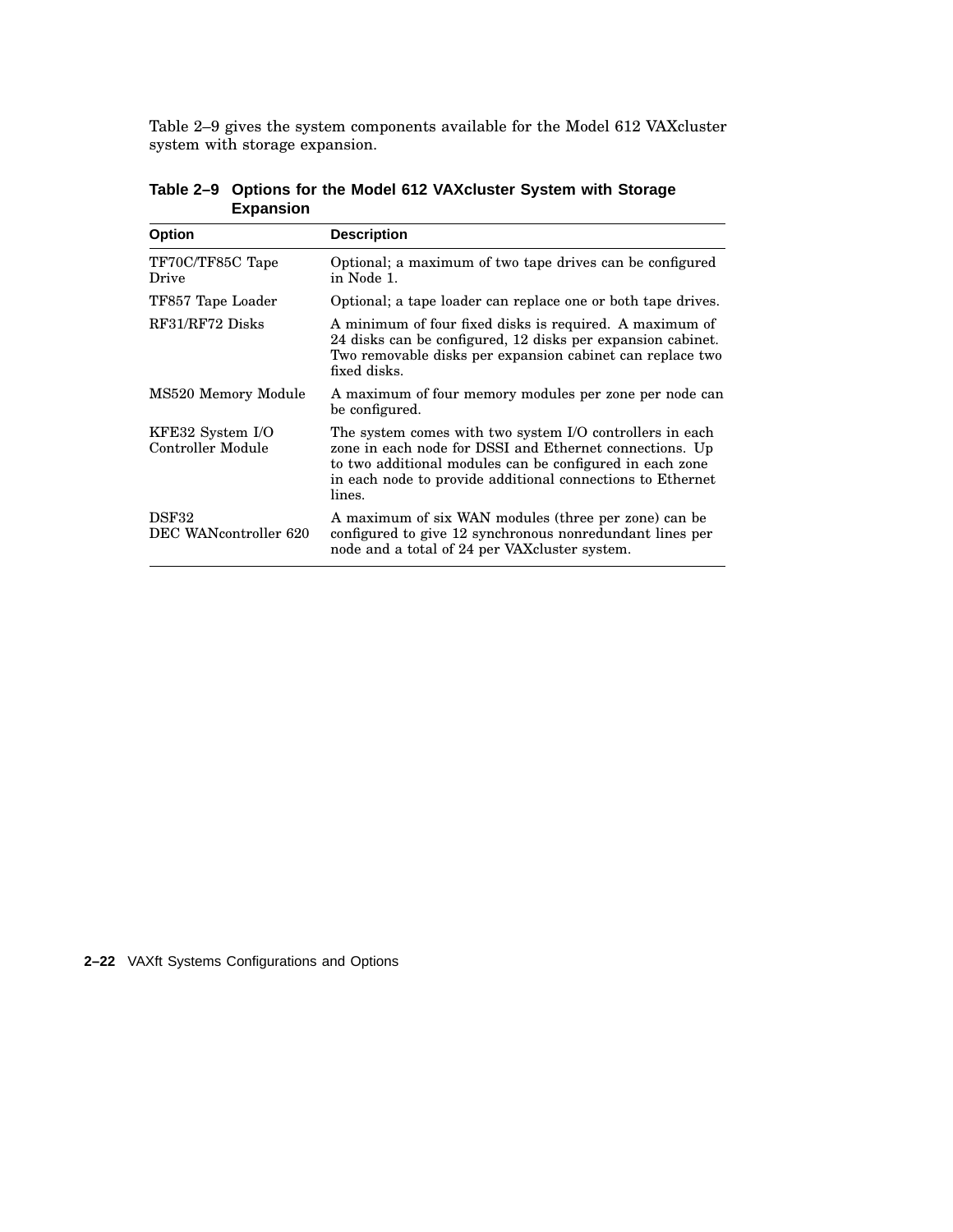Table 2–9 gives the system components available for the Model 612 VAXcluster system with storage expansion.

| <b>Option</b>                         | <b>Description</b>                                                                                                                                                                                                                                      |
|---------------------------------------|---------------------------------------------------------------------------------------------------------------------------------------------------------------------------------------------------------------------------------------------------------|
| TF70C/TF85C Tape<br>Drive             | Optional; a maximum of two tape drives can be configured<br>in Node 1.                                                                                                                                                                                  |
| TF857 Tape Loader                     | Optional; a tape loader can replace one or both tape drives.                                                                                                                                                                                            |
| RF31/RF72 Disks                       | A minimum of four fixed disks is required. A maximum of<br>24 disks can be configured, 12 disks per expansion cabinet.<br>Two removable disks per expansion cabinet can replace two<br>fixed disks.                                                     |
| MS520 Memory Module                   | A maximum of four memory modules per zone per node can<br>be configured.                                                                                                                                                                                |
| KFE32 System I/O<br>Controller Module | The system comes with two system I/O controllers in each<br>zone in each node for DSSI and Ethernet connections. Up<br>to two additional modules can be configured in each zone<br>in each node to provide additional connections to Ethernet<br>lines. |
| DSF32<br>DEC WANcontroller 620        | A maximum of six WAN modules (three per zone) can be<br>configured to give 12 synchronous nonredundant lines per<br>node and a total of 24 per VAXcluster system.                                                                                       |

**Table 2–9 Options for the Model 612 VAXcluster System with Storage Expansion**

**2–22** VAXft Systems Configurations and Options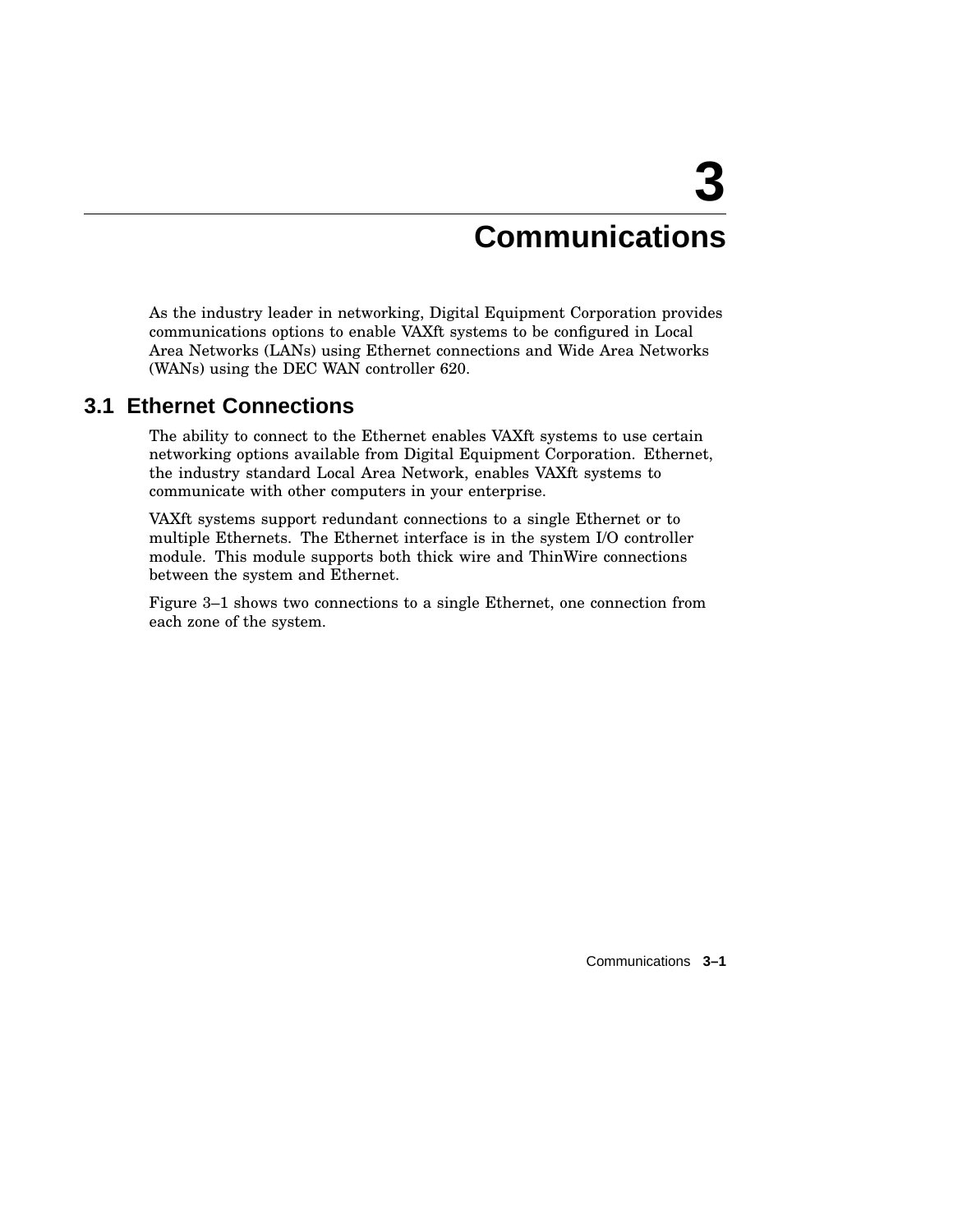## **Communications**

**3**

As the industry leader in networking, Digital Equipment Corporation provides communications options to enable VAXft systems to be configured in Local Area Networks (LANs) using Ethernet connections and Wide Area Networks (WANs) using the DEC WAN controller 620.

### **3.1 Ethernet Connections**

The ability to connect to the Ethernet enables VAXft systems to use certain networking options available from Digital Equipment Corporation. Ethernet, the industry standard Local Area Network, enables VAXft systems to communicate with other computers in your enterprise.

VAXft systems support redundant connections to a single Ethernet or to multiple Ethernets. The Ethernet interface is in the system I/O controller module. This module supports both thick wire and ThinWire connections between the system and Ethernet.

Figure 3–1 shows two connections to a single Ethernet, one connection from each zone of the system.

Communications **3–1**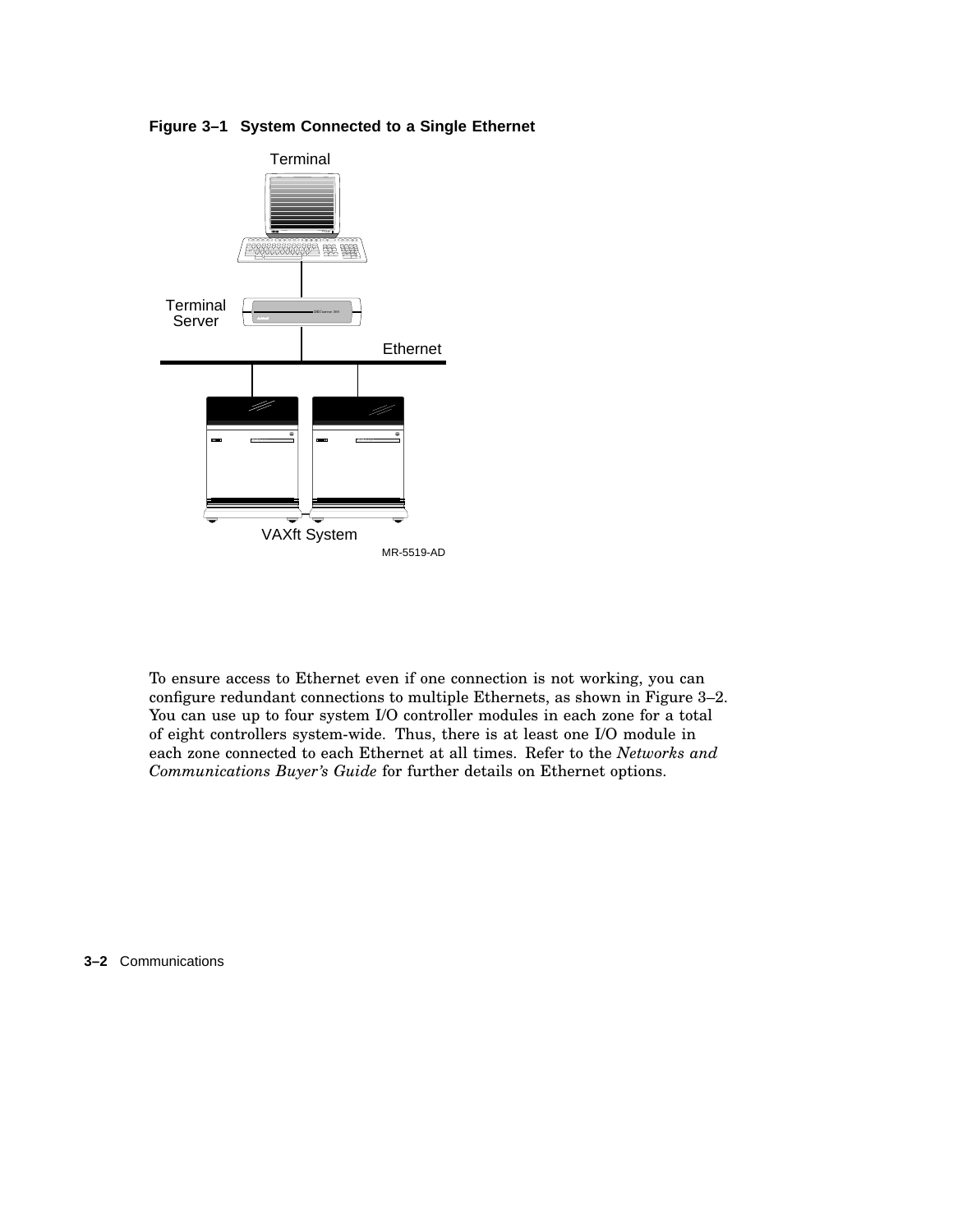

### **Figure 3–1 System Connected to a Single Ethernet**

To ensure access to Ethernet even if one connection is not working, you can configure redundant connections to multiple Ethernets, as shown in Figure 3–2. You can use up to four system I/O controller modules in each zone for a total of eight controllers system-wide. Thus, there is at least one I/O module in each zone connected to each Ethernet at all times. Refer to the *Networks and Communications Buyer's Guide* for further details on Ethernet options.

**3–2** Communications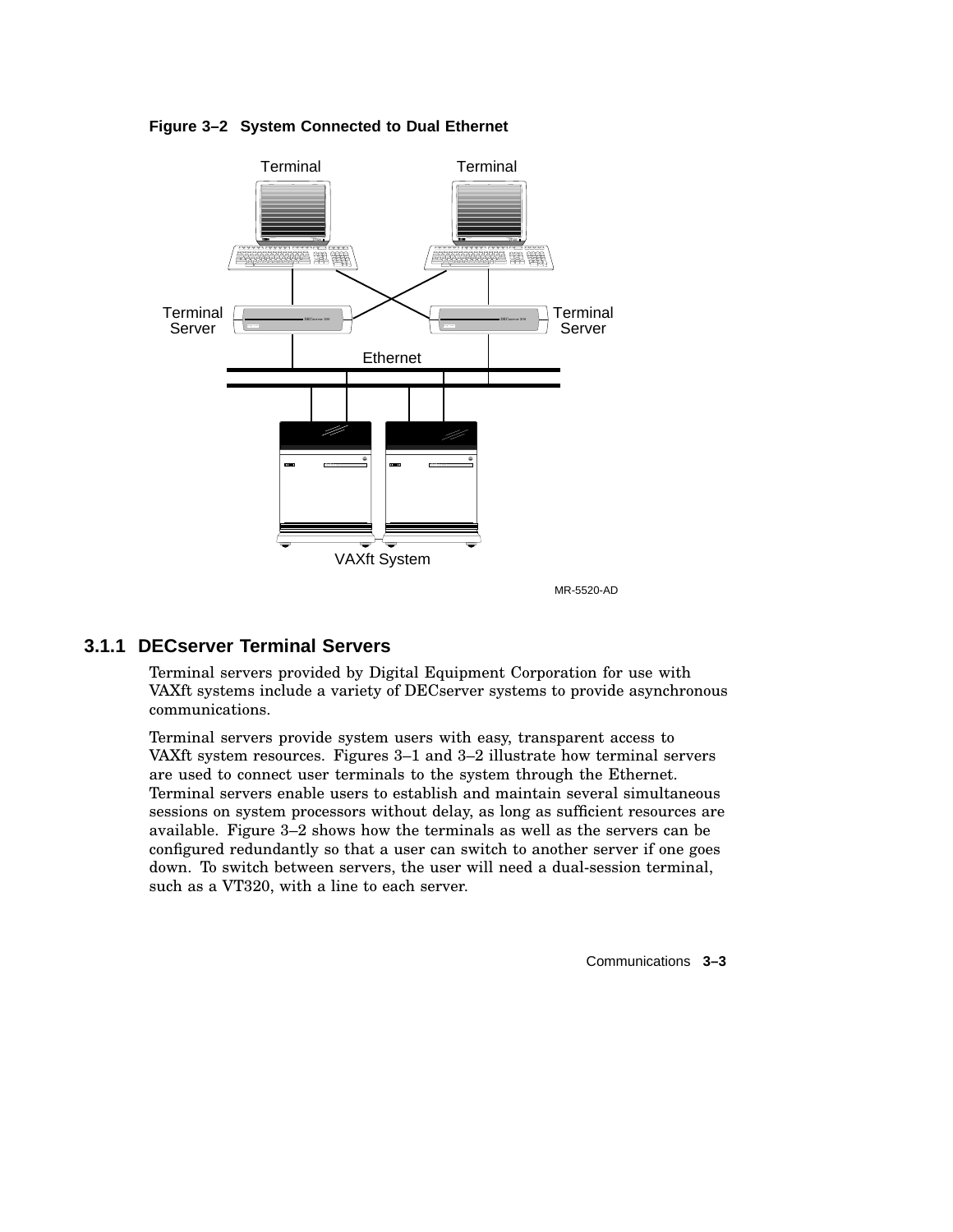

**Figure 3–2 System Connected to Dual Ethernet**

MR-5520-AD

### **3.1.1 DECserver Terminal Servers**

Terminal servers provided by Digital Equipment Corporation for use with VAXft systems include a variety of DECserver systems to provide asynchronous communications.

Terminal servers provide system users with easy, transparent access to VAXft system resources. Figures 3–1 and 3–2 illustrate how terminal servers are used to connect user terminals to the system through the Ethernet. Terminal servers enable users to establish and maintain several simultaneous sessions on system processors without delay, as long as sufficient resources are available. Figure 3–2 shows how the terminals as well as the servers can be configured redundantly so that a user can switch to another server if one goes down. To switch between servers, the user will need a dual-session terminal, such as a VT320, with a line to each server.

Communications **3–3**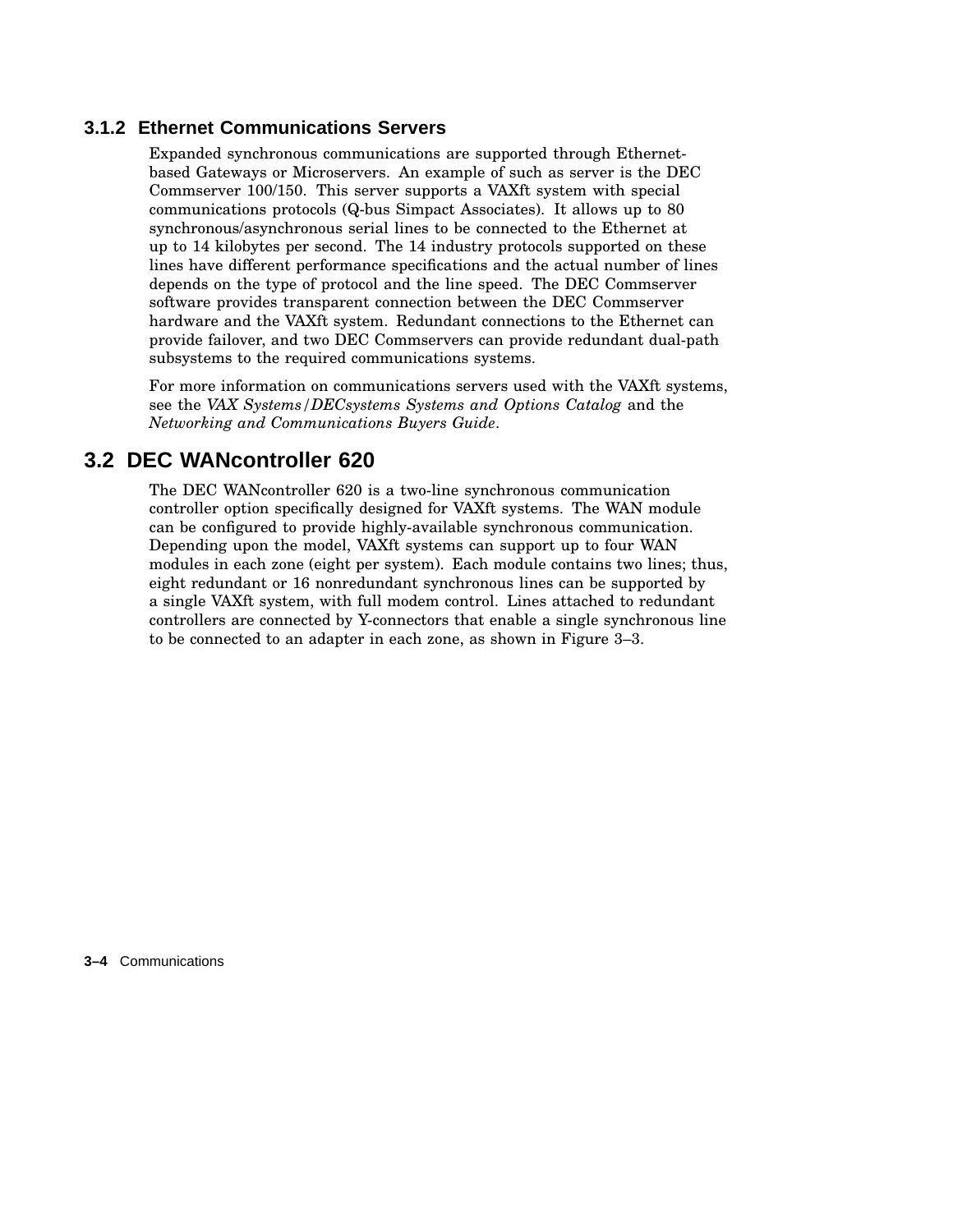### **3.1.2 Ethernet Communications Servers**

Expanded synchronous communications are supported through Ethernetbased Gateways or Microservers. An example of such as server is the DEC Commserver 100/150. This server supports a VAXft system with special communications protocols (Q-bus Simpact Associates). It allows up to 80 synchronous/asynchronous serial lines to be connected to the Ethernet at up to 14 kilobytes per second. The 14 industry protocols supported on these lines have different performance specifications and the actual number of lines depends on the type of protocol and the line speed. The DEC Commserver software provides transparent connection between the DEC Commserver hardware and the VAXft system. Redundant connections to the Ethernet can provide failover, and two DEC Commservers can provide redundant dual-path subsystems to the required communications systems.

For more information on communications servers used with the VAXft systems, see the *VAX Systems/DECsystems Systems and Options Catalog* and the *Networking and Communications Buyers Guide*.

### **3.2 DEC WANcontroller 620**

The DEC WANcontroller 620 is a two-line synchronous communication controller option specifically designed for VAXft systems. The WAN module can be configured to provide highly-available synchronous communication. Depending upon the model, VAXft systems can support up to four WAN modules in each zone (eight per system). Each module contains two lines; thus, eight redundant or 16 nonredundant synchronous lines can be supported by a single VAXft system, with full modem control. Lines attached to redundant controllers are connected by Y-connectors that enable a single synchronous line to be connected to an adapter in each zone, as shown in Figure 3–3.

**3–4** Communications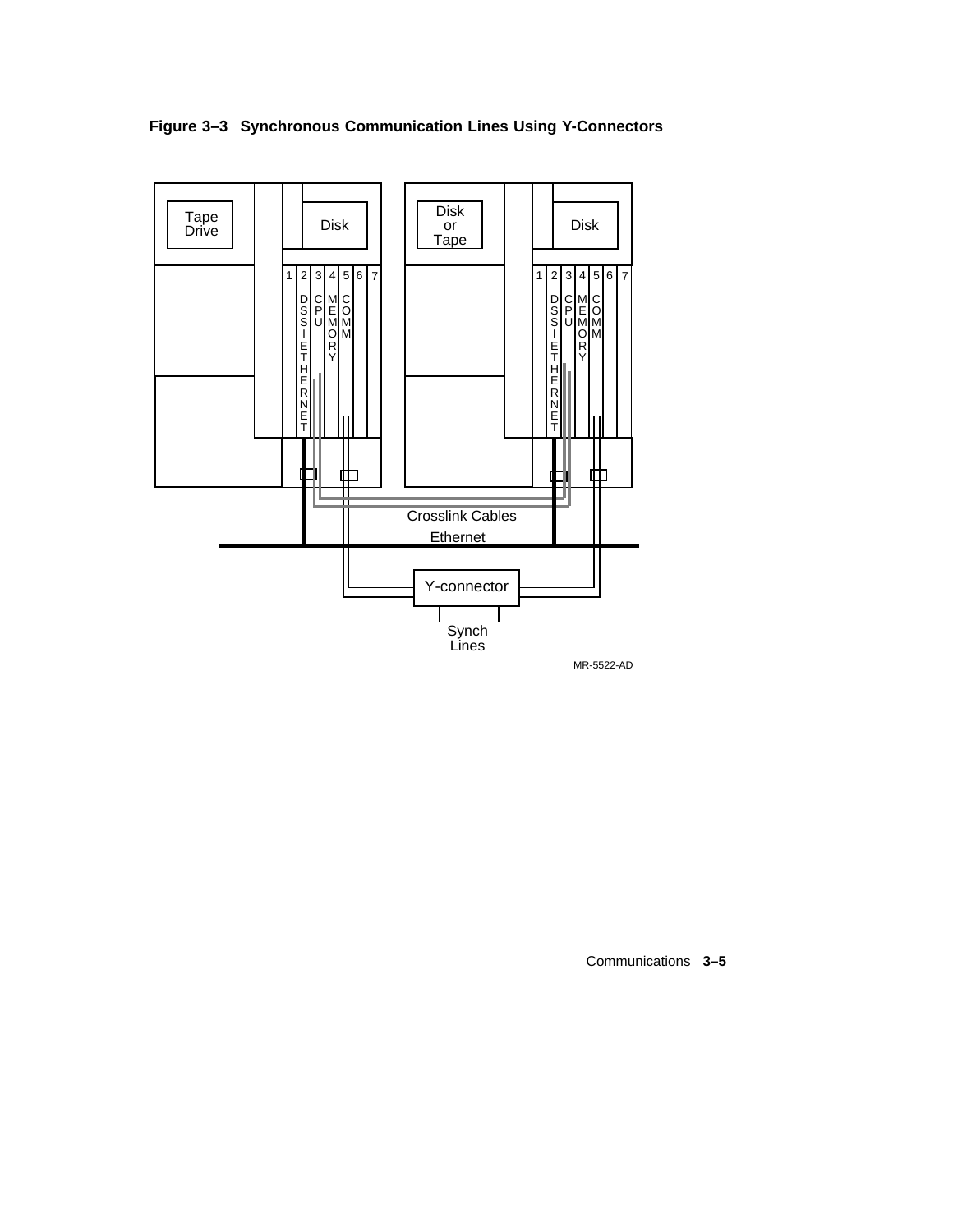



Communications **3–5**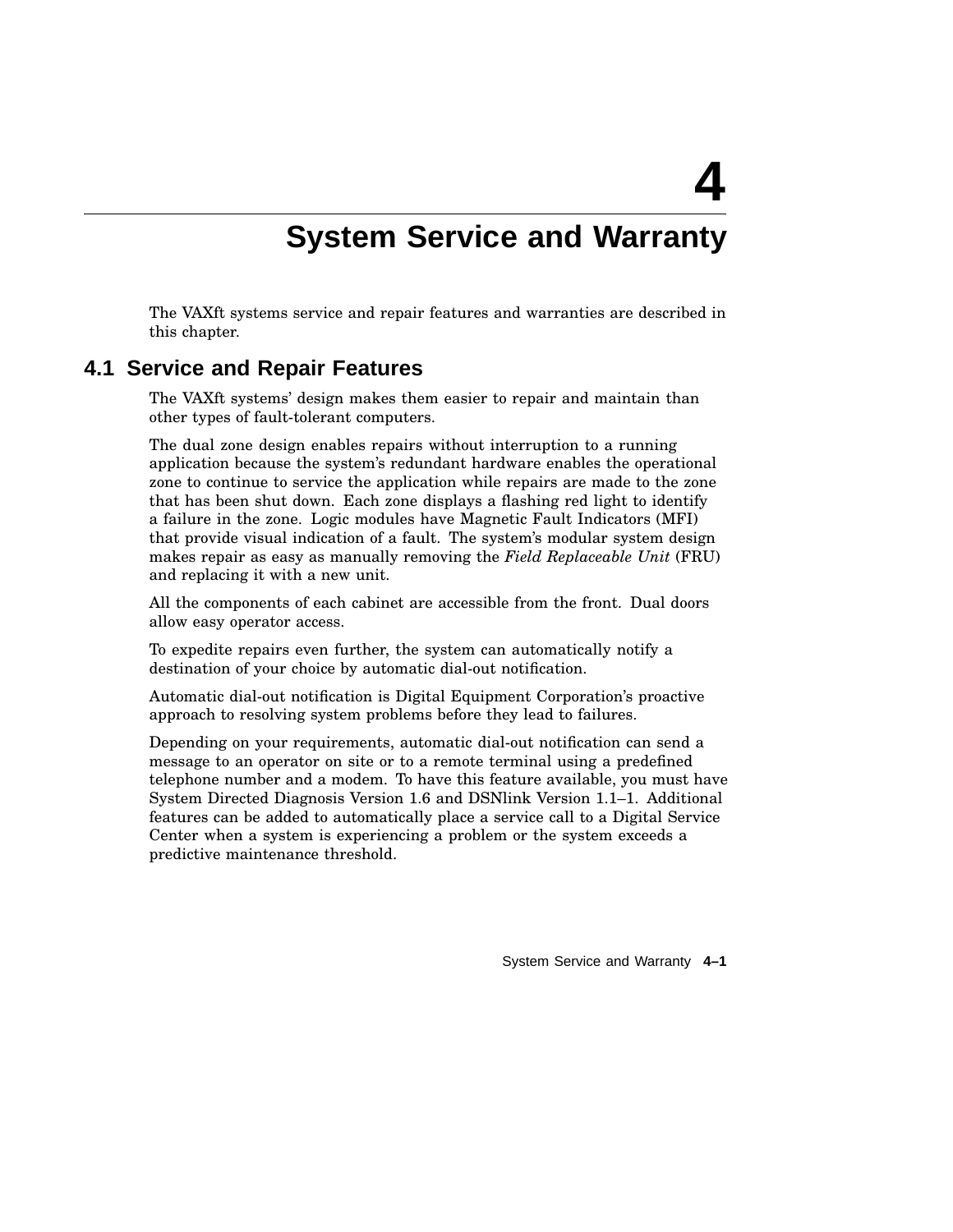## **System Service and Warranty**

**4**

The VAXft systems service and repair features and warranties are described in this chapter.

### **4.1 Service and Repair Features**

The VAXft systems' design makes them easier to repair and maintain than other types of fault-tolerant computers.

The dual zone design enables repairs without interruption to a running application because the system's redundant hardware enables the operational zone to continue to service the application while repairs are made to the zone that has been shut down. Each zone displays a flashing red light to identify a failure in the zone. Logic modules have Magnetic Fault Indicators (MFI) that provide visual indication of a fault. The system's modular system design makes repair as easy as manually removing the *Field Replaceable Unit* (FRU) and replacing it with a new unit.

All the components of each cabinet are accessible from the front. Dual doors allow easy operator access.

To expedite repairs even further, the system can automatically notify a destination of your choice by automatic dial-out notification.

Automatic dial-out notification is Digital Equipment Corporation's proactive approach to resolving system problems before they lead to failures.

Depending on your requirements, automatic dial-out notification can send a message to an operator on site or to a remote terminal using a predefined telephone number and a modem. To have this feature available, you must have System Directed Diagnosis Version 1.6 and DSNlink Version 1.1–1. Additional features can be added to automatically place a service call to a Digital Service Center when a system is experiencing a problem or the system exceeds a predictive maintenance threshold.

System Service and Warranty **4–1**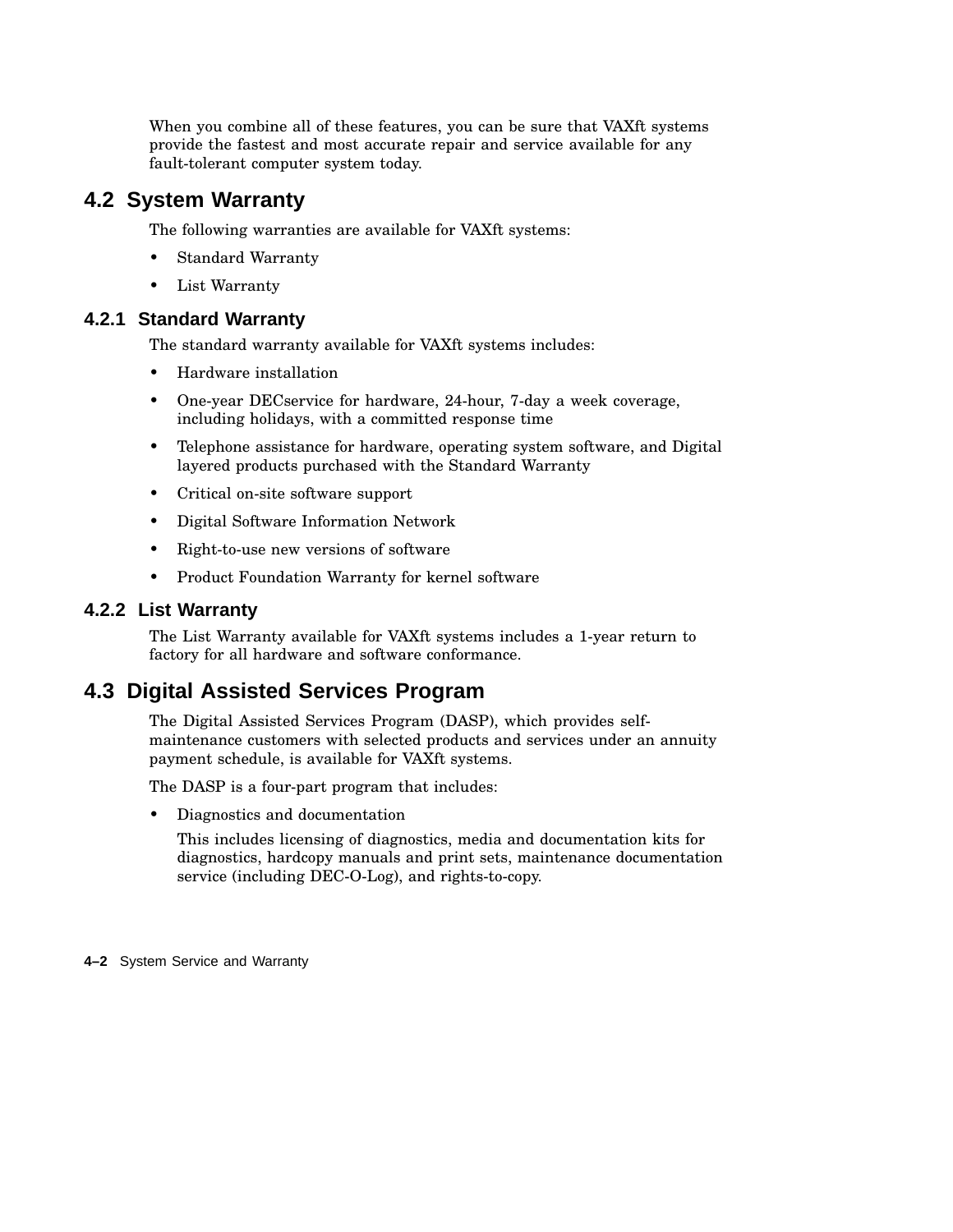When you combine all of these features, you can be sure that VAXft systems provide the fastest and most accurate repair and service available for any fault-tolerant computer system today.

### **4.2 System Warranty**

The following warranties are available for VAXft systems:

- Standard Warranty
- List Warranty

### **4.2.1 Standard Warranty**

The standard warranty available for VAXft systems includes:

- Hardware installation
- One-year DECservice for hardware, 24-hour, 7-day a week coverage, including holidays, with a committed response time
- Telephone assistance for hardware, operating system software, and Digital layered products purchased with the Standard Warranty
- Critical on-site software support
- Digital Software Information Network
- Right-to-use new versions of software
- Product Foundation Warranty for kernel software

### **4.2.2 List Warranty**

The List Warranty available for VAXft systems includes a 1-year return to factory for all hardware and software conformance.

## **4.3 Digital Assisted Services Program**

The Digital Assisted Services Program (DASP), which provides selfmaintenance customers with selected products and services under an annuity payment schedule, is available for VAXft systems.

The DASP is a four-part program that includes:

• Diagnostics and documentation

This includes licensing of diagnostics, media and documentation kits for diagnostics, hardcopy manuals and print sets, maintenance documentation service (including DEC-O-Log), and rights-to-copy.

**4–2** System Service and Warranty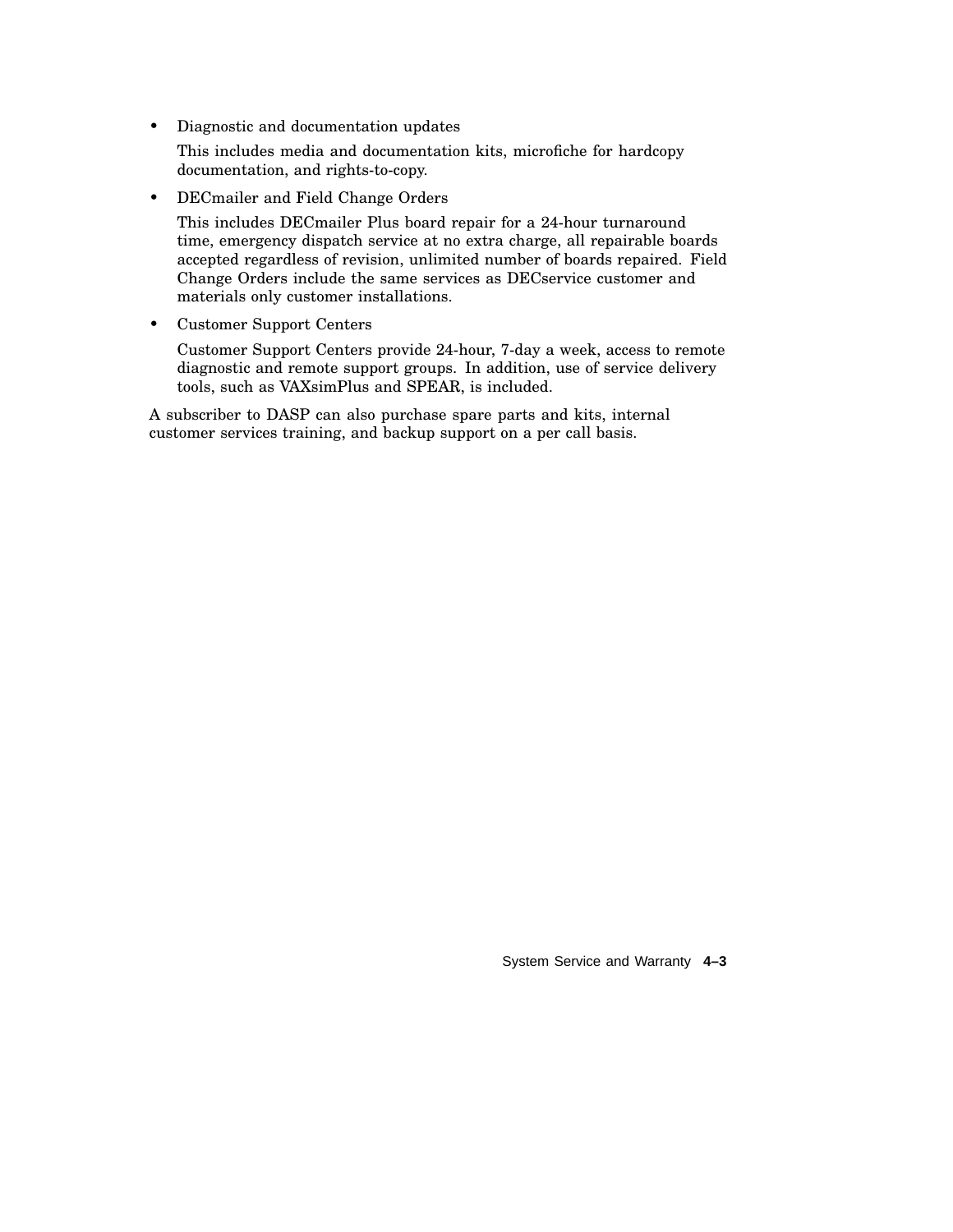• Diagnostic and documentation updates

This includes media and documentation kits, microfiche for hardcopy documentation, and rights-to-copy.

• DECmailer and Field Change Orders

This includes DECmailer Plus board repair for a 24-hour turnaround time, emergency dispatch service at no extra charge, all repairable boards accepted regardless of revision, unlimited number of boards repaired. Field Change Orders include the same services as DECservice customer and materials only customer installations.

• Customer Support Centers

Customer Support Centers provide 24-hour, 7-day a week, access to remote diagnostic and remote support groups. In addition, use of service delivery tools, such as VAXsimPlus and SPEAR, is included.

A subscriber to DASP can also purchase spare parts and kits, internal customer services training, and backup support on a per call basis.

System Service and Warranty **4–3**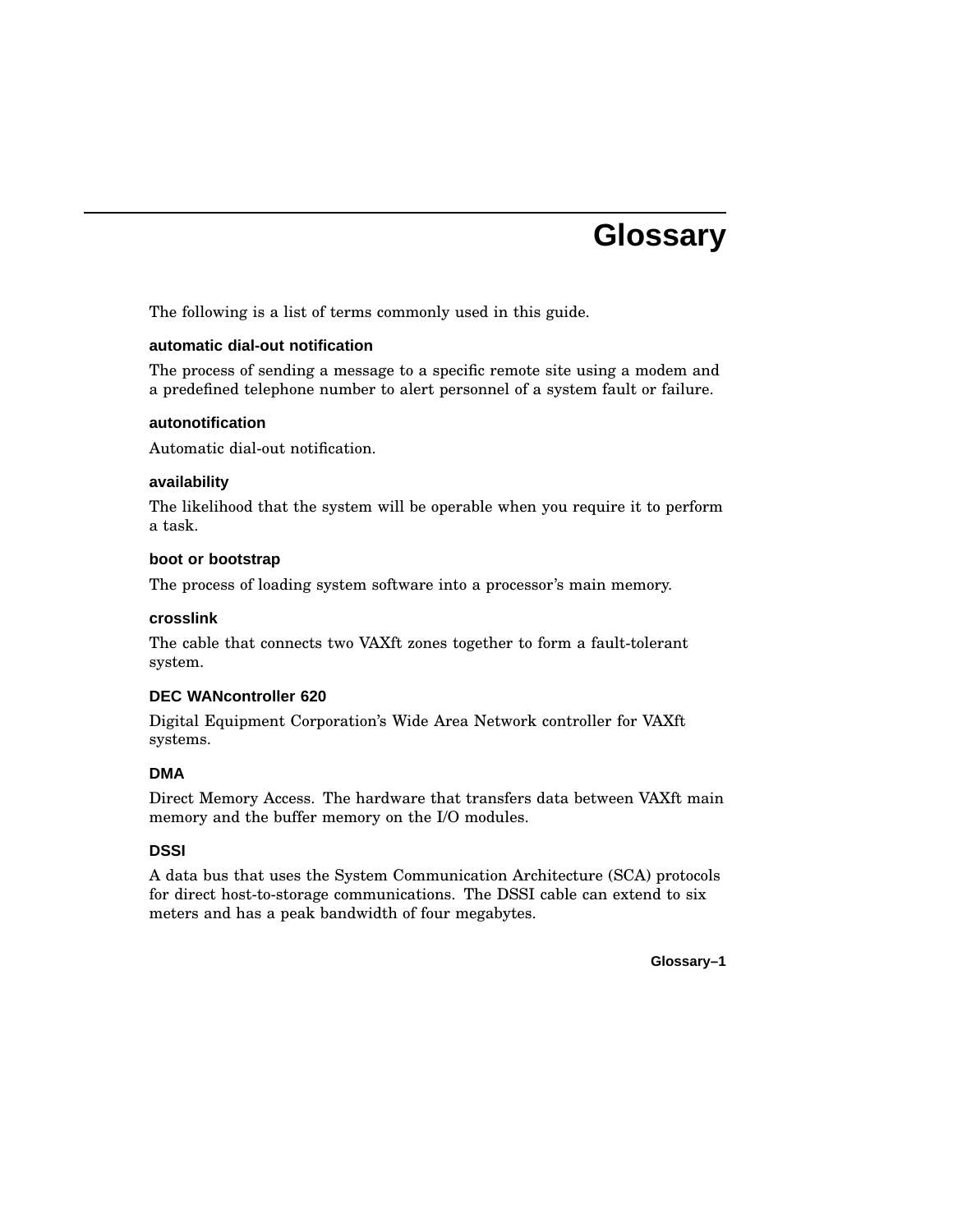## **Glossary**

The following is a list of terms commonly used in this guide.

### **automatic dial-out notification**

The process of sending a message to a specific remote site using a modem and a predefined telephone number to alert personnel of a system fault or failure.

#### **autonotification**

Automatic dial-out notification.

### **availability**

The likelihood that the system will be operable when you require it to perform a task.

#### **boot or bootstrap**

The process of loading system software into a processor's main memory.

#### **crosslink**

The cable that connects two VAXft zones together to form a fault-tolerant system.

### **DEC WANcontroller 620**

Digital Equipment Corporation's Wide Area Network controller for VAXft systems.

### **DMA**

Direct Memory Access. The hardware that transfers data between VAXft main memory and the buffer memory on the I/O modules.

### **DSSI**

A data bus that uses the System Communication Architecture (SCA) protocols for direct host-to-storage communications. The DSSI cable can extend to six meters and has a peak bandwidth of four megabytes.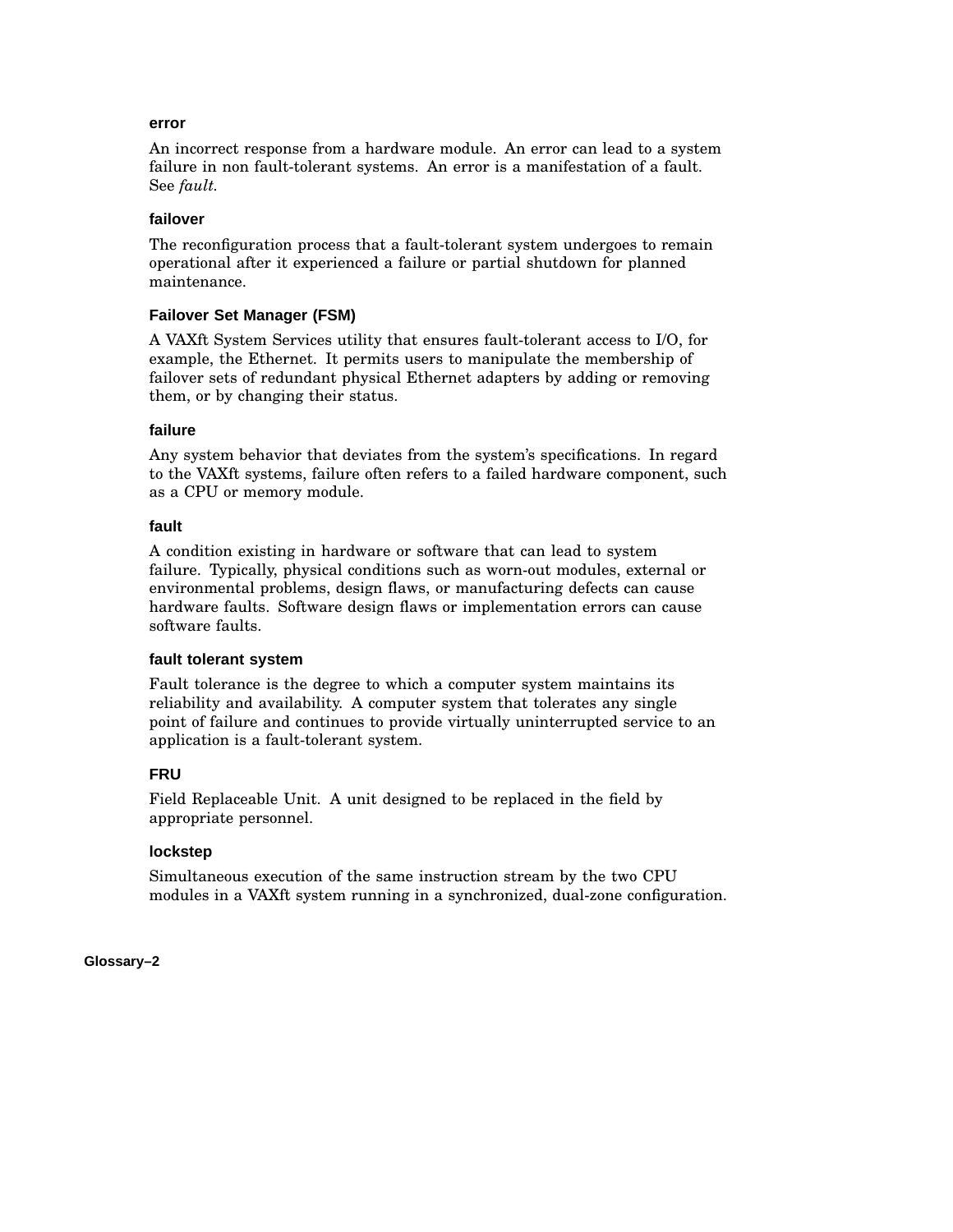#### **error**

An incorrect response from a hardware module. An error can lead to a system failure in non fault-tolerant systems. An error is a manifestation of a fault. See *fault.*

### **failover**

The reconfiguration process that a fault-tolerant system undergoes to remain operational after it experienced a failure or partial shutdown for planned maintenance.

### **Failover Set Manager (FSM)**

A VAXft System Services utility that ensures fault-tolerant access to I/O, for example, the Ethernet. It permits users to manipulate the membership of failover sets of redundant physical Ethernet adapters by adding or removing them, or by changing their status.

### **failure**

Any system behavior that deviates from the system's specifications. In regard to the VAXft systems, failure often refers to a failed hardware component, such as a CPU or memory module.

### **fault**

A condition existing in hardware or software that can lead to system failure. Typically, physical conditions such as worn-out modules, external or environmental problems, design flaws, or manufacturing defects can cause hardware faults. Software design flaws or implementation errors can cause software faults.

### **fault tolerant system**

Fault tolerance is the degree to which a computer system maintains its reliability and availability. A computer system that tolerates any single point of failure and continues to provide virtually uninterrupted service to an application is a fault-tolerant system.

### **FRU**

Field Replaceable Unit. A unit designed to be replaced in the field by appropriate personnel.

### **lockstep**

Simultaneous execution of the same instruction stream by the two CPU modules in a VAXft system running in a synchronized, dual-zone configuration.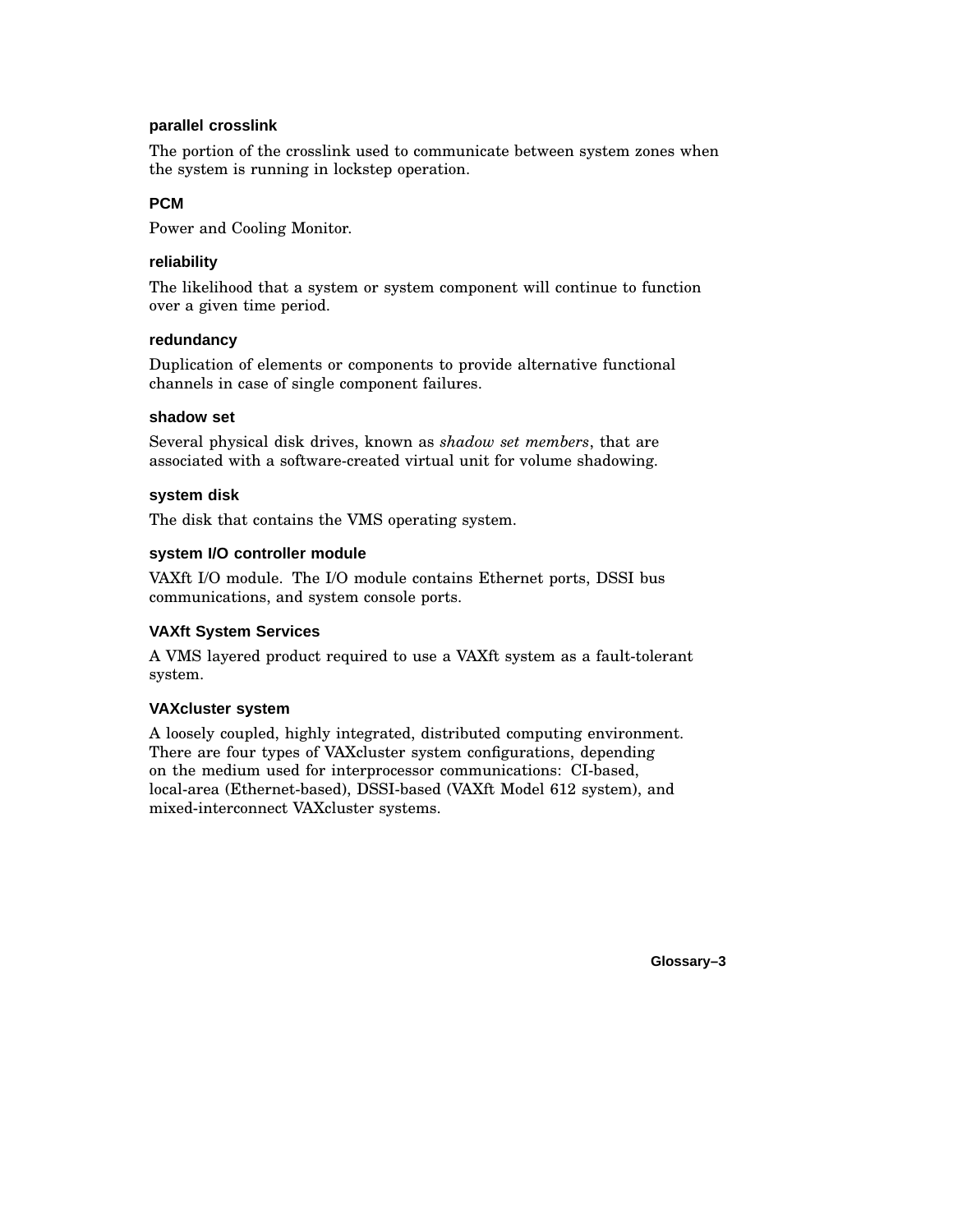### **parallel crosslink**

The portion of the crosslink used to communicate between system zones when the system is running in lockstep operation.

### **PCM**

Power and Cooling Monitor.

### **reliability**

The likelihood that a system or system component will continue to function over a given time period.

### **redundancy**

Duplication of elements or components to provide alternative functional channels in case of single component failures.

### **shadow set**

Several physical disk drives, known as *shadow set members*, that are associated with a software-created virtual unit for volume shadowing.

### **system disk**

The disk that contains the VMS operating system.

### **system I/O controller module**

VAXft I/O module. The I/O module contains Ethernet ports, DSSI bus communications, and system console ports.

### **VAXft System Services**

A VMS layered product required to use a VAXft system as a fault-tolerant system.

### **VAXcluster system**

A loosely coupled, highly integrated, distributed computing environment. There are four types of VAXcluster system configurations, depending on the medium used for interprocessor communications: CI-based, local-area (Ethernet-based), DSSI-based (VAXft Model 612 system), and mixed-interconnect VAXcluster systems.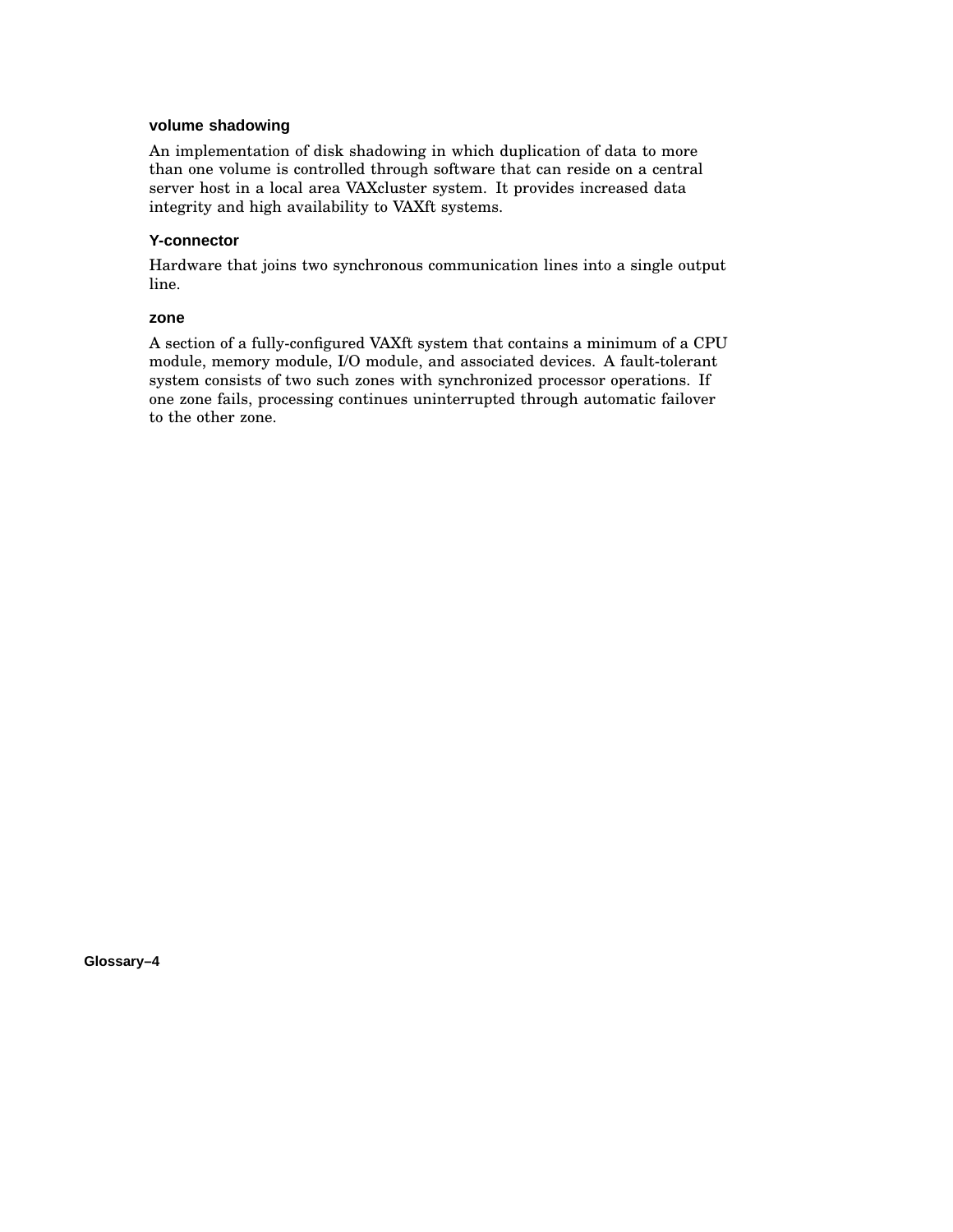#### **volume shadowing**

An implementation of disk shadowing in which duplication of data to more than one volume is controlled through software that can reside on a central server host in a local area VAXcluster system. It provides increased data integrity and high availability to VAXft systems.

### **Y-connector**

Hardware that joins two synchronous communication lines into a single output line.

#### **zone**

A section of a fully-configured VAXft system that contains a minimum of a CPU module, memory module, I/O module, and associated devices. A fault-tolerant system consists of two such zones with synchronized processor operations. If one zone fails, processing continues uninterrupted through automatic failover to the other zone.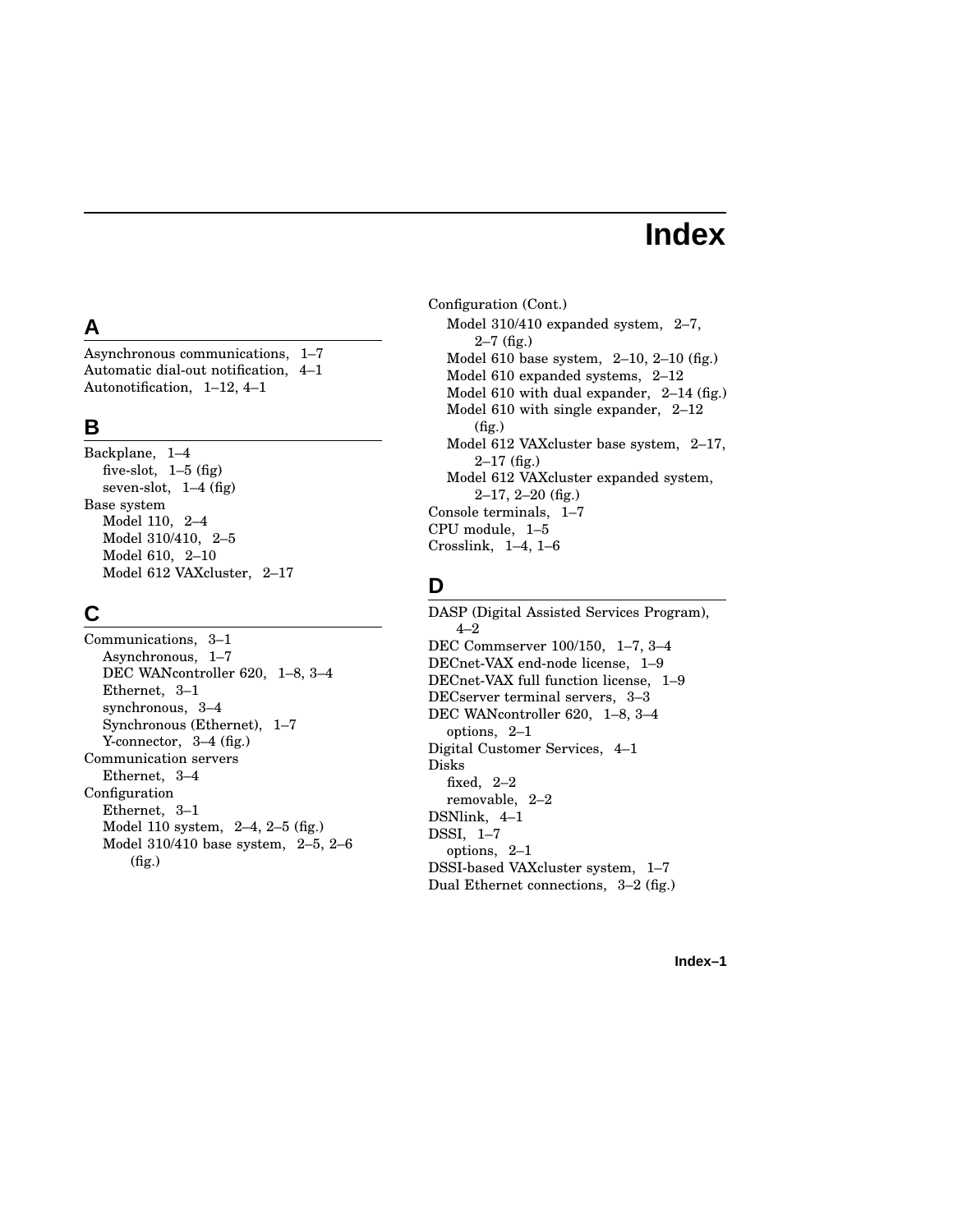## **Index**

## **A**

Asynchronous communications, 1–7 Automatic dial-out notification, 4–1 Autonotification, 1–12, 4–1

## **B**

Backplane, 1–4 five-slot,  $1-5$  (fig) seven-slot, 1–4 (fig) Base system Model 110, 2–4 Model 310/410, 2–5 Model 610, 2–10 Model 612 VAXcluster, 2–17

### **C**

Communications, 3–1 Asynchronous, 1–7 DEC WANcontroller 620, 1–8, 3–4 Ethernet, 3–1 synchronous, 3–4 Synchronous (Ethernet), 1–7 Y-connector, 3–4 (fig.) Communication servers Ethernet, 3–4 Configuration Ethernet, 3–1 Model 110 system, 2–4, 2–5 (fig.) Model 310/410 base system, 2–5, 2–6 (fig.)

Configuration (Cont.) Model 310/410 expanded system, 2–7, 2–7 (fig.) Model 610 base system, 2–10, 2–10 (fig.) Model 610 expanded systems, 2–12 Model 610 with dual expander, 2–14 (fig.) Model 610 with single expander, 2–12 (fig.) Model 612 VAXcluster base system, 2–17,  $2-17$  (fig.) Model 612 VAXcluster expanded system, 2–17, 2–20 (fig.) Console terminals, 1–7 CPU module, 1–5 Crosslink, 1–4, 1–6

## **D**

DASP (Digital Assisted Services Program), 4–2 DEC Commserver 100/150, 1–7, 3–4 DECnet-VAX end-node license, 1–9 DECnet-VAX full function license, 1–9 DECserver terminal servers, 3–3 DEC WANcontroller 620, 1–8, 3–4 options, 2–1 Digital Customer Services, 4–1 Disks fixed, 2–2 removable, 2–2 DSNlink, 4–1 DSSI, 1–7 options, 2–1 DSSI-based VAXcluster system, 1–7 Dual Ethernet connections, 3–2 (fig.)

**Index–1**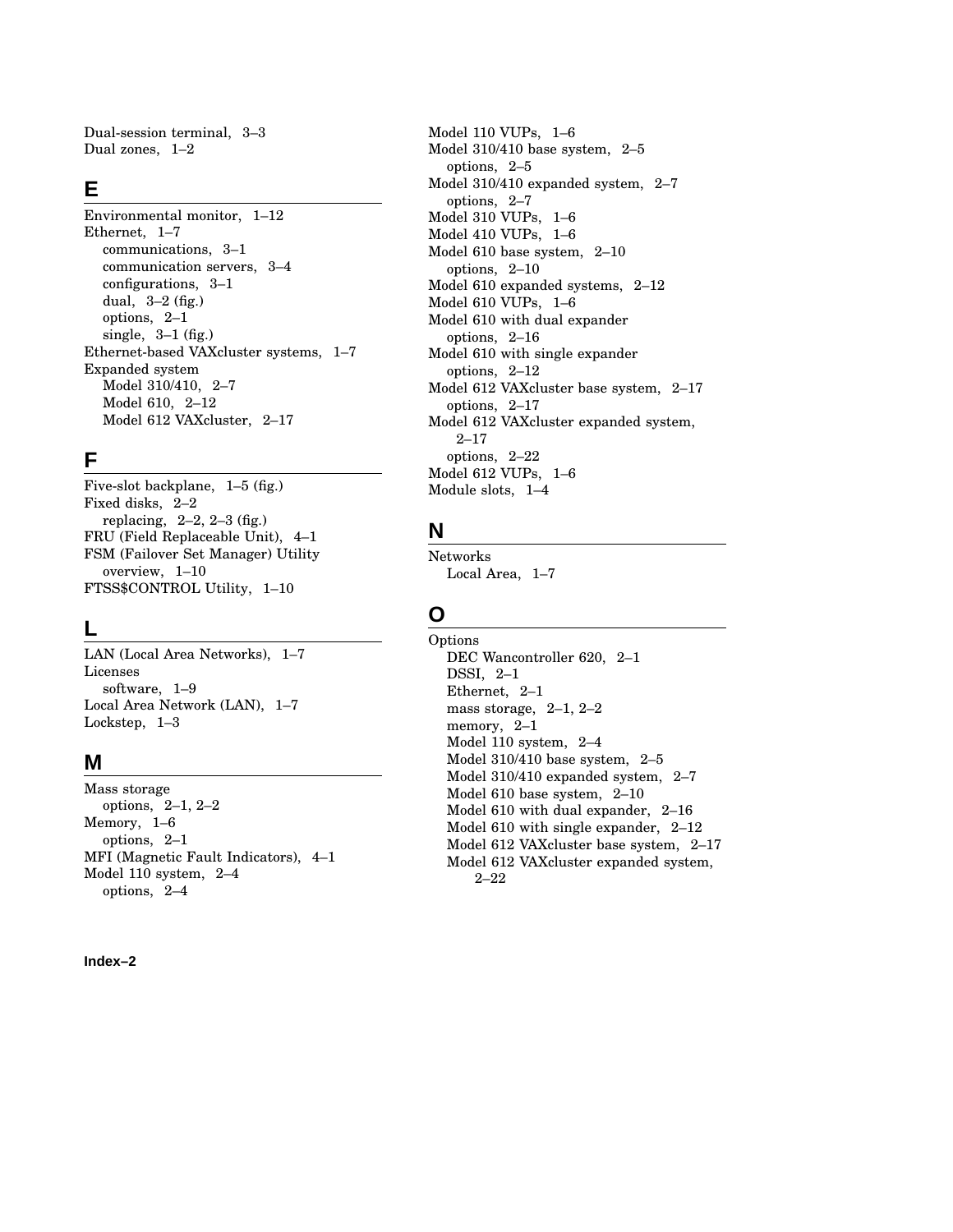Dual-session terminal, 3–3 Dual zones, 1–2

### **E**

Environmental monitor, 1–12 Ethernet, 1–7 communications, 3–1 communication servers, 3–4 configurations, 3–1 dual, 3–2 (fig.) options, 2–1 single, 3–1 (fig.) Ethernet-based VAXcluster systems, 1–7 Expanded system Model 310/410, 2–7 Model 610, 2–12 Model 612 VAXcluster, 2–17

## **F**

Five-slot backplane, 1–5 (fig.) Fixed disks, 2–2 replacing,  $2-2$ ,  $2-3$  (fig.) FRU (Field Replaceable Unit), 4–1 FSM (Failover Set Manager) Utility overview, 1–10 FTSS\$CONTROL Utility, 1–10

## **L**

LAN (Local Area Networks), 1–7 Licenses software, 1–9 Local Area Network (LAN), 1–7 Lockstep, 1–3

## **M**

Mass storage options, 2–1, 2–2 Memory, 1–6 options, 2–1 MFI (Magnetic Fault Indicators), 4–1 Model 110 system, 2–4 options, 2–4

**Index–2**

Model 110 VUPs, 1–6 Model 310/410 base system, 2–5 options, 2–5 Model 310/410 expanded system, 2–7 options, 2–7 Model 310 VUPs, 1–6 Model 410 VUPs, 1–6 Model 610 base system, 2–10 options, 2–10 Model 610 expanded systems, 2–12 Model 610 VUPs, 1–6 Model 610 with dual expander options, 2–16 Model 610 with single expander options, 2–12 Model 612 VAXcluster base system, 2–17 options, 2–17 Model 612 VAXcluster expanded system, 2–17 options, 2–22 Model 612 VUPs, 1–6 Module slots, 1–4

## **N**

Networks Local Area, 1–7

## **O**

Options DEC Wancontroller 620, 2–1 DSSI, 2–1 Ethernet, 2–1 mass storage, 2–1, 2–2 memory, 2–1 Model 110 system, 2–4 Model 310/410 base system, 2–5 Model 310/410 expanded system, 2–7 Model 610 base system, 2–10 Model 610 with dual expander, 2–16 Model 610 with single expander, 2–12 Model 612 VAXcluster base system, 2–17 Model 612 VAXcluster expanded system, 2–22